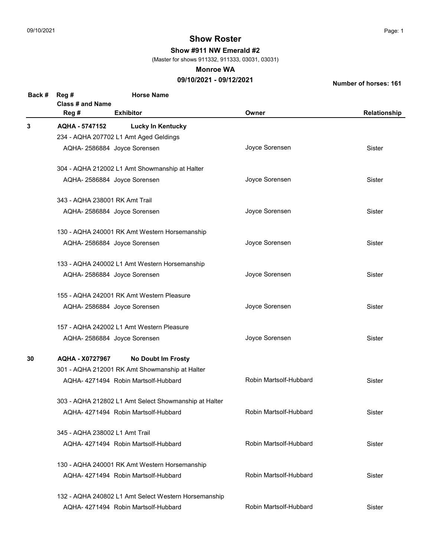Show #911 NW Emerald #2

(Master for shows 911332, 911333, 03031, 03031)

#### Monroe WA

## 09/10/2021 - 09/12/2021

| Back # | Reg #<br><b>Class # and Name</b><br>Reg # | <b>Horse Name</b><br><b>Exhibitor</b>                 | Owner                  | Relationship |
|--------|-------------------------------------------|-------------------------------------------------------|------------------------|--------------|
| 3      | AQHA - 5747152                            | <b>Lucky In Kentucky</b>                              |                        |              |
|        |                                           | 234 - AQHA 207702 L1 Amt Aged Geldings                |                        |              |
|        |                                           | AQHA- 2586884 Joyce Sorensen                          | Joyce Sorensen         | Sister       |
|        |                                           | 304 - AQHA 212002 L1 Amt Showmanship at Halter        |                        |              |
|        |                                           | AQHA- 2586884 Joyce Sorensen                          | Joyce Sorensen         | Sister       |
|        | 343 - AQHA 238001 RK Amt Trail            |                                                       |                        |              |
|        |                                           | AQHA- 2586884 Joyce Sorensen                          | Joyce Sorensen         | Sister       |
|        |                                           | 130 - AQHA 240001 RK Amt Western Horsemanship         |                        |              |
|        |                                           | AQHA- 2586884 Joyce Sorensen                          | Joyce Sorensen         | Sister       |
|        |                                           | 133 - AQHA 240002 L1 Amt Western Horsemanship         |                        |              |
|        |                                           | AQHA- 2586884 Joyce Sorensen                          | Joyce Sorensen         | Sister       |
|        |                                           | 155 - AQHA 242001 RK Amt Western Pleasure             |                        |              |
|        |                                           | AQHA- 2586884 Joyce Sorensen                          | Joyce Sorensen         | Sister       |
|        |                                           | 157 - AQHA 242002 L1 Amt Western Pleasure             |                        |              |
|        |                                           | AQHA- 2586884 Joyce Sorensen                          | Joyce Sorensen         | Sister       |
| 30     | AQHA - X0727967                           | <b>No Doubt Im Frosty</b>                             |                        |              |
|        |                                           | 301 - AQHA 212001 RK Amt Showmanship at Halter        |                        |              |
|        |                                           | AQHA- 4271494 Robin Martsolf-Hubbard                  | Robin Martsolf-Hubbard | Sister       |
|        |                                           | 303 - AQHA 212802 L1 Amt Select Showmanship at Halter |                        |              |
|        |                                           | AQHA-4271494 Robin Martsolf-Hubbard                   | Robin Martsolf-Hubbard | Sister       |
|        | 345 - AQHA 238002 L1 Amt Trail            |                                                       |                        |              |
|        |                                           | AQHA-4271494 Robin Martsolf-Hubbard                   | Robin Martsolf-Hubbard | Sister       |
|        |                                           | 130 - AQHA 240001 RK Amt Western Horsemanship         |                        |              |
|        |                                           | AQHA-4271494 Robin Martsolf-Hubbard                   | Robin Martsolf-Hubbard | Sister       |
|        |                                           | 132 - AQHA 240802 L1 Amt Select Western Horsemanship  |                        |              |
|        |                                           | AQHA-4271494 Robin Martsolf-Hubbard                   | Robin Martsolf-Hubbard | Sister       |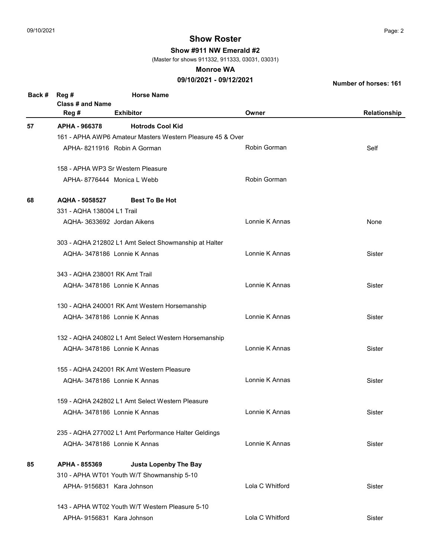Show #911 NW Emerald #2

(Master for shows 911332, 911333, 03031, 03031)

#### Monroe WA

## 09/10/2021 - 09/12/2021

| Back # | Reg #                          | <b>Horse Name</b>                                          |                 |               |
|--------|--------------------------------|------------------------------------------------------------|-----------------|---------------|
|        | Class # and Name               |                                                            |                 |               |
|        | Reg #                          | <b>Exhibitor</b>                                           | Owner           | Relationship  |
| 57     | APHA - 966378                  | <b>Hotrods Cool Kid</b>                                    |                 |               |
|        |                                | 161 - APHA AWP6 Amateur Masters Western Pleasure 45 & Over |                 |               |
|        |                                | APHA-8211916 Robin A Gorman                                | Robin Gorman    | Self          |
|        |                                | 158 - APHA WP3 Sr Western Pleasure                         |                 |               |
|        |                                |                                                            |                 |               |
|        |                                | APHA-8776444 Monica L Webb                                 | Robin Gorman    |               |
| 68     | AQHA - 5058527                 | <b>Best To Be Hot</b>                                      |                 |               |
|        | 331 - AQHA 138004 L1 Trail     |                                                            |                 |               |
|        |                                | AQHA- 3633692 Jordan Aikens                                | Lonnie K Annas  | None          |
|        |                                | 303 - AQHA 212802 L1 Amt Select Showmanship at Halter      |                 |               |
|        |                                | AQHA- 3478186 Lonnie K Annas                               | Lonnie K Annas  | Sister        |
|        |                                |                                                            |                 |               |
|        | 343 - AQHA 238001 RK Amt Trail |                                                            |                 |               |
|        |                                | AQHA- 3478186 Lonnie K Annas                               | Lonnie K Annas  | Sister        |
|        |                                | 130 - AQHA 240001 RK Amt Western Horsemanship              |                 |               |
|        |                                | AQHA-3478186 Lonnie K Annas                                | Lonnie K Annas  | <b>Sister</b> |
|        |                                | 132 - AQHA 240802 L1 Amt Select Western Horsemanship       |                 |               |
|        |                                | AQHA-3478186 Lonnie K Annas                                | Lonnie K Annas  | Sister        |
|        |                                | 155 - AQHA 242001 RK Amt Western Pleasure                  |                 |               |
|        |                                |                                                            | Lonnie K Annas  | <b>Sister</b> |
|        |                                | AQHA- 3478186 Lonnie K Annas                               |                 |               |
|        |                                | 159 - AQHA 242802 L1 Amt Select Western Pleasure           |                 |               |
|        |                                | AQHA- 3478186 Lonnie K Annas                               | Lonnie K Annas  | Sister        |
|        |                                | 235 - AQHA 277002 L1 Amt Performance Halter Geldings       |                 |               |
|        |                                | AQHA- 3478186 Lonnie K Annas                               | Lonnie K Annas  | Sister        |
| 85     | APHA - 855369                  | <b>Justa Lopenby The Bay</b>                               |                 |               |
|        |                                | 310 - APHA WT01 Youth W/T Showmanship 5-10                 |                 |               |
|        |                                | APHA-9156831 Kara Johnson                                  | Lola C Whitford | Sister        |
|        |                                | 143 - APHA WT02 Youth W/T Western Pleasure 5-10            |                 |               |
|        |                                |                                                            | Lola C Whitford |               |
|        |                                | APHA- 9156831 Kara Johnson                                 |                 | Sister        |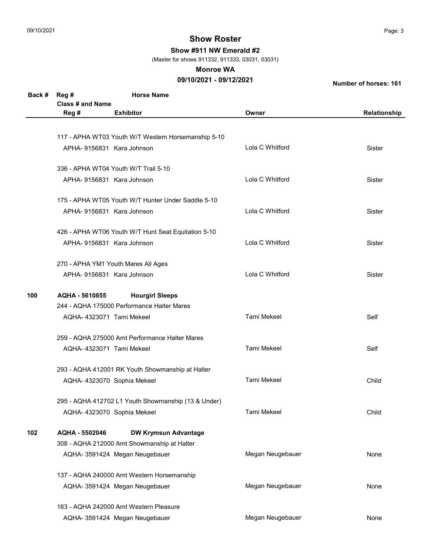Show #911 NW Emerald #2

(Master for shows 911332, 911333, 03031, 03031)

#### Monroe WA

## 09/10/2021 - 09/12/2021

| Back # | Reg #<br>Class # and Name  | <b>Horse Name</b>                                   |                  |              |
|--------|----------------------------|-----------------------------------------------------|------------------|--------------|
|        | Reg #                      | <b>Exhibitor</b>                                    | Owner            | Relationship |
|        |                            |                                                     |                  |              |
|        |                            | 117 - APHA WT03 Youth W/T Western Horsemanship 5-10 |                  |              |
|        | APHA-9156831 Kara Johnson  |                                                     | Lola C Whitford  | Sister       |
|        |                            |                                                     |                  |              |
|        |                            | 336 - APHA WT04 Youth W/T Trail 5-10                |                  |              |
|        | APHA-9156831 Kara Johnson  |                                                     | Lola C Whitford  | Sister       |
|        |                            | 175 - APHA WT05 Youth W/T Hunter Under Saddle 5-10  |                  |              |
|        | APHA-9156831 Kara Johnson  |                                                     | Lola C Whitford  | Sister       |
|        |                            |                                                     |                  |              |
|        |                            | 426 - APHA WT06 Youth W/T Hunt Seat Equitation 5-10 | Lola C Whitford  |              |
|        | APHA- 9156831 Kara Johnson |                                                     |                  | Sister       |
|        |                            | 270 - APHA YM1 Youth Mares All Ages                 |                  |              |
|        | APHA-9156831 Kara Johnson  |                                                     | Lola C Whitford  | Sister       |
|        |                            |                                                     |                  |              |
| 100    | AQHA - 5610855             | <b>Hourgirl Sleeps</b>                              |                  |              |
|        |                            | 244 - AQHA 175000 Performance Halter Mares          |                  |              |
|        | AQHA-4323071 Tami Mekeel   |                                                     | Tami Mekeel      | Self         |
|        |                            | 259 - AQHA 275000 Amt Performance Halter Mares      |                  |              |
|        | AQHA-4323071 Tami Mekeel   |                                                     | Tami Mekeel      | Self         |
|        |                            | 293 - AQHA 412001 RK Youth Showmanship at Halter    |                  |              |
|        |                            | AQHA- 4323070 Sophia Mekeel                         | Tami Mekeel      | Child        |
|        |                            |                                                     |                  |              |
|        |                            | 295 - AQHA 412702 L1 Youth Showmanship (13 & Under) |                  |              |
|        |                            | AQHA- 4323070 Sophia Mekeel                         | Tami Mekeel      | Child        |
| 102    | AQHA - 5502046             | <b>DW Krymsun Advantage</b>                         |                  |              |
|        |                            | 308 - AQHA 212000 Amt Showmanship at Halter         |                  |              |
|        |                            | AQHA- 3591424 Megan Neugebauer                      | Megan Neugebauer | None         |
|        |                            | 137 - AQHA 240000 Amt Western Horsemanship          |                  |              |
|        |                            | AQHA- 3591424 Megan Neugebauer                      | Megan Neugebauer | None         |
|        |                            | 163 - AQHA 242000 Amt Western Pleasure              |                  |              |
|        |                            | AQHA- 3591424 Megan Neugebauer                      | Megan Neugebauer | None         |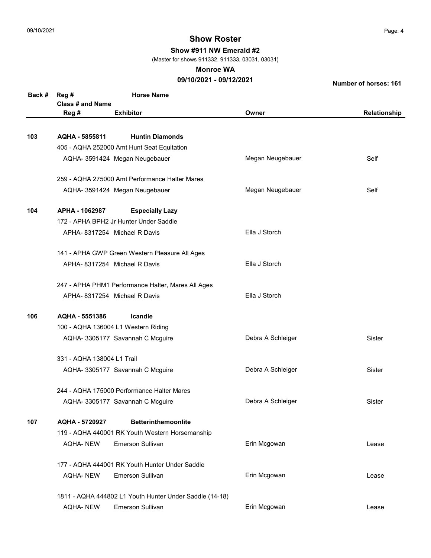Show #911 NW Emerald #2

(Master for shows 911332, 911333, 03031, 03031)

### Monroe WA

## 09/10/2021 - 09/12/2021

| Back # | Reg #<br><b>Class # and Name</b> | <b>Horse Name</b>                                       |                   |               |
|--------|----------------------------------|---------------------------------------------------------|-------------------|---------------|
|        | Reg #                            | <b>Exhibitor</b>                                        | Owner             | Relationship  |
|        |                                  |                                                         |                   |               |
| 103    | AQHA - 5855811                   | <b>Huntin Diamonds</b>                                  |                   |               |
|        |                                  | 405 - AQHA 252000 Amt Hunt Seat Equitation              |                   |               |
|        |                                  | AQHA- 3591424 Megan Neugebauer                          | Megan Neugebauer  | Self          |
|        |                                  | 259 - AQHA 275000 Amt Performance Halter Mares          |                   |               |
|        |                                  | AQHA- 3591424 Megan Neugebauer                          | Megan Neugebauer  | Self          |
| 104    | APHA - 1062987                   | <b>Especially Lazy</b>                                  |                   |               |
|        |                                  | 172 - APHA BPH2 Jr Hunter Under Saddle                  |                   |               |
|        |                                  | APHA-8317254 Michael R Davis                            | Ella J Storch     |               |
|        |                                  | 141 - APHA GWP Green Western Pleasure All Ages          |                   |               |
|        |                                  | APHA-8317254 Michael R Davis                            | Ella J Storch     |               |
|        |                                  | 247 - APHA PHM1 Performance Halter, Mares All Ages      |                   |               |
|        |                                  | APHA-8317254 Michael R Davis                            | Ella J Storch     |               |
| 106    | AQHA - 5551386                   | Icandie                                                 |                   |               |
|        |                                  | 100 - AQHA 136004 L1 Western Riding                     |                   |               |
|        |                                  | AQHA- 3305177 Savannah C Mcguire                        | Debra A Schleiger | <b>Sister</b> |
|        | 331 - AQHA 138004 L1 Trail       |                                                         |                   |               |
|        |                                  | AQHA- 3305177 Savannah C Mcguire                        | Debra A Schleiger | <b>Sister</b> |
|        |                                  | 244 - AQHA 175000 Performance Halter Mares              |                   |               |
|        |                                  | AQHA- 3305177 Savannah C Mcguire                        | Debra A Schleiger | Sister        |
| 107    | AQHA - 5720927                   | <b>Betterinthemoonlite</b>                              |                   |               |
|        |                                  | 119 - AQHA 440001 RK Youth Western Horsemanship         |                   |               |
|        | <b>AQHA-NEW</b>                  | <b>Emerson Sullivan</b>                                 | Erin Mcgowan      | Lease         |
|        |                                  | 177 - AQHA 444001 RK Youth Hunter Under Saddle          |                   |               |
|        | <b>AQHA-NEW</b>                  | <b>Emerson Sullivan</b>                                 | Erin Mcgowan      | Lease         |
|        |                                  | 1811 - AQHA 444802 L1 Youth Hunter Under Saddle (14-18) |                   |               |
|        | <b>AQHA-NEW</b>                  | <b>Emerson Sullivan</b>                                 | Erin Mcgowan      | Lease         |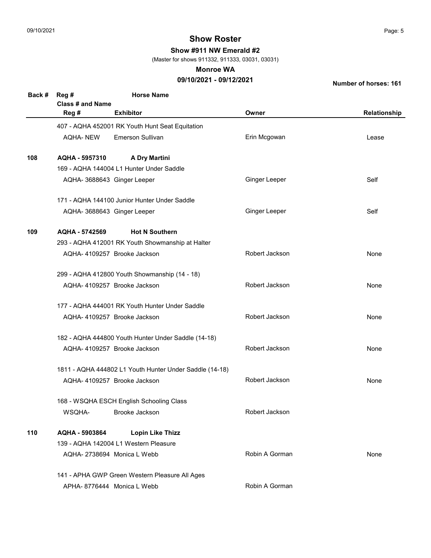Show #911 NW Emerald #2

(Master for shows 911332, 911333, 03031, 03031)

#### Monroe WA

## 09/10/2021 - 09/12/2021

| Back # | Reg #<br>Class # and Name                               | <b>Horse Name</b>                                   |                      |              |
|--------|---------------------------------------------------------|-----------------------------------------------------|----------------------|--------------|
|        | Reg #                                                   | <b>Exhibitor</b>                                    | Owner                | Relationship |
|        |                                                         | 407 - AQHA 452001 RK Youth Hunt Seat Equitation     |                      |              |
|        | <b>AQHA-NEW</b>                                         | <b>Emerson Sullivan</b>                             | Erin Mcgowan         | Lease        |
| 108    | AQHA - 5957310                                          | <b>A Dry Martini</b>                                |                      |              |
|        |                                                         | 169 - AQHA 144004 L1 Hunter Under Saddle            |                      |              |
|        |                                                         | AQHA- 3688643 Ginger Leeper                         | <b>Ginger Leeper</b> | Self         |
|        |                                                         | 171 - AQHA 144100 Junior Hunter Under Saddle        |                      |              |
|        |                                                         | AQHA- 3688643 Ginger Leeper                         | <b>Ginger Leeper</b> | Self         |
| 109    | AQHA - 5742569                                          | <b>Hot N Southern</b>                               |                      |              |
|        |                                                         | 293 - AQHA 412001 RK Youth Showmanship at Halter    |                      |              |
|        |                                                         | AQHA- 4109257 Brooke Jackson                        | Robert Jackson       | None         |
|        |                                                         | 299 - AQHA 412800 Youth Showmanship (14 - 18)       |                      |              |
|        |                                                         | AQHA- 4109257 Brooke Jackson                        | Robert Jackson       | None         |
|        |                                                         | 177 - AQHA 444001 RK Youth Hunter Under Saddle      |                      |              |
|        |                                                         | AQHA-4109257 Brooke Jackson                         | Robert Jackson       | None         |
|        |                                                         | 182 - AQHA 444800 Youth Hunter Under Saddle (14-18) |                      |              |
|        |                                                         | AQHA-4109257 Brooke Jackson                         | Robert Jackson       | None         |
|        | 1811 - AQHA 444802 L1 Youth Hunter Under Saddle (14-18) |                                                     |                      |              |
|        |                                                         | AQHA- 4109257 Brooke Jackson                        | Robert Jackson       | None         |
|        |                                                         | 168 - WSQHA ESCH English Schooling Class            |                      |              |
|        | WSQHA-                                                  | Brooke Jackson                                      | Robert Jackson       |              |
| 110    | AQHA - 5903864                                          | <b>Lopin Like Thizz</b>                             |                      |              |
|        |                                                         | 139 - AQHA 142004 L1 Western Pleasure               |                      |              |
|        |                                                         | AQHA-2738694 Monica L Webb                          | Robin A Gorman       | None         |
|        |                                                         | 141 - APHA GWP Green Western Pleasure All Ages      |                      |              |
|        |                                                         | APHA-8776444 Monica L Webb                          | Robin A Gorman       |              |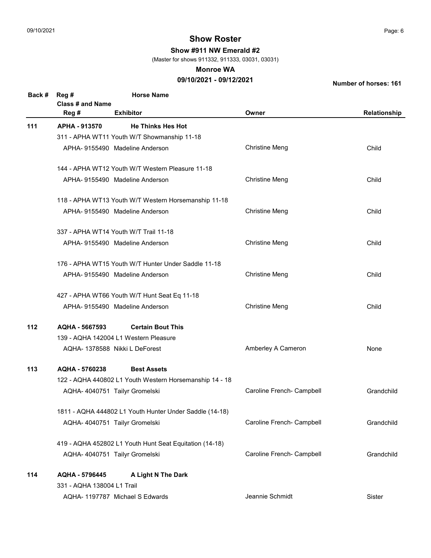Show #911 NW Emerald #2

(Master for shows 911332, 911333, 03031, 03031)

#### Monroe WA

### 09/10/2021 - 09/12/2021

| Back # | Reg #                            | <b>Horse Name</b>                                       |                           |              |
|--------|----------------------------------|---------------------------------------------------------|---------------------------|--------------|
|        | <b>Class # and Name</b><br>Reg # | <b>Exhibitor</b>                                        | Owner                     | Relationship |
|        |                                  |                                                         |                           |              |
| $111$  | APHA - 913570                    | <b>He Thinks Hes Hot</b>                                |                           |              |
|        |                                  | 311 - APHA WT11 Youth W/T Showmanship 11-18             |                           |              |
|        |                                  | APHA- 9155490 Madeline Anderson                         | <b>Christine Meng</b>     | Child        |
|        |                                  | 144 - APHA WT12 Youth W/T Western Pleasure 11-18        |                           |              |
|        |                                  | APHA-9155490 Madeline Anderson                          | <b>Christine Meng</b>     | Child        |
|        |                                  | 118 - APHA WT13 Youth W/T Western Horsemanship 11-18    |                           |              |
|        |                                  | APHA- 9155490 Madeline Anderson                         | <b>Christine Meng</b>     | Child        |
|        |                                  | 337 - APHA WT14 Youth W/T Trail 11-18                   |                           |              |
|        |                                  | APHA-9155490 Madeline Anderson                          | <b>Christine Meng</b>     | Child        |
|        |                                  | 176 - APHA WT15 Youth W/T Hunter Under Saddle 11-18     |                           |              |
|        |                                  | APHA-9155490 Madeline Anderson                          | <b>Christine Meng</b>     | Child        |
|        |                                  | 427 - APHA WT66 Youth W/T Hunt Seat Eq 11-18            |                           |              |
|        |                                  | APHA- 9155490 Madeline Anderson                         | <b>Christine Meng</b>     | Child        |
| $112$  | AQHA - 5667593                   | <b>Certain Bout This</b>                                |                           |              |
|        |                                  | 139 - AQHA 142004 L1 Western Pleasure                   |                           |              |
|        |                                  | AQHA- 1378588 Nikki L DeForest                          | Amberley A Cameron        | None         |
| 113    | AQHA - 5760238                   | <b>Best Assets</b>                                      |                           |              |
|        |                                  | 122 - AQHA 440802 L1 Youth Western Horsemanship 14 - 18 |                           |              |
|        |                                  | AQHA- 4040751 Tailyr Gromelski                          | Caroline French- Campbell | Grandchild   |
|        |                                  | 1811 - AQHA 444802 L1 Youth Hunter Under Saddle (14-18) |                           |              |
|        |                                  | AQHA- 4040751 Tailyr Gromelski                          | Caroline French- Campbell | Grandchild   |
|        |                                  | 419 - AQHA 452802 L1 Youth Hunt Seat Equitation (14-18) |                           |              |
|        |                                  | AQHA- 4040751 Tailyr Gromelski                          | Caroline French- Campbell | Grandchild   |
| 114    | AQHA - 5796445                   | A Light N The Dark                                      |                           |              |
|        | 331 - AQHA 138004 L1 Trail       |                                                         |                           |              |
|        |                                  | AQHA- 1197787 Michael S Edwards                         | Jeannie Schmidt           | Sister       |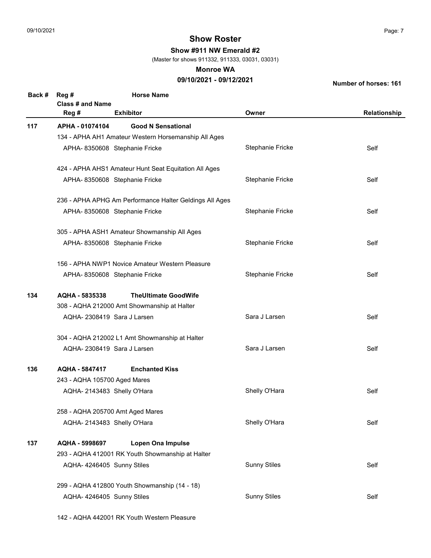Show #911 NW Emerald #2

(Master for shows 911332, 911333, 03031, 03031)

#### Monroe WA

## 09/10/2021 - 09/12/2021

Number of horses: 161

| Back # | Reg #<br>Class # and Name                      | <b>Horse Name</b>                                       |                         |              |
|--------|------------------------------------------------|---------------------------------------------------------|-------------------------|--------------|
|        | Reg #                                          | <b>Exhibitor</b>                                        | Owner                   | Relationship |
| 117    | APHA - 01074104                                | <b>Good N Sensational</b>                               |                         |              |
|        |                                                | 134 - APHA AH1 Amateur Western Horsemanship All Ages    |                         |              |
|        |                                                | APHA- 8350608 Stephanie Fricke                          | Stephanie Fricke        | Self         |
|        |                                                | 424 - APHA AHS1 Amateur Hunt Seat Equitation All Ages   |                         |              |
|        |                                                | APHA- 8350608 Stephanie Fricke                          | Stephanie Fricke        | Self         |
|        |                                                | 236 - APHA APHG Am Performance Halter Geldings All Ages |                         |              |
|        |                                                | APHA- 8350608 Stephanie Fricke                          | <b>Stephanie Fricke</b> | Self         |
|        |                                                | 305 - APHA ASH1 Amateur Showmanship All Ages            |                         |              |
|        |                                                | APHA- 8350608 Stephanie Fricke                          | Stephanie Fricke        | Self         |
|        |                                                | 156 - APHA NWP1 Novice Amateur Western Pleasure         |                         |              |
|        |                                                | APHA- 8350608 Stephanie Fricke                          | Stephanie Fricke        | Self         |
| 134    | AQHA - 5835338                                 | <b>TheUltimate GoodWife</b>                             |                         |              |
|        | 308 - AQHA 212000 Amt Showmanship at Halter    |                                                         |                         |              |
|        | AQHA-2308419 Sara J Larsen                     |                                                         | Sara J Larsen           | Self         |
|        | 304 - AQHA 212002 L1 Amt Showmanship at Halter |                                                         |                         |              |
|        | AQHA-2308419 Sara J Larsen                     |                                                         | Sara J Larsen           | Self         |
| 136    | AQHA - 5847417                                 | <b>Enchanted Kiss</b>                                   |                         |              |
|        | 243 - AQHA 105700 Aged Mares                   |                                                         |                         |              |
|        | AQHA-2143483 Shelly O'Hara                     |                                                         | Shelly O'Hara           | Self         |
|        | 258 - AQHA 205700 Amt Aged Mares               |                                                         |                         |              |
|        | AQHA-2143483 Shelly O'Hara                     |                                                         | Shelly O'Hara           | Self         |
| 137    | AQHA - 5998697                                 | <b>Lopen Ona Impulse</b>                                |                         |              |
|        |                                                | 293 - AQHA 412001 RK Youth Showmanship at Halter        |                         |              |
|        | AQHA- 4246405 Sunny Stiles                     |                                                         | <b>Sunny Stiles</b>     | Self         |
|        |                                                | 299 - AQHA 412800 Youth Showmanship (14 - 18)           |                         |              |
|        | AQHA- 4246405 Sunny Stiles                     |                                                         | <b>Sunny Stiles</b>     | Self         |
|        |                                                |                                                         |                         |              |

142 - AQHA 442001 RK Youth Western Pleasure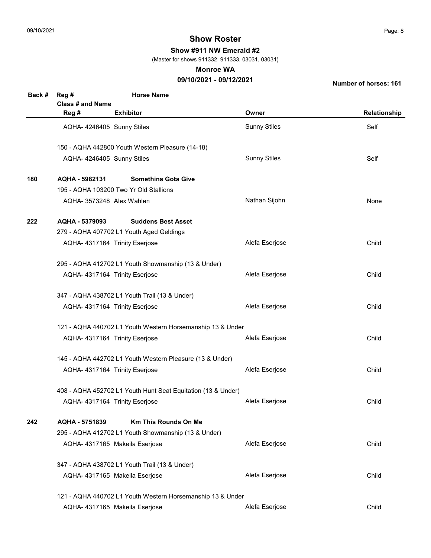Show #911 NW Emerald #2

(Master for shows 911332, 911333, 03031, 03031)

#### Monroe WA

## 09/10/2021 - 09/12/2021

| Back # | Reg #                                                      | <b>Horse Name</b>                                            |                     |              |
|--------|------------------------------------------------------------|--------------------------------------------------------------|---------------------|--------------|
|        | <b>Class # and Name</b><br>Reg #                           | <b>Exhibitor</b>                                             | Owner               | Relationship |
|        |                                                            | AQHA- 4246405 Sunny Stiles                                   | <b>Sunny Stiles</b> | Self         |
|        |                                                            | 150 - AQHA 442800 Youth Western Pleasure (14-18)             |                     |              |
|        |                                                            | AQHA- 4246405 Sunny Stiles                                   | <b>Sunny Stiles</b> | Self         |
| 180    | AQHA - 5982131                                             | <b>Somethins Gota Give</b>                                   |                     |              |
|        |                                                            | 195 - AQHA 103200 Two Yr Old Stallions                       |                     |              |
|        |                                                            | AQHA- 3573248 Alex Wahlen                                    | Nathan Sijohn       | None         |
| 222    | AQHA - 5379093                                             | <b>Suddens Best Asset</b>                                    |                     |              |
|        |                                                            | 279 - AQHA 407702 L1 Youth Aged Geldings                     |                     |              |
|        |                                                            | AQHA- 4317164 Trinity Eserjose                               | Alefa Eserjose      | Child        |
|        |                                                            | 295 - AQHA 412702 L1 Youth Showmanship (13 & Under)          |                     |              |
|        |                                                            | AQHA- 4317164 Trinity Eserjose                               | Alefa Eserjose      | Child        |
|        |                                                            | 347 - AQHA 438702 L1 Youth Trail (13 & Under)                |                     |              |
|        |                                                            | AQHA- 4317164 Trinity Eserjose                               | Alefa Eserjose      | Child        |
|        | 121 - AQHA 440702 L1 Youth Western Horsemanship 13 & Under |                                                              |                     |              |
|        |                                                            | AQHA- 4317164 Trinity Eserjose                               | Alefa Eserjose      | Child        |
|        |                                                            | 145 - AQHA 442702 L1 Youth Western Pleasure (13 & Under)     |                     |              |
|        |                                                            | AQHA- 4317164 Trinity Eserjose                               | Alefa Eserjose      | Child        |
|        |                                                            | 408 - AQHA 452702 L1 Youth Hunt Seat Equitation (13 & Under) |                     |              |
|        |                                                            | AQHA- 4317164 Trinity Eserjose                               | Alefa Eserjose      | Child        |
| 242    | AQHA - 5751839                                             | <b>Km This Rounds On Me</b>                                  |                     |              |
|        |                                                            | 295 - AQHA 412702 L1 Youth Showmanship (13 & Under)          |                     |              |
|        |                                                            | AQHA- 4317165 Makeila Eserjose                               | Alefa Eserjose      | Child        |
|        |                                                            | 347 - AQHA 438702 L1 Youth Trail (13 & Under)                |                     |              |
|        |                                                            | AQHA-4317165 Makeila Eserjose                                | Alefa Eserjose      | Child        |
|        |                                                            | 121 - AQHA 440702 L1 Youth Western Horsemanship 13 & Under   |                     |              |
|        |                                                            | AQHA- 4317165 Makeila Eserjose                               | Alefa Eserjose      | Child        |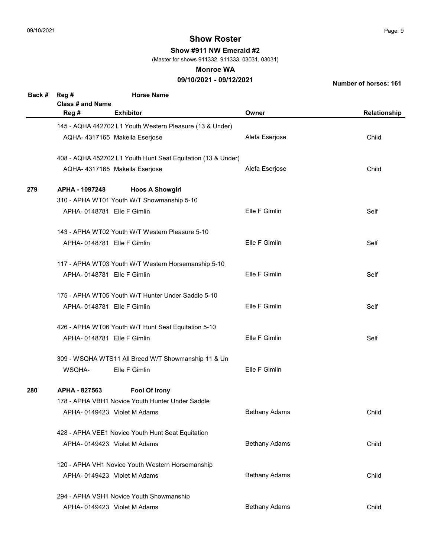Show #911 NW Emerald #2

(Master for shows 911332, 911333, 03031, 03031)

#### Monroe WA

## 09/10/2021 - 09/12/2021

| Back # | Reg #<br>Class # and Name  | <b>Horse Name</b>                                            |                      |              |
|--------|----------------------------|--------------------------------------------------------------|----------------------|--------------|
|        | Reg #                      | <b>Exhibitor</b>                                             | Owner                | Relationship |
|        |                            | 145 - AQHA 442702 L1 Youth Western Pleasure (13 & Under)     |                      |              |
|        |                            | AQHA- 4317165 Makeila Eserjose                               | Alefa Eserjose       | Child        |
|        |                            | 408 - AQHA 452702 L1 Youth Hunt Seat Equitation (13 & Under) |                      |              |
|        |                            | AQHA- 4317165 Makeila Eserjose                               | Alefa Eserjose       | Child        |
| 279    | APHA - 1097248             | <b>Hoos A Showgirl</b>                                       |                      |              |
|        |                            | 310 - APHA WT01 Youth W/T Showmanship 5-10                   |                      |              |
|        | APHA-0148781 Elle F Gimlin |                                                              | Elle F Gimlin        | Self         |
|        |                            | 143 - APHA WT02 Youth W/T Western Pleasure 5-10              |                      |              |
|        | APHA-0148781 Elle F Gimlin |                                                              | Elle F Gimlin        | Self         |
|        |                            | 117 - APHA WT03 Youth W/T Western Horsemanship 5-10          |                      |              |
|        | APHA-0148781 Elle F Gimlin |                                                              | Elle F Gimlin        | Self         |
|        |                            | 175 - APHA WT05 Youth W/T Hunter Under Saddle 5-10           |                      |              |
|        | APHA-0148781 Elle F Gimlin |                                                              | Elle F Gimlin        | Self         |
|        |                            | 426 - APHA WT06 Youth W/T Hunt Seat Equitation 5-10          |                      |              |
|        | APHA-0148781 Elle F Gimlin |                                                              | Elle F Gimlin        | Self         |
|        |                            | 309 - WSQHA WTS11 All Breed W/T Showmanship 11 & Un          |                      |              |
|        | WSQHA-                     | Elle F Gimlin                                                | Elle F Gimlin        |              |
| 280    | APHA - 827563              | <b>Fool Of Irony</b>                                         |                      |              |
|        |                            | 178 - APHA VBH1 Novice Youth Hunter Under Saddle             |                      |              |
|        |                            | APHA-0149423 Violet M Adams                                  | <b>Bethany Adams</b> | Child        |
|        |                            | 428 - APHA VEE1 Novice Youth Hunt Seat Equitation            |                      |              |
|        |                            | APHA-0149423 Violet M Adams                                  | <b>Bethany Adams</b> | Child        |
|        |                            | 120 - APHA VH1 Novice Youth Western Horsemanship             |                      |              |
|        |                            | APHA-0149423 Violet M Adams                                  | <b>Bethany Adams</b> | Child        |
|        |                            | 294 - APHA VSH1 Novice Youth Showmanship                     |                      |              |
|        |                            | APHA- 0149423 Violet M Adams                                 | <b>Bethany Adams</b> | Child        |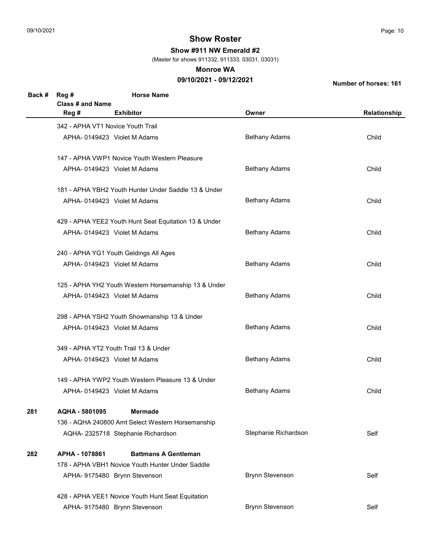Show #911 NW Emerald #2

(Master for shows 911332, 911333, 03031, 03031)

#### Monroe WA

## 09/10/2021 - 09/12/2021

| Back # | Reg #                             | <b>Horse Name</b>                                     |                        |              |  |
|--------|-----------------------------------|-------------------------------------------------------|------------------------|--------------|--|
|        | Class # and Name                  |                                                       |                        |              |  |
|        | Reg #                             | <b>Exhibitor</b>                                      | Owner                  | Relationship |  |
|        | 342 - APHA VT1 Novice Youth Trail |                                                       |                        |              |  |
|        |                                   | APHA-0149423 Violet M Adams                           | <b>Bethany Adams</b>   | Child        |  |
|        |                                   | 147 - APHA VWP1 Novice Youth Western Pleasure         |                        |              |  |
|        |                                   | APHA-0149423 Violet M Adams                           | <b>Bethany Adams</b>   | Child        |  |
|        |                                   | 181 - APHA YBH2 Youth Hunter Under Saddle 13 & Under  |                        |              |  |
|        |                                   | APHA-0149423 Violet M Adams                           | <b>Bethany Adams</b>   | Child        |  |
|        |                                   | 429 - APHA YEE2 Youth Hunt Seat Equitation 13 & Under |                        |              |  |
|        |                                   | APHA-0149423 Violet M Adams                           | <b>Bethany Adams</b>   | Child        |  |
|        |                                   | 240 - APHA YG1 Youth Geldings All Ages                |                        |              |  |
|        |                                   | APHA- 0149423 Violet M Adams                          | <b>Bethany Adams</b>   | Child        |  |
|        |                                   | 125 - APHA YH2 Youth Western Horsemanship 13 & Under  |                        |              |  |
|        |                                   | APHA-0149423 Violet M Adams                           | <b>Bethany Adams</b>   | Child        |  |
|        |                                   | 298 - APHA YSH2 Youth Showmanship 13 & Under          |                        |              |  |
|        |                                   | APHA-0149423 Violet M Adams                           | <b>Bethany Adams</b>   | Child        |  |
|        |                                   | 349 - APHA YT2 Youth Trail 13 & Under                 |                        |              |  |
|        |                                   | APHA-0149423 Violet M Adams                           | <b>Bethany Adams</b>   | Child        |  |
|        |                                   | 149 - APHA YWP2 Youth Western Pleasure 13 & Under     |                        |              |  |
|        |                                   | APHA-0149423 Violet M Adams                           | <b>Bethany Adams</b>   | Child        |  |
| 281    | AQHA - 5801095                    | <b>Mermade</b>                                        |                        |              |  |
|        |                                   | 136 - AQHA 240800 Amt Select Western Horsemanship     |                        |              |  |
|        |                                   | AQHA-2325718 Stephanie Richardson                     | Stephanie Richardson   | Self         |  |
| 282    | APHA - 1078861                    | <b>Battmans A Gentleman</b>                           |                        |              |  |
|        |                                   | 178 - APHA VBH1 Novice Youth Hunter Under Saddle      |                        |              |  |
|        |                                   | APHA- 9175480 Brynn Stevenson                         | <b>Brynn Stevenson</b> | Self         |  |
|        |                                   | 428 - APHA VEE1 Novice Youth Hunt Seat Equitation     |                        |              |  |
|        |                                   | APHA- 9175480 Brynn Stevenson                         | <b>Brynn Stevenson</b> | Self         |  |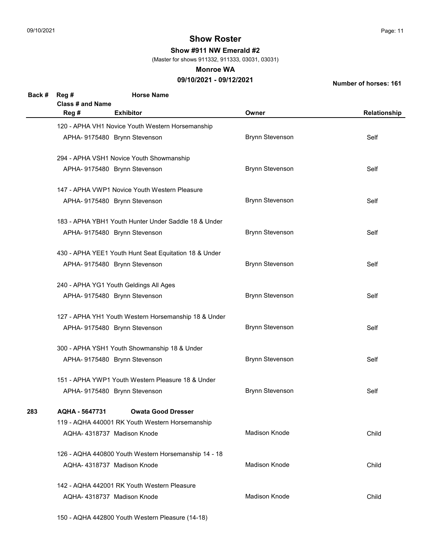Show #911 NW Emerald #2

(Master for shows 911332, 911333, 03031, 03031)

#### Monroe WA

## 09/10/2021 - 09/12/2021

Number of horses: 161

| Back # | Reg #<br>Class # and Name | <b>Horse Name</b>                                     |                        |              |
|--------|---------------------------|-------------------------------------------------------|------------------------|--------------|
|        | Reg #                     | <b>Exhibitor</b>                                      | Owner                  | Relationship |
|        |                           | 120 - APHA VH1 Novice Youth Western Horsemanship      |                        |              |
|        |                           | APHA- 9175480 Brynn Stevenson                         | <b>Brynn Stevenson</b> | Self         |
|        |                           | 294 - APHA VSH1 Novice Youth Showmanship              |                        |              |
|        |                           | APHA- 9175480 Brynn Stevenson                         | <b>Brynn Stevenson</b> | Self         |
|        |                           | 147 - APHA VWP1 Novice Youth Western Pleasure         |                        |              |
|        |                           | APHA- 9175480 Brynn Stevenson                         | <b>Brynn Stevenson</b> | Self         |
|        |                           | 183 - APHA YBH1 Youth Hunter Under Saddle 18 & Under  |                        |              |
|        |                           | APHA- 9175480 Brynn Stevenson                         | <b>Brynn Stevenson</b> | Self         |
|        |                           | 430 - APHA YEE1 Youth Hunt Seat Equitation 18 & Under |                        |              |
|        |                           | APHA- 9175480 Brynn Stevenson                         | <b>Brynn Stevenson</b> | Self         |
|        |                           | 240 - APHA YG1 Youth Geldings All Ages                |                        |              |
|        |                           | APHA- 9175480 Brynn Stevenson                         | <b>Brynn Stevenson</b> | Self         |
|        |                           | 127 - APHA YH1 Youth Western Horsemanship 18 & Under  |                        |              |
|        |                           | APHA- 9175480 Brynn Stevenson                         | <b>Brynn Stevenson</b> | Self         |
|        |                           | 300 - APHA YSH1 Youth Showmanship 18 & Under          |                        |              |
|        |                           | APHA- 9175480 Brynn Stevenson                         | <b>Brynn Stevenson</b> | Self         |
|        |                           | 151 - APHA YWP1 Youth Western Pleasure 18 & Under     |                        |              |
|        |                           | APHA- 9175480 Brynn Stevenson                         | <b>Brynn Stevenson</b> | Self         |
| 283    | AQHA - 5647731            | <b>Owata Good Dresser</b>                             |                        |              |
|        |                           | 119 - AQHA 440001 RK Youth Western Horsemanship       |                        |              |
|        |                           | AQHA-4318737 Madison Knode                            | Madison Knode          | Child        |
|        |                           | 126 - AQHA 440800 Youth Western Horsemanship 14 - 18  |                        |              |
|        |                           | AQHA-4318737 Madison Knode                            | Madison Knode          | Child        |
|        |                           | 142 - AQHA 442001 RK Youth Western Pleasure           |                        |              |
|        |                           | AQHA-4318737 Madison Knode                            | Madison Knode          | Child        |

150 - AQHA 442800 Youth Western Pleasure (14-18)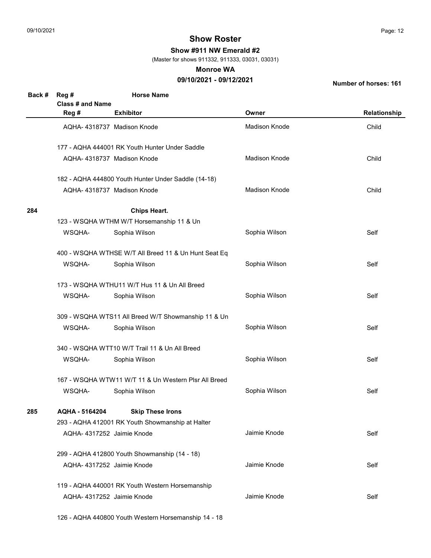Show #911 NW Emerald #2

(Master for shows 911332, 911333, 03031, 03031)

#### Monroe WA

## 09/10/2021 - 09/12/2021

Number of horses: 161

| Back # | Reg #                     | <b>Horse Name</b>                                    |               |              |
|--------|---------------------------|------------------------------------------------------|---------------|--------------|
|        | <b>Class # and Name</b>   |                                                      |               |              |
|        | Reg #                     | <b>Exhibitor</b>                                     | Owner         | Relationship |
|        |                           | AQHA-4318737 Madison Knode                           | Madison Knode | Child        |
|        |                           | 177 - AQHA 444001 RK Youth Hunter Under Saddle       |               |              |
|        |                           | AQHA-4318737 Madison Knode                           | Madison Knode | Child        |
|        |                           | 182 - AQHA 444800 Youth Hunter Under Saddle (14-18)  |               |              |
|        |                           | AQHA- 4318737 Madison Knode                          | Madison Knode | Child        |
| 284    |                           | <b>Chips Heart.</b>                                  |               |              |
|        |                           | 123 - WSQHA WTHM W/T Horsemanship 11 & Un            |               |              |
|        | WSQHA-                    | Sophia Wilson                                        | Sophia Wilson | Self         |
|        |                           | 400 - WSQHA WTHSE W/T All Breed 11 & Un Hunt Seat Eq |               |              |
|        | WSQHA-                    | Sophia Wilson                                        | Sophia Wilson | Self         |
|        |                           | 173 - WSQHA WTHU11 W/T Hus 11 & Un All Breed         |               |              |
|        | WSQHA-                    | Sophia Wilson                                        | Sophia Wilson | Self         |
|        |                           | 309 - WSQHA WTS11 All Breed W/T Showmanship 11 & Un  |               |              |
|        | WSQHA-                    | Sophia Wilson                                        | Sophia Wilson | Self         |
|        |                           | 340 - WSQHA WTT10 W/T Trail 11 & Un All Breed        |               |              |
|        | WSQHA-                    | Sophia Wilson                                        | Sophia Wilson | Self         |
|        |                           | 167 - WSQHA WTW11 W/T 11 & Un Western Plsr All Breed |               |              |
|        | WSQHA-                    | Sophia Wilson                                        | Sophia Wilson | Self         |
| 285    | AQHA - 5164204            | <b>Skip These Irons</b>                              |               |              |
|        |                           | 293 - AQHA 412001 RK Youth Showmanship at Halter     |               |              |
|        | AQHA-4317252 Jaimie Knode |                                                      | Jaimie Knode  | Self         |
|        |                           | 299 - AQHA 412800 Youth Showmanship (14 - 18)        |               |              |
|        | AQHA-4317252 Jaimie Knode |                                                      | Jaimie Knode  | Self         |
|        |                           | 119 - AQHA 440001 RK Youth Western Horsemanship      |               |              |
|        | AQHA-4317252 Jaimie Knode |                                                      | Jaimie Knode  | Self         |

126 - AQHA 440800 Youth Western Horsemanship 14 - 18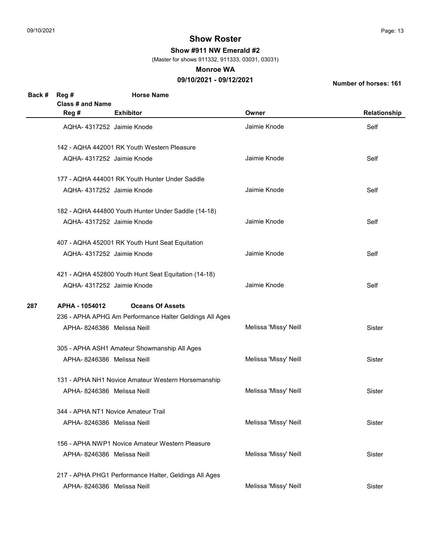Show #911 NW Emerald #2

(Master for shows 911332, 911333, 03031, 03031)

#### Monroe WA

## 09/10/2021 - 09/12/2021

| Back # | Reg #                      | <b>Horse Name</b>                                       |                       |               |
|--------|----------------------------|---------------------------------------------------------|-----------------------|---------------|
|        | <b>Class # and Name</b>    |                                                         |                       |               |
|        | Reg #                      | <b>Exhibitor</b>                                        | Owner                 | Relationship  |
|        | AQHA-4317252 Jaimie Knode  |                                                         | Jaimie Knode          | Self          |
|        |                            | 142 - AQHA 442001 RK Youth Western Pleasure             |                       |               |
|        | AQHA-4317252 Jaimie Knode  |                                                         | Jaimie Knode          | Self          |
|        |                            | 177 - AQHA 444001 RK Youth Hunter Under Saddle          |                       |               |
|        | AQHA-4317252 Jaimie Knode  |                                                         | Jaimie Knode          | Self          |
|        |                            | 182 - AQHA 444800 Youth Hunter Under Saddle (14-18)     |                       |               |
|        | AQHA-4317252 Jaimie Knode  |                                                         | Jaimie Knode          | Self          |
|        |                            | 407 - AQHA 452001 RK Youth Hunt Seat Equitation         |                       |               |
|        | AQHA-4317252 Jaimie Knode  |                                                         | Jaimie Knode          | Self          |
|        |                            | 421 - AQHA 452800 Youth Hunt Seat Equitation (14-18)    |                       |               |
|        | AQHA- 4317252 Jaimie Knode |                                                         | Jaimie Knode          | Self          |
| 287    | APHA - 1054012             | <b>Oceans Of Assets</b>                                 |                       |               |
|        |                            | 236 - APHA APHG Am Performance Halter Geldings All Ages |                       |               |
|        | APHA-8246386 Melissa Neill |                                                         | Melissa 'Missy' Neill | Sister        |
|        |                            | 305 - APHA ASH1 Amateur Showmanship All Ages            |                       |               |
|        | APHA-8246386 Melissa Neill |                                                         | Melissa 'Missy' Neill | Sister        |
|        |                            | 131 - APHA NH1 Novice Amateur Western Horsemanship      |                       |               |
|        | APHA-8246386 Melissa Neill |                                                         | Melissa 'Missy' Neill | Sister        |
|        |                            | 344 - APHA NT1 Novice Amateur Trail                     |                       |               |
|        | APHA-8246386 Melissa Neill |                                                         | Melissa 'Missy' Neill | <b>Sister</b> |
|        |                            | 156 - APHA NWP1 Novice Amateur Western Pleasure         |                       |               |
|        | APHA-8246386 Melissa Neill |                                                         | Melissa 'Missy' Neill | Sister        |
|        |                            | 217 - APHA PHG1 Performance Halter, Geldings All Ages   |                       |               |
|        | APHA-8246386 Melissa Neill |                                                         | Melissa 'Missy' Neill | Sister        |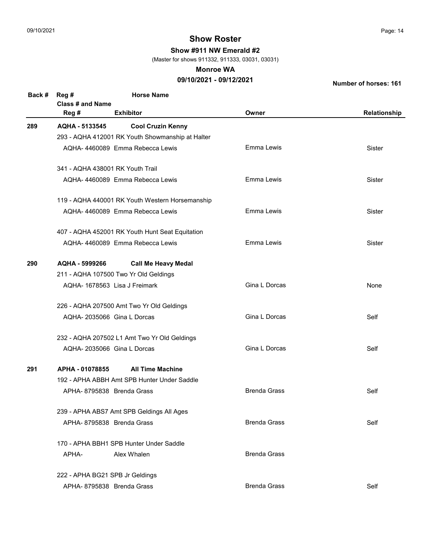Show #911 NW Emerald #2

(Master for shows 911332, 911333, 03031, 03031)

#### Monroe WA

## 09/10/2021 - 09/12/2021

| Back # | Reg #<br><b>Class # and Name</b> | <b>Horse Name</b>                                |                     |              |
|--------|----------------------------------|--------------------------------------------------|---------------------|--------------|
|        | Reg #                            | <b>Exhibitor</b>                                 | Owner               | Relationship |
| 289    | AQHA - 5133545                   | <b>Cool Cruzin Kenny</b>                         |                     |              |
|        |                                  | 293 - AQHA 412001 RK Youth Showmanship at Halter |                     |              |
|        |                                  | AQHA-4460089 Emma Rebecca Lewis                  | Emma Lewis          | Sister       |
|        | 341 - AQHA 438001 RK Youth Trail |                                                  |                     |              |
|        |                                  | AQHA-4460089 Emma Rebecca Lewis                  | Emma Lewis          | Sister       |
|        |                                  | 119 - AQHA 440001 RK Youth Western Horsemanship  |                     |              |
|        |                                  | AQHA-4460089 Emma Rebecca Lewis                  | Emma Lewis          | Sister       |
|        |                                  | 407 - AQHA 452001 RK Youth Hunt Seat Equitation  |                     |              |
|        |                                  | AQHA-4460089 Emma Rebecca Lewis                  | Emma Lewis          | Sister       |
| 290    | AQHA - 5999266                   | <b>Call Me Heavy Medal</b>                       |                     |              |
|        |                                  | 211 - AQHA 107500 Two Yr Old Geldings            |                     |              |
|        |                                  | AQHA- 1678563 Lisa J Freimark                    | Gina L Dorcas       | None         |
|        |                                  | 226 - AQHA 207500 Amt Two Yr Old Geldings        |                     |              |
|        | AQHA-2035066 Gina L Dorcas       |                                                  | Gina L Dorcas       | Self         |
|        |                                  | 232 - AQHA 207502 L1 Amt Two Yr Old Geldings     |                     |              |
|        | AQHA-2035066 Gina L Dorcas       |                                                  | Gina L Dorcas       | Self         |
| 291    | APHA - 01078855                  | <b>All Time Machine</b>                          |                     |              |
|        |                                  | 192 - APHA ABBH Amt SPB Hunter Under Saddle      |                     |              |
|        | APHA-8795838 Brenda Grass        |                                                  | <b>Brenda Grass</b> | Self         |
|        |                                  | 239 - APHA ABS7 Amt SPB Geldings All Ages        |                     |              |
|        | APHA-8795838 Brenda Grass        |                                                  | <b>Brenda Grass</b> | Self         |
|        |                                  | 170 - APHA BBH1 SPB Hunter Under Saddle          |                     |              |
|        | APHA-                            | Alex Whalen                                      | <b>Brenda Grass</b> |              |
|        | 222 - APHA BG21 SPB Jr Geldings  |                                                  |                     |              |
|        | APHA- 8795838 Brenda Grass       |                                                  | <b>Brenda Grass</b> | Self         |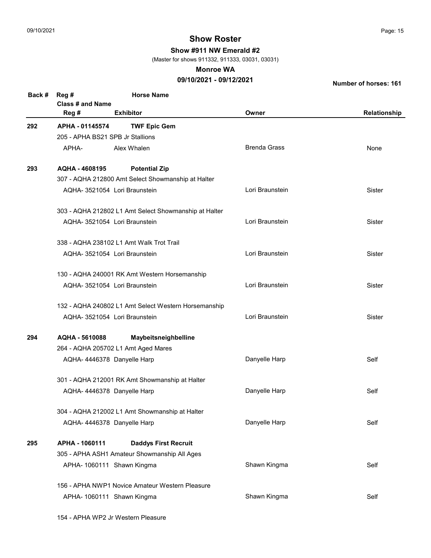Show #911 NW Emerald #2

(Master for shows 911332, 911333, 03031, 03031)

#### Monroe WA

## 09/10/2021 - 09/12/2021

| Back # | Reg #<br><b>Class # and Name</b> | <b>Horse Name</b>                                     |                     |              |
|--------|----------------------------------|-------------------------------------------------------|---------------------|--------------|
|        | Reg #                            | <b>Exhibitor</b>                                      | Owner               | Relationship |
| 292    | APHA - 01145574                  | <b>TWF Epic Gem</b>                                   |                     |              |
|        | 205 - APHA BS21 SPB Jr Stallions |                                                       |                     |              |
|        | APHA-                            | Alex Whalen                                           | <b>Brenda Grass</b> | None         |
| 293    | AQHA - 4608195                   | <b>Potential Zip</b>                                  |                     |              |
|        |                                  | 307 - AQHA 212800 Amt Select Showmanship at Halter    |                     |              |
|        |                                  | AQHA- 3521054 Lori Braunstein                         | Lori Braunstein     | Sister       |
|        |                                  | 303 - AQHA 212802 L1 Amt Select Showmanship at Halter |                     |              |
|        |                                  | AQHA- 3521054 Lori Braunstein                         | Lori Braunstein     | Sister       |
|        |                                  | 338 - AQHA 238102 L1 Amt Walk Trot Trail              |                     |              |
|        |                                  | AQHA- 3521054 Lori Braunstein                         | Lori Braunstein     | Sister       |
|        |                                  | 130 - AQHA 240001 RK Amt Western Horsemanship         |                     |              |
|        |                                  | AQHA- 3521054 Lori Braunstein                         | Lori Braunstein     | Sister       |
|        |                                  | 132 - AQHA 240802 L1 Amt Select Western Horsemanship  |                     |              |
|        |                                  | AQHA- 3521054 Lori Braunstein                         | Lori Braunstein     | Sister       |
| 294    | AQHA - 5610088                   | Maybeitsneighbelline                                  |                     |              |
|        |                                  | 264 - AQHA 205702 L1 Amt Aged Mares                   |                     |              |
|        | AQHA- 4446378 Danyelle Harp      |                                                       | Danyelle Harp       | Self         |
|        |                                  | 301 - AQHA 212001 RK Amt Showmanship at Halter        |                     |              |
|        | AQHA- 4446378 Danyelle Harp      |                                                       | Danyelle Harp       | Self         |
|        |                                  | 304 - AQHA 212002 L1 Amt Showmanship at Halter        |                     |              |
|        | AQHA- 4446378 Danyelle Harp      |                                                       | Danyelle Harp       | Self         |
| 295    | APHA - 1060111                   | <b>Daddys First Recruit</b>                           |                     |              |
|        |                                  | 305 - APHA ASH1 Amateur Showmanship All Ages          |                     |              |
|        |                                  | APHA- 1060111 Shawn Kingma                            | Shawn Kingma        | Self         |
|        |                                  | 156 - APHA NWP1 Novice Amateur Western Pleasure       |                     |              |
|        |                                  | APHA- 1060111 Shawn Kingma                            | Shawn Kingma        | Self         |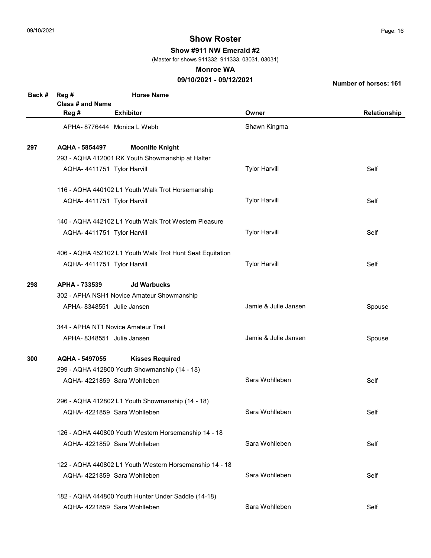Show #911 NW Emerald #2

(Master for shows 911332, 911333, 03031, 03031)

#### Monroe WA

## 09/10/2021 - 09/12/2021

| Back # | Reg #<br>Class # and Name  | <b>Horse Name</b>                                         |                      |              |
|--------|----------------------------|-----------------------------------------------------------|----------------------|--------------|
|        | Reg #                      | <b>Exhibitor</b>                                          | Owner                | Relationship |
|        |                            | APHA-8776444 Monica L Webb                                | Shawn Kingma         |              |
| 297    | AQHA - 5854497             | <b>Moonlite Knight</b>                                    |                      |              |
|        |                            | 293 - AQHA 412001 RK Youth Showmanship at Halter          |                      |              |
|        | AQHA-4411751 Tylor Harvill |                                                           | <b>Tylor Harvill</b> | Self         |
|        |                            | 116 - AQHA 440102 L1 Youth Walk Trot Horsemanship         |                      |              |
|        | AQHA-4411751 Tylor Harvill |                                                           | <b>Tylor Harvill</b> | Self         |
|        |                            | 140 - AQHA 442102 L1 Youth Walk Trot Western Pleasure     |                      |              |
|        | AQHA-4411751 Tylor Harvill |                                                           | <b>Tylor Harvill</b> | Self         |
|        |                            | 406 - AQHA 452102 L1 Youth Walk Trot Hunt Seat Equitation |                      |              |
|        | AQHA-4411751 Tylor Harvill |                                                           | <b>Tylor Harvill</b> | Self         |
| 298    | APHA - 733539              | <b>Jd Warbucks</b>                                        |                      |              |
|        |                            | 302 - APHA NSH1 Novice Amateur Showmanship                |                      |              |
|        | APHA-8348551 Julie Jansen  |                                                           | Jamie & Julie Jansen | Spouse       |
|        |                            | 344 - APHA NT1 Novice Amateur Trail                       |                      |              |
|        | APHA-8348551 Julie Jansen  |                                                           | Jamie & Julie Jansen | Spouse       |
| 300    | AQHA - 5497055             | <b>Kisses Required</b>                                    |                      |              |
|        |                            | 299 - AQHA 412800 Youth Showmanship (14 - 18)             |                      |              |
|        |                            | AQHA-4221859 Sara Wohlleben                               | Sara Wohlleben       | Self         |
|        |                            | 296 - AQHA 412802 L1 Youth Showmanship (14 - 18)          |                      |              |
|        |                            | AQHA- 4221859 Sara Wohlleben                              | Sara Wohlleben       | Self         |
|        |                            | 126 - AQHA 440800 Youth Western Horsemanship 14 - 18      |                      |              |
|        |                            | AQHA-4221859 Sara Wohlleben                               | Sara Wohlleben       | Self         |
|        |                            | 122 - AQHA 440802 L1 Youth Western Horsemanship 14 - 18   |                      |              |
|        |                            | AQHA-4221859 Sara Wohlleben                               | Sara Wohlleben       | Self         |
|        |                            | 182 - AQHA 444800 Youth Hunter Under Saddle (14-18)       |                      |              |
|        |                            | AQHA- 4221859 Sara Wohlleben                              | Sara Wohlleben       | Self         |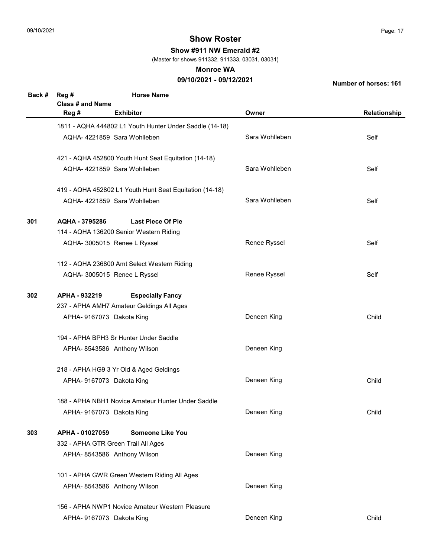Show #911 NW Emerald #2

(Master for shows 911332, 911333, 03031, 03031)

#### Monroe WA

## 09/10/2021 - 09/12/2021

| <b>Class # and Name</b><br><b>Exhibitor</b><br>Reg #<br>Owner<br>1811 - AQHA 444802 L1 Youth Hunter Under Saddle (14-18)<br>Sara Wohlleben<br>AQHA- 4221859 Sara Wohlleben<br>Self<br>421 - AQHA 452800 Youth Hunt Seat Equitation (14-18)<br>Sara Wohlleben<br>AQHA- 4221859 Sara Wohlleben<br>Self<br>419 - AQHA 452802 L1 Youth Hunt Seat Equitation (14-18)<br>Sara Wohlleben<br>AQHA- 4221859 Sara Wohlleben<br>Self<br><b>Last Piece Of Pie</b><br>301<br>AQHA - 3795286<br>114 - AQHA 136200 Senior Western Riding<br>Renee Ryssel<br>AQHA- 3005015 Renee L Ryssel<br>Self<br>112 - AQHA 236800 Amt Select Western Riding<br>Renee Ryssel<br>AQHA- 3005015 Renee L Ryssel<br>Self<br>APHA - 932219<br>302<br><b>Especially Fancy</b><br>237 - APHA AMH7 Amateur Geldings All Ages<br>Deneen King<br>Child<br>APHA- 9167073 Dakota King<br>194 - APHA BPH3 Sr Hunter Under Saddle<br>Deneen King<br>APHA-8543586 Anthony Wilson<br>218 - APHA HG9 3 Yr Old & Aged Geldings<br>Deneen King<br>Child<br>APHA- 9167073 Dakota King<br>188 - APHA NBH1 Novice Amateur Hunter Under Saddle<br>Deneen King<br>Child<br>APHA- 9167073 Dakota King<br>APHA - 01027059<br><b>Someone Like You</b><br>303<br>332 - APHA GTR Green Trail All Ages<br>Deneen King<br>APHA- 8543586 Anthony Wilson<br>101 - APHA GWR Green Western Riding All Ages<br>Deneen King<br>APHA- 8543586 Anthony Wilson | Back # | Reg # | <b>Horse Name</b> |              |
|--------------------------------------------------------------------------------------------------------------------------------------------------------------------------------------------------------------------------------------------------------------------------------------------------------------------------------------------------------------------------------------------------------------------------------------------------------------------------------------------------------------------------------------------------------------------------------------------------------------------------------------------------------------------------------------------------------------------------------------------------------------------------------------------------------------------------------------------------------------------------------------------------------------------------------------------------------------------------------------------------------------------------------------------------------------------------------------------------------------------------------------------------------------------------------------------------------------------------------------------------------------------------------------------------------------------------------------------------------------------------------------------|--------|-------|-------------------|--------------|
|                                                                                                                                                                                                                                                                                                                                                                                                                                                                                                                                                                                                                                                                                                                                                                                                                                                                                                                                                                                                                                                                                                                                                                                                                                                                                                                                                                                            |        |       |                   |              |
|                                                                                                                                                                                                                                                                                                                                                                                                                                                                                                                                                                                                                                                                                                                                                                                                                                                                                                                                                                                                                                                                                                                                                                                                                                                                                                                                                                                            |        |       |                   | Relationship |
|                                                                                                                                                                                                                                                                                                                                                                                                                                                                                                                                                                                                                                                                                                                                                                                                                                                                                                                                                                                                                                                                                                                                                                                                                                                                                                                                                                                            |        |       |                   |              |
|                                                                                                                                                                                                                                                                                                                                                                                                                                                                                                                                                                                                                                                                                                                                                                                                                                                                                                                                                                                                                                                                                                                                                                                                                                                                                                                                                                                            |        |       |                   |              |
|                                                                                                                                                                                                                                                                                                                                                                                                                                                                                                                                                                                                                                                                                                                                                                                                                                                                                                                                                                                                                                                                                                                                                                                                                                                                                                                                                                                            |        |       |                   |              |
|                                                                                                                                                                                                                                                                                                                                                                                                                                                                                                                                                                                                                                                                                                                                                                                                                                                                                                                                                                                                                                                                                                                                                                                                                                                                                                                                                                                            |        |       |                   |              |
|                                                                                                                                                                                                                                                                                                                                                                                                                                                                                                                                                                                                                                                                                                                                                                                                                                                                                                                                                                                                                                                                                                                                                                                                                                                                                                                                                                                            |        |       |                   |              |
|                                                                                                                                                                                                                                                                                                                                                                                                                                                                                                                                                                                                                                                                                                                                                                                                                                                                                                                                                                                                                                                                                                                                                                                                                                                                                                                                                                                            |        |       |                   |              |
|                                                                                                                                                                                                                                                                                                                                                                                                                                                                                                                                                                                                                                                                                                                                                                                                                                                                                                                                                                                                                                                                                                                                                                                                                                                                                                                                                                                            |        |       |                   |              |
|                                                                                                                                                                                                                                                                                                                                                                                                                                                                                                                                                                                                                                                                                                                                                                                                                                                                                                                                                                                                                                                                                                                                                                                                                                                                                                                                                                                            |        |       |                   |              |
|                                                                                                                                                                                                                                                                                                                                                                                                                                                                                                                                                                                                                                                                                                                                                                                                                                                                                                                                                                                                                                                                                                                                                                                                                                                                                                                                                                                            |        |       |                   |              |
|                                                                                                                                                                                                                                                                                                                                                                                                                                                                                                                                                                                                                                                                                                                                                                                                                                                                                                                                                                                                                                                                                                                                                                                                                                                                                                                                                                                            |        |       |                   |              |
|                                                                                                                                                                                                                                                                                                                                                                                                                                                                                                                                                                                                                                                                                                                                                                                                                                                                                                                                                                                                                                                                                                                                                                                                                                                                                                                                                                                            |        |       |                   |              |
|                                                                                                                                                                                                                                                                                                                                                                                                                                                                                                                                                                                                                                                                                                                                                                                                                                                                                                                                                                                                                                                                                                                                                                                                                                                                                                                                                                                            |        |       |                   |              |
|                                                                                                                                                                                                                                                                                                                                                                                                                                                                                                                                                                                                                                                                                                                                                                                                                                                                                                                                                                                                                                                                                                                                                                                                                                                                                                                                                                                            |        |       |                   |              |
|                                                                                                                                                                                                                                                                                                                                                                                                                                                                                                                                                                                                                                                                                                                                                                                                                                                                                                                                                                                                                                                                                                                                                                                                                                                                                                                                                                                            |        |       |                   |              |
|                                                                                                                                                                                                                                                                                                                                                                                                                                                                                                                                                                                                                                                                                                                                                                                                                                                                                                                                                                                                                                                                                                                                                                                                                                                                                                                                                                                            |        |       |                   |              |
|                                                                                                                                                                                                                                                                                                                                                                                                                                                                                                                                                                                                                                                                                                                                                                                                                                                                                                                                                                                                                                                                                                                                                                                                                                                                                                                                                                                            |        |       |                   |              |
|                                                                                                                                                                                                                                                                                                                                                                                                                                                                                                                                                                                                                                                                                                                                                                                                                                                                                                                                                                                                                                                                                                                                                                                                                                                                                                                                                                                            |        |       |                   |              |
|                                                                                                                                                                                                                                                                                                                                                                                                                                                                                                                                                                                                                                                                                                                                                                                                                                                                                                                                                                                                                                                                                                                                                                                                                                                                                                                                                                                            |        |       |                   |              |
|                                                                                                                                                                                                                                                                                                                                                                                                                                                                                                                                                                                                                                                                                                                                                                                                                                                                                                                                                                                                                                                                                                                                                                                                                                                                                                                                                                                            |        |       |                   |              |
|                                                                                                                                                                                                                                                                                                                                                                                                                                                                                                                                                                                                                                                                                                                                                                                                                                                                                                                                                                                                                                                                                                                                                                                                                                                                                                                                                                                            |        |       |                   |              |
|                                                                                                                                                                                                                                                                                                                                                                                                                                                                                                                                                                                                                                                                                                                                                                                                                                                                                                                                                                                                                                                                                                                                                                                                                                                                                                                                                                                            |        |       |                   |              |
|                                                                                                                                                                                                                                                                                                                                                                                                                                                                                                                                                                                                                                                                                                                                                                                                                                                                                                                                                                                                                                                                                                                                                                                                                                                                                                                                                                                            |        |       |                   |              |
|                                                                                                                                                                                                                                                                                                                                                                                                                                                                                                                                                                                                                                                                                                                                                                                                                                                                                                                                                                                                                                                                                                                                                                                                                                                                                                                                                                                            |        |       |                   |              |
|                                                                                                                                                                                                                                                                                                                                                                                                                                                                                                                                                                                                                                                                                                                                                                                                                                                                                                                                                                                                                                                                                                                                                                                                                                                                                                                                                                                            |        |       |                   |              |
|                                                                                                                                                                                                                                                                                                                                                                                                                                                                                                                                                                                                                                                                                                                                                                                                                                                                                                                                                                                                                                                                                                                                                                                                                                                                                                                                                                                            |        |       |                   |              |
|                                                                                                                                                                                                                                                                                                                                                                                                                                                                                                                                                                                                                                                                                                                                                                                                                                                                                                                                                                                                                                                                                                                                                                                                                                                                                                                                                                                            |        |       |                   |              |
|                                                                                                                                                                                                                                                                                                                                                                                                                                                                                                                                                                                                                                                                                                                                                                                                                                                                                                                                                                                                                                                                                                                                                                                                                                                                                                                                                                                            |        |       |                   |              |
|                                                                                                                                                                                                                                                                                                                                                                                                                                                                                                                                                                                                                                                                                                                                                                                                                                                                                                                                                                                                                                                                                                                                                                                                                                                                                                                                                                                            |        |       |                   |              |
|                                                                                                                                                                                                                                                                                                                                                                                                                                                                                                                                                                                                                                                                                                                                                                                                                                                                                                                                                                                                                                                                                                                                                                                                                                                                                                                                                                                            |        |       |                   |              |
|                                                                                                                                                                                                                                                                                                                                                                                                                                                                                                                                                                                                                                                                                                                                                                                                                                                                                                                                                                                                                                                                                                                                                                                                                                                                                                                                                                                            |        |       |                   |              |
|                                                                                                                                                                                                                                                                                                                                                                                                                                                                                                                                                                                                                                                                                                                                                                                                                                                                                                                                                                                                                                                                                                                                                                                                                                                                                                                                                                                            |        |       |                   |              |
|                                                                                                                                                                                                                                                                                                                                                                                                                                                                                                                                                                                                                                                                                                                                                                                                                                                                                                                                                                                                                                                                                                                                                                                                                                                                                                                                                                                            |        |       |                   |              |
|                                                                                                                                                                                                                                                                                                                                                                                                                                                                                                                                                                                                                                                                                                                                                                                                                                                                                                                                                                                                                                                                                                                                                                                                                                                                                                                                                                                            |        |       |                   |              |
|                                                                                                                                                                                                                                                                                                                                                                                                                                                                                                                                                                                                                                                                                                                                                                                                                                                                                                                                                                                                                                                                                                                                                                                                                                                                                                                                                                                            |        |       |                   |              |
| 156 - APHA NWP1 Novice Amateur Western Pleasure                                                                                                                                                                                                                                                                                                                                                                                                                                                                                                                                                                                                                                                                                                                                                                                                                                                                                                                                                                                                                                                                                                                                                                                                                                                                                                                                            |        |       |                   |              |
| Deneen King<br>Child<br>APHA- 9167073 Dakota King                                                                                                                                                                                                                                                                                                                                                                                                                                                                                                                                                                                                                                                                                                                                                                                                                                                                                                                                                                                                                                                                                                                                                                                                                                                                                                                                          |        |       |                   |              |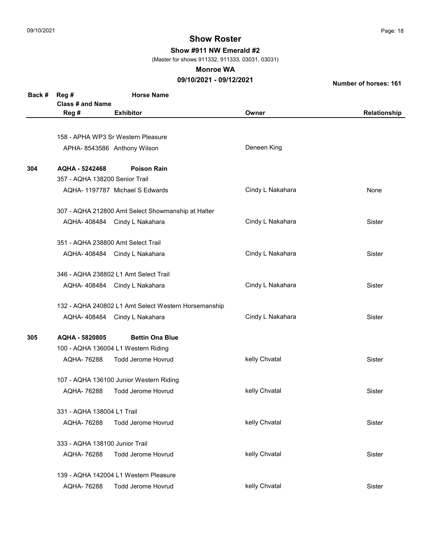Show #911 NW Emerald #2

(Master for shows 911332, 911333, 03031, 03031)

#### Monroe WA

## 09/10/2021 - 09/12/2021

| Back # | Reg #                          | <b>Horse Name</b>                                    |                  |              |
|--------|--------------------------------|------------------------------------------------------|------------------|--------------|
|        | <b>Class # and Name</b>        |                                                      |                  |              |
|        | Reg #                          | <b>Exhibitor</b>                                     | Owner            | Relationship |
|        |                                |                                                      |                  |              |
|        |                                | 158 - APHA WP3 Sr Western Pleasure                   |                  |              |
|        |                                | APHA- 8543586 Anthony Wilson                         | Deneen King      |              |
| 304    | AQHA - 5242468                 | <b>Poison Rain</b>                                   |                  |              |
|        | 357 - AQHA 138200 Senior Trail |                                                      |                  |              |
|        |                                | AQHA-1197787 Michael S Edwards                       | Cindy L Nakahara | None         |
|        |                                | 307 - AQHA 212800 Amt Select Showmanship at Halter   |                  |              |
|        |                                | AQHA-408484 Cindy L Nakahara                         | Cindy L Nakahara | Sister       |
|        |                                | 351 - AQHA 238800 Amt Select Trail                   |                  |              |
|        |                                | AQHA-408484 Cindy L Nakahara                         | Cindy L Nakahara | Sister       |
|        |                                | 346 - AQHA 238802 L1 Amt Select Trail                |                  |              |
|        |                                | AQHA- 408484 Cindy L Nakahara                        | Cindy L Nakahara | Sister       |
|        |                                | 132 - AQHA 240802 L1 Amt Select Western Horsemanship |                  |              |
|        |                                | AQHA- 408484 Cindy L Nakahara                        | Cindy L Nakahara | Sister       |
| 305    | AQHA - 5820805                 | <b>Bettin Ona Blue</b>                               |                  |              |
|        |                                | 100 - AQHA 136004 L1 Western Riding                  |                  |              |
|        | AQHA-76288                     | <b>Todd Jerome Hovrud</b>                            | kelly Chvatal    | Sister       |
|        |                                | 107 - AQHA 136100 Junior Western Riding              |                  |              |
|        | AQHA-76288                     | <b>Todd Jerome Hovrud</b>                            | kelly Chvatal    | Sister       |
|        | 331 - AQHA 138004 L1 Trail     |                                                      |                  |              |
|        | AQHA-76288                     | <b>Todd Jerome Hovrud</b>                            | kelly Chvatal    | Sister       |
|        | 333 - AQHA 138100 Junior Trail |                                                      |                  |              |
|        | AQHA- 76288                    | <b>Todd Jerome Hovrud</b>                            | kelly Chvatal    | Sister       |
|        |                                | 139 - AQHA 142004 L1 Western Pleasure                |                  |              |
|        | AQHA- 76288                    | <b>Todd Jerome Hovrud</b>                            | kelly Chvatal    | Sister       |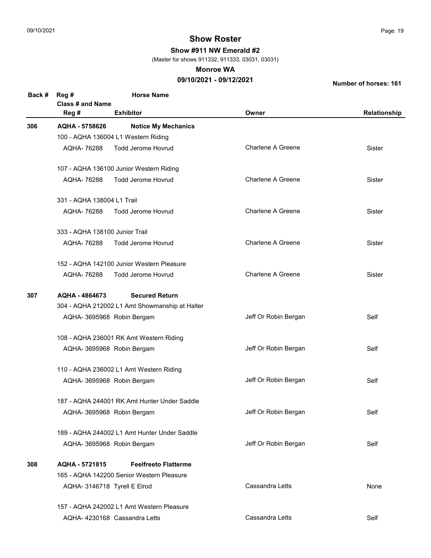Show #911 NW Emerald #2

(Master for shows 911332, 911333, 03031, 03031)

#### Monroe WA

### 09/10/2021 - 09/12/2021

| Back # | Reg #                          | <b>Horse Name</b>                              |                          |              |
|--------|--------------------------------|------------------------------------------------|--------------------------|--------------|
|        | <b>Class # and Name</b>        |                                                |                          |              |
|        | Reg #                          | <b>Exhibitor</b>                               | Owner                    | Relationship |
| 306    | AQHA - 5758626                 | <b>Notice My Mechanics</b>                     |                          |              |
|        |                                | 100 - AQHA 136004 L1 Western Riding            |                          |              |
|        | AQHA-76288                     | <b>Todd Jerome Hovrud</b>                      | <b>Charlene A Greene</b> | Sister       |
|        |                                | 107 - AQHA 136100 Junior Western Riding        |                          |              |
|        | AQHA-76288                     | <b>Todd Jerome Hovrud</b>                      | <b>Charlene A Greene</b> | Sister       |
|        | 331 - AQHA 138004 L1 Trail     |                                                |                          |              |
|        | AQHA-76288                     | <b>Todd Jerome Hovrud</b>                      | <b>Charlene A Greene</b> | Sister       |
|        | 333 - AQHA 138100 Junior Trail |                                                |                          |              |
|        | AQHA-76288                     | <b>Todd Jerome Hovrud</b>                      | <b>Charlene A Greene</b> | Sister       |
|        |                                | 152 - AQHA 142100 Junior Western Pleasure      |                          |              |
|        | AQHA-76288                     | <b>Todd Jerome Hovrud</b>                      | <b>Charlene A Greene</b> | Sister       |
| 307    | AQHA - 4864673                 | <b>Secured Return</b>                          |                          |              |
|        |                                | 304 - AQHA 212002 L1 Amt Showmanship at Halter |                          |              |
|        |                                | AQHA- 3695968 Robin Bergam                     | Jeff Or Robin Bergan     | Self         |
|        |                                | 108 - AQHA 236001 RK Amt Western Riding        |                          |              |
|        |                                | AQHA- 3695968 Robin Bergam                     | Jeff Or Robin Bergan     | Self         |
|        |                                | 110 - AQHA 236002 L1 Amt Western Riding        |                          |              |
|        |                                | AQHA- 3695968 Robin Bergam                     | Jeff Or Robin Bergan     | Self         |
|        |                                | 187 - AQHA 244001 RK Amt Hunter Under Saddle   |                          |              |
|        |                                | AQHA- 3695968 Robin Bergam                     | Jeff Or Robin Bergan     | Self         |
|        |                                | 189 - AQHA 244002 L1 Amt Hunter Under Saddle   |                          |              |
|        |                                | AQHA- 3695968 Robin Bergam                     | Jeff Or Robin Bergan     | Self         |
| 308    | AQHA - 5721815                 | <b>Feelfreeto Flatterme</b>                    |                          |              |
|        |                                | 165 - AQHA 142200 Senior Western Pleasure      |                          |              |
|        |                                | AQHA- 3146718 Tyrell E Elrod                   | Cassandra Letts          | None         |
|        |                                | 157 - AQHA 242002 L1 Amt Western Pleasure      |                          |              |
|        |                                | AQHA-4230168 Cassandra Letts                   | Cassandra Letts          | Self         |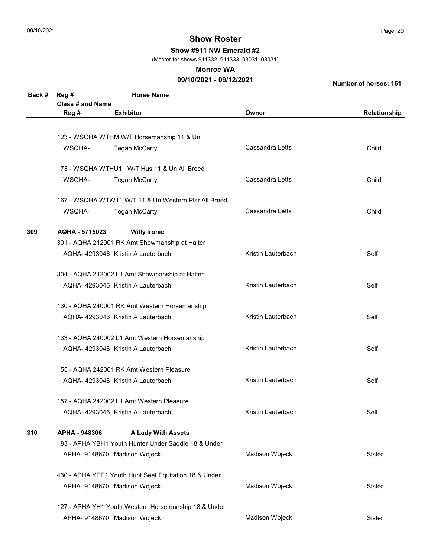Show #911 NW Emerald #2

(Master for shows 911332, 911333, 03031, 03031)

#### Monroe WA

### 09/10/2021 - 09/12/2021

| Back # | Reg #                   | <b>Horse Name</b>                                                                 |                    |               |  |
|--------|-------------------------|-----------------------------------------------------------------------------------|--------------------|---------------|--|
|        | <b>Class # and Name</b> |                                                                                   |                    |               |  |
|        | Reg #                   | <b>Exhibitor</b>                                                                  | Owner              | Relationship  |  |
|        |                         |                                                                                   |                    |               |  |
|        |                         | 123 - WSQHA WTHM W/T Horsemanship 11 & Un                                         |                    |               |  |
|        | WSQHA-                  | <b>Tegan McCarty</b>                                                              | Cassandra Letts    | Child         |  |
|        |                         |                                                                                   |                    |               |  |
|        |                         | 173 - WSQHA WTHU11 W/T Hus 11 & Un All Breed                                      |                    |               |  |
|        | WSQHA-                  | <b>Tegan McCarty</b>                                                              | Cassandra Letts    | Child         |  |
|        |                         |                                                                                   |                    |               |  |
|        |                         | 167 - WSQHA WTW11 W/T 11 & Un Western Plsr All Breed                              |                    |               |  |
|        | WSQHA-                  | <b>Tegan McCarty</b>                                                              | Cassandra Letts    | Child         |  |
|        |                         |                                                                                   |                    |               |  |
| 309    | AQHA - 5715023          | <b>Willy Ironic</b>                                                               |                    |               |  |
|        |                         | 301 - AQHA 212001 RK Amt Showmanship at Halter                                    |                    |               |  |
|        |                         | AQHA- 4293046 Kristin A Lauterbach                                                | Kristin Lauterbach | Self          |  |
|        |                         |                                                                                   |                    |               |  |
|        |                         | 304 - AQHA 212002 L1 Amt Showmanship at Halter                                    |                    |               |  |
|        |                         | AQHA-4293046 Kristin A Lauterbach                                                 | Kristin Lauterbach | Self          |  |
|        |                         | 130 - AQHA 240001 RK Amt Western Horsemanship                                     |                    |               |  |
|        |                         | AQHA-4293046 Kristin A Lauterbach                                                 | Kristin Lauterbach | Self          |  |
|        |                         |                                                                                   |                    |               |  |
|        |                         | 133 - AQHA 240002 L1 Amt Western Horsemanship                                     |                    |               |  |
|        |                         | AQHA-4293046 Kristin A Lauterbach                                                 | Kristin Lauterbach | Self          |  |
|        |                         |                                                                                   |                    |               |  |
|        |                         | 155 - AQHA 242001 RK Amt Western Pleasure                                         |                    |               |  |
|        |                         | AQHA-4293046 Kristin A Lauterbach                                                 | Kristin Lauterbach | Self          |  |
|        |                         |                                                                                   |                    |               |  |
|        |                         | 157 - AQHA 242002 L1 Amt Western Pleasure                                         |                    |               |  |
|        |                         | AQHA- 4293046 Kristin A Lauterbach                                                | Kristin Lauterbach | Self          |  |
|        |                         |                                                                                   |                    |               |  |
| 310    | APHA - 948306           | <b>A Lady With Assets</b><br>183 - APHA YBH1 Youth Hunter Under Saddle 18 & Under |                    |               |  |
|        |                         |                                                                                   |                    |               |  |
|        |                         | APHA- 9148670 Madison Wojeck                                                      | Madison Wojeck     | Sister        |  |
|        |                         | 430 - APHA YEE1 Youth Hunt Seat Equitation 18 & Under                             |                    |               |  |
|        |                         | APHA- 9148670 Madison Wojeck                                                      | Madison Wojeck     | <b>Sister</b> |  |
|        |                         |                                                                                   |                    |               |  |
|        |                         | 127 - APHA YH1 Youth Western Horsemanship 18 & Under                              |                    |               |  |
|        |                         | APHA- 9148670 Madison Wojeck                                                      | Madison Wojeck     | Sister        |  |
|        |                         |                                                                                   |                    |               |  |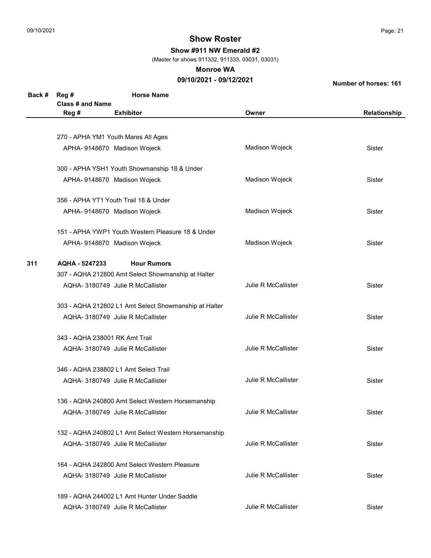Show #911 NW Emerald #2

(Master for shows 911332, 911333, 03031, 03031)

#### Monroe WA

## 09/10/2021 - 09/12/2021

| Back # | Reg #                          | <b>Horse Name</b>                                     |                            |              |
|--------|--------------------------------|-------------------------------------------------------|----------------------------|--------------|
|        | <b>Class # and Name</b>        |                                                       |                            |              |
|        | Reg #                          | <b>Exhibitor</b>                                      | Owner                      | Relationship |
|        |                                |                                                       |                            |              |
|        |                                | 270 - APHA YM1 Youth Mares All Ages                   |                            |              |
|        |                                | APHA- 9148670 Madison Wojeck                          | Madison Wojeck             | Sister       |
|        |                                |                                                       |                            |              |
|        |                                | 300 - APHA YSH1 Youth Showmanship 18 & Under          |                            |              |
|        |                                | APHA- 9148670 Madison Wojeck                          | Madison Wojeck             | Sister       |
|        |                                |                                                       |                            |              |
|        |                                | 356 - APHA YT1 Youth Trail 18 & Under                 |                            |              |
|        |                                | APHA- 9148670 Madison Wojeck                          | Madison Wojeck             | Sister       |
|        |                                | 151 - APHA YWP1 Youth Western Pleasure 18 & Under     |                            |              |
|        |                                | APHA- 9148670 Madison Wojeck                          | Madison Wojeck             | Sister       |
|        |                                |                                                       |                            |              |
| 311    | AQHA - 5247233                 | <b>Hour Rumors</b>                                    |                            |              |
|        |                                | 307 - AQHA 212800 Amt Select Showmanship at Halter    |                            |              |
|        |                                | AQHA- 3180749 Julie R McCallister                     | <b>Julie R McCallister</b> | Sister       |
|        |                                |                                                       |                            |              |
|        |                                | 303 - AQHA 212802 L1 Amt Select Showmanship at Halter |                            |              |
|        |                                | AQHA- 3180749 Julie R McCallister                     | Julie R McCallister        | Sister       |
|        | 343 - AQHA 238001 RK Amt Trail |                                                       |                            |              |
|        |                                | AQHA- 3180749 Julie R McCallister                     | Julie R McCallister        | Sister       |
|        |                                |                                                       |                            |              |
|        |                                | 346 - AQHA 238802 L1 Amt Select Trail                 |                            |              |
|        |                                | AQHA- 3180749 Julie R McCallister                     | Julie R McCallister        | Sister       |
|        |                                |                                                       |                            |              |
|        |                                | 136 - AQHA 240800 Amt Select Western Horsemanship     |                            |              |
|        |                                | AQHA- 3180749 Julie R McCallister                     | Julie R McCallister        | Sister       |
|        |                                | 132 - AQHA 240802 L1 Amt Select Western Horsemanship  |                            |              |
|        |                                | AQHA- 3180749 Julie R McCallister                     | <b>Julie R McCallister</b> | Sister       |
|        |                                |                                                       |                            |              |
|        |                                | 164 - AQHA 242800 Amt Select Western Pleasure         |                            |              |
|        |                                | AQHA- 3180749 Julie R McCallister                     | <b>Julie R McCallister</b> | Sister       |
|        |                                |                                                       |                            |              |
|        |                                | 189 - AQHA 244002 L1 Amt Hunter Under Saddle          |                            |              |
|        |                                | AQHA- 3180749 Julie R McCallister                     | Julie R McCallister        | Sister       |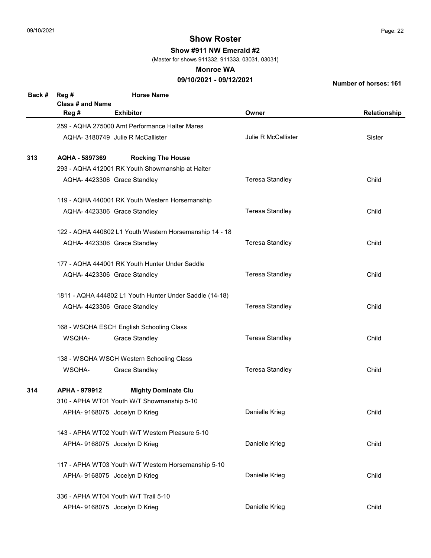Show #911 NW Emerald #2

(Master for shows 911332, 911333, 03031, 03031)

#### Monroe WA

## 09/10/2021 - 09/12/2021

| Back # | Reg #<br><b>Class # and Name</b> | <b>Horse Name</b>                                       |                        |              |
|--------|----------------------------------|---------------------------------------------------------|------------------------|--------------|
|        | Reg #                            | <b>Exhibitor</b>                                        | Owner                  | Relationship |
|        |                                  | 259 - AQHA 275000 Amt Performance Halter Mares          |                        |              |
|        |                                  | AQHA- 3180749 Julie R McCallister                       | Julie R McCallister    | Sister       |
| 313    | AQHA - 5897369                   | <b>Rocking The House</b>                                |                        |              |
|        |                                  | 293 - AQHA 412001 RK Youth Showmanship at Halter        |                        |              |
|        |                                  | AQHA-4423306 Grace Standley                             | <b>Teresa Standley</b> | Child        |
|        |                                  | 119 - AQHA 440001 RK Youth Western Horsemanship         |                        |              |
|        |                                  | AQHA-4423306 Grace Standley                             | <b>Teresa Standley</b> | Child        |
|        |                                  | 122 - AQHA 440802 L1 Youth Western Horsemanship 14 - 18 |                        |              |
|        |                                  | AQHA-4423306 Grace Standley                             | <b>Teresa Standley</b> | Child        |
|        |                                  | 177 - AQHA 444001 RK Youth Hunter Under Saddle          |                        |              |
|        |                                  | AQHA- 4423306 Grace Standley                            | <b>Teresa Standley</b> | Child        |
|        |                                  | 1811 - AQHA 444802 L1 Youth Hunter Under Saddle (14-18) |                        |              |
|        |                                  | AQHA-4423306 Grace Standley                             | <b>Teresa Standley</b> | Child        |
|        |                                  | 168 - WSQHA ESCH English Schooling Class                |                        |              |
|        | WSQHA-                           | <b>Grace Standley</b>                                   | <b>Teresa Standley</b> | Child        |
|        |                                  | 138 - WSQHA WSCH Western Schooling Class                |                        |              |
|        | WSQHA-                           | <b>Grace Standley</b>                                   | <b>Teresa Standley</b> | Child        |
| 314    | APHA - 979912                    | <b>Mighty Dominate Clu</b>                              |                        |              |
|        |                                  | 310 - APHA WT01 Youth W/T Showmanship 5-10              |                        |              |
|        |                                  | APHA- 9168075 Jocelyn D Krieg                           | Danielle Krieg         | Child        |
|        |                                  | 143 - APHA WT02 Youth W/T Western Pleasure 5-10         |                        |              |
|        |                                  | APHA- 9168075 Jocelyn D Krieg                           | Danielle Krieg         | Child        |
|        |                                  | 117 - APHA WT03 Youth W/T Western Horsemanship 5-10     |                        |              |
|        |                                  | APHA- 9168075 Jocelyn D Krieg                           | Danielle Krieg         | Child        |
|        |                                  | 336 - APHA WT04 Youth W/T Trail 5-10                    |                        |              |
|        |                                  | APHA- 9168075 Jocelyn D Krieg                           | Danielle Krieg         | Child        |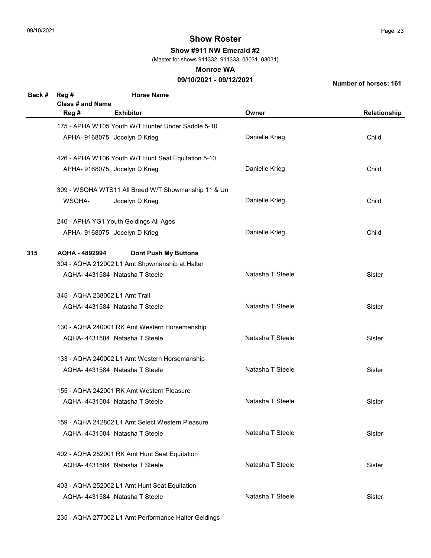Show #911 NW Emerald #2

(Master for shows 911332, 911333, 03031, 03031)

#### Monroe WA

## 09/10/2021 - 09/12/2021

Number of horses: 161

| Back # | Reg #<br><b>Class # and Name</b> | <b>Horse Name</b>                                   |                  |               |
|--------|----------------------------------|-----------------------------------------------------|------------------|---------------|
|        | Reg #                            | <b>Exhibitor</b>                                    | Owner            | Relationship  |
|        |                                  | 175 - APHA WT05 Youth W/T Hunter Under Saddle 5-10  |                  |               |
|        |                                  | APHA- 9168075 Jocelyn D Krieg                       | Danielle Krieg   | Child         |
|        |                                  | 426 - APHA WT06 Youth W/T Hunt Seat Equitation 5-10 |                  |               |
|        |                                  | APHA- 9168075 Jocelyn D Krieg                       | Danielle Krieg   | Child         |
|        |                                  | 309 - WSQHA WTS11 All Breed W/T Showmanship 11 & Un |                  |               |
|        | WSQHA-                           | Jocelyn D Krieg                                     | Danielle Krieg   | Child         |
|        |                                  | 240 - APHA YG1 Youth Geldings All Ages              |                  |               |
|        |                                  | APHA- 9168075 Jocelyn D Krieg                       | Danielle Krieg   | Child         |
| 315    | AQHA - 4892994                   | <b>Dont Push My Buttons</b>                         |                  |               |
|        |                                  | 304 - AQHA 212002 L1 Amt Showmanship at Halter      |                  |               |
|        |                                  | AQHA-4431584 Natasha T Steele                       | Natasha T Steele | Sister        |
|        | 345 - AQHA 238002 L1 Amt Trail   |                                                     |                  |               |
|        |                                  | AQHA-4431584 Natasha T Steele                       | Natasha T Steele | <b>Sister</b> |
|        |                                  | 130 - AQHA 240001 RK Amt Western Horsemanship       |                  |               |
|        |                                  | AQHA-4431584 Natasha T Steele                       | Natasha T Steele | <b>Sister</b> |
|        |                                  | 133 - AQHA 240002 L1 Amt Western Horsemanship       |                  |               |
|        |                                  | AQHA-4431584 Natasha T Steele                       | Natasha T Steele | <b>Sister</b> |
|        |                                  | 155 - AQHA 242001 RK Amt Western Pleasure           |                  |               |
|        |                                  | AQHA-4431584 Natasha T Steele                       | Natasha T Steele | Sister        |
|        |                                  | 159 - AQHA 242802 L1 Amt Select Western Pleasure    |                  |               |
|        |                                  | AQHA-4431584 Natasha T Steele                       | Natasha T Steele | Sister        |
|        |                                  | 402 - AQHA 252001 RK Amt Hunt Seat Equitation       |                  |               |
|        |                                  | AQHA-4431584 Natasha T Steele                       | Natasha T Steele | Sister        |
|        |                                  | 403 - AQHA 252002 L1 Amt Hunt Seat Equitation       |                  |               |
|        |                                  | AQHA-4431584 Natasha T Steele                       | Natasha T Steele | Sister        |
|        |                                  |                                                     |                  |               |

235 - AQHA 277002 L1 Amt Performance Halter Geldings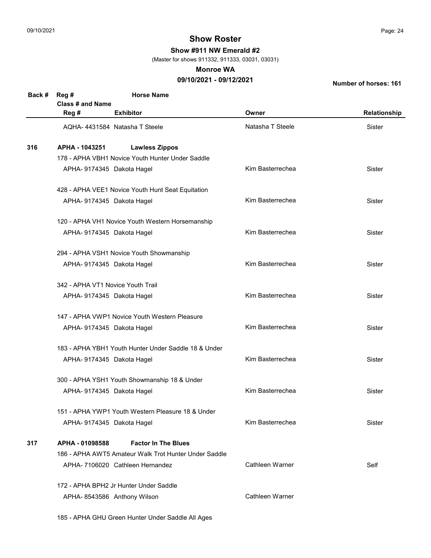Show #911 NW Emerald #2

(Master for shows 911332, 911333, 03031, 03031)

#### Monroe WA

## 09/10/2021 - 09/12/2021

Number of horses: 161

| Back # | Reg #                             | <b>Horse Name</b>                                     |                  |              |
|--------|-----------------------------------|-------------------------------------------------------|------------------|--------------|
|        | Class # and Name                  |                                                       |                  |              |
|        | Reg #                             | <b>Exhibitor</b>                                      | Owner            | Relationship |
|        |                                   | AQHA-4431584 Natasha T Steele                         | Natasha T Steele | Sister       |
| 316    | APHA - 1043251                    | <b>Lawless Zippos</b>                                 |                  |              |
|        |                                   | 178 - APHA VBH1 Novice Youth Hunter Under Saddle      |                  |              |
|        | APHA- 9174345 Dakota Hagel        |                                                       | Kim Basterrechea | Sister       |
|        |                                   | 428 - APHA VEE1 Novice Youth Hunt Seat Equitation     |                  |              |
|        | APHA- 9174345 Dakota Hagel        |                                                       | Kim Basterrechea | Sister       |
|        |                                   | 120 - APHA VH1 Novice Youth Western Horsemanship      |                  |              |
|        | APHA- 9174345 Dakota Hagel        |                                                       | Kim Basterrechea | Sister       |
|        |                                   | 294 - APHA VSH1 Novice Youth Showmanship              |                  |              |
|        | APHA- 9174345 Dakota Hagel        |                                                       | Kim Basterrechea | Sister       |
|        | 342 - APHA VT1 Novice Youth Trail |                                                       |                  |              |
|        | APHA- 9174345 Dakota Hagel        |                                                       | Kim Basterrechea | Sister       |
|        |                                   | 147 - APHA VWP1 Novice Youth Western Pleasure         |                  |              |
|        | APHA-9174345 Dakota Hagel         |                                                       | Kim Basterrechea | Sister       |
|        |                                   | 183 - APHA YBH1 Youth Hunter Under Saddle 18 & Under  |                  |              |
|        | APHA- 9174345 Dakota Hagel        |                                                       | Kim Basterrechea | Sister       |
|        |                                   | 300 - APHA YSH1 Youth Showmanship 18 & Under          |                  |              |
|        | APHA- 9174345 Dakota Hagel        |                                                       | Kim Basterrechea | Sister       |
|        |                                   | 151 - APHA YWP1 Youth Western Pleasure 18 & Under     |                  |              |
|        | APHA- 9174345 Dakota Hagel        |                                                       | Kim Basterrechea | Sister       |
| 317    | APHA - 01098588                   | <b>Factor In The Blues</b>                            |                  |              |
|        |                                   | 186 - APHA AWT5 Amateur Walk Trot Hunter Under Saddle |                  |              |
|        |                                   | APHA-7106020 Cathleen Hernandez                       | Cathleen Warner  | Self         |
|        |                                   | 172 - APHA BPH2 Jr Hunter Under Saddle                |                  |              |
|        |                                   | APHA-8543586 Anthony Wilson                           | Cathleen Warner  |              |
|        |                                   |                                                       |                  |              |

185 - APHA GHU Green Hunter Under Saddle All Ages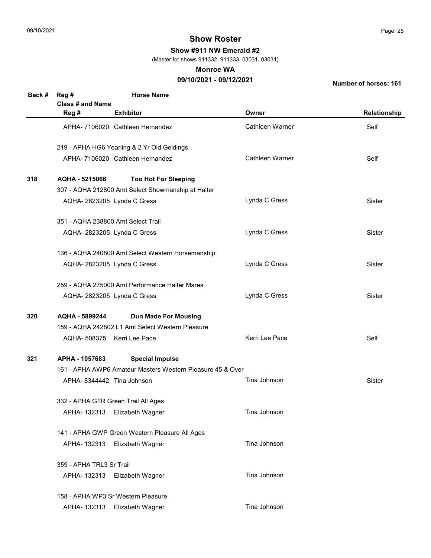Show #911 NW Emerald #2

(Master for shows 911332, 911333, 03031, 03031)

#### Monroe WA

## 09/10/2021 - 09/12/2021

| Back # | Reg #<br>Class # and Name           | <b>Horse Name</b>                                          |                 |              |  |  |  |
|--------|-------------------------------------|------------------------------------------------------------|-----------------|--------------|--|--|--|
|        | Reg #                               | <b>Exhibitor</b>                                           | Owner           | Relationship |  |  |  |
|        |                                     | APHA- 7106020 Cathleen Hernandez                           | Cathleen Warner | Self         |  |  |  |
|        |                                     | 219 - APHA HG6 Yearling & 2 Yr Old Geldings                |                 |              |  |  |  |
|        |                                     | APHA- 7106020 Cathleen Hernandez                           | Cathleen Warner | Self         |  |  |  |
| 318    | AQHA - 5215066                      | <b>Too Hot For Sleeping</b>                                |                 |              |  |  |  |
|        |                                     | 307 - AQHA 212800 Amt Select Showmanship at Halter         |                 |              |  |  |  |
|        | AQHA-2823205 Lynda C Gress          |                                                            | Lynda C Gress   | Sister       |  |  |  |
|        | 351 - AQHA 238800 Amt Select Trail  |                                                            |                 |              |  |  |  |
|        | AQHA-2823205 Lynda C Gress          |                                                            | Lynda C Gress   | Sister       |  |  |  |
|        |                                     | 136 - AQHA 240800 Amt Select Western Horsemanship          |                 |              |  |  |  |
|        | AQHA-2823205 Lynda C Gress          |                                                            | Lynda C Gress   | Sister       |  |  |  |
|        |                                     | 259 - AQHA 275000 Amt Performance Halter Mares             |                 |              |  |  |  |
|        | AQHA-2823205 Lynda C Gress          |                                                            | Lynda C Gress   | Sister       |  |  |  |
| 320    | AQHA - 5899244                      | <b>Dun Made For Mousing</b>                                |                 |              |  |  |  |
|        |                                     | 159 - AQHA 242802 L1 Amt Select Western Pleasure           |                 |              |  |  |  |
|        | AQHA- 508375 Kerri Lee Pace         |                                                            | Kerri Lee Pace  | Self         |  |  |  |
| 321    | APHA - 1057683                      | <b>Special Impulse</b>                                     |                 |              |  |  |  |
|        |                                     | 161 - APHA AWP6 Amateur Masters Western Pleasure 45 & Over |                 |              |  |  |  |
|        | APHA-8344442 Tina Johnson           |                                                            | Tina Johnson    | Sister       |  |  |  |
|        | 332 - APHA GTR Green Trail All Ages |                                                            |                 |              |  |  |  |
|        | APHA-132313                         | Elizabeth Wagner                                           | Tina Johnson    |              |  |  |  |
|        |                                     | 141 - APHA GWP Green Western Pleasure All Ages             |                 |              |  |  |  |
|        | APHA-132313                         | Elizabeth Wagner                                           | Tina Johnson    |              |  |  |  |
|        |                                     | 359 - APHA TRL3 Sr Trail                                   |                 |              |  |  |  |
|        | APHA-132313                         | Elizabeth Wagner                                           | Tina Johnson    |              |  |  |  |
|        |                                     | 158 - APHA WP3 Sr Western Pleasure                         |                 |              |  |  |  |
|        | APHA-132313                         | Elizabeth Wagner                                           | Tina Johnson    |              |  |  |  |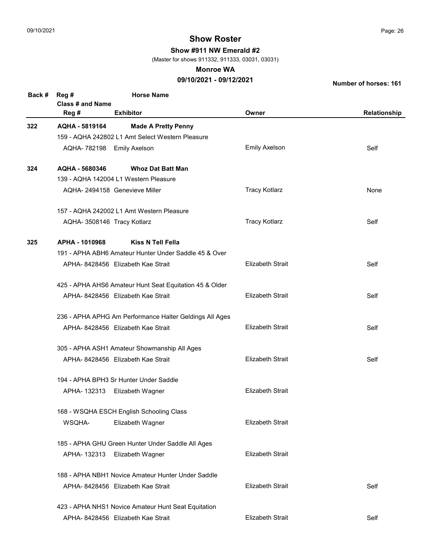Show #911 NW Emerald #2

(Master for shows 911332, 911333, 03031, 03031)

#### Monroe WA

## 09/10/2021 - 09/12/2021

| Back # | Reg #                       | <b>Horse Name</b>                                       |                         |              |
|--------|-----------------------------|---------------------------------------------------------|-------------------------|--------------|
|        | <b>Class # and Name</b>     |                                                         |                         |              |
|        | Reg #                       | <b>Exhibitor</b>                                        | Owner                   | Relationship |
| 322    | AQHA - 5819164              | <b>Made A Pretty Penny</b>                              |                         |              |
|        |                             | 159 - AQHA 242802 L1 Amt Select Western Pleasure        |                         |              |
|        | AQHA- 782198 Emily Axelson  |                                                         | <b>Emily Axelson</b>    | Self         |
| 324    | AQHA - 5680346              | <b>Whoz Dat Batt Man</b>                                |                         |              |
|        |                             | 139 - AQHA 142004 L1 Western Pleasure                   |                         |              |
|        |                             | AQHA- 2494158 Genevieve Miller                          | <b>Tracy Kotlarz</b>    | None         |
|        |                             | 157 - AQHA 242002 L1 Amt Western Pleasure               |                         |              |
|        | AQHA- 3508146 Tracy Kotlarz |                                                         | <b>Tracy Kotlarz</b>    | Self         |
| 325    | APHA - 1010968              | <b>Kiss N Tell Fella</b>                                |                         |              |
|        |                             | 191 - APHA ABH6 Amateur Hunter Under Saddle 45 & Over   |                         |              |
|        |                             | APHA-8428456 Elizabeth Kae Strait                       | <b>Elizabeth Strait</b> | Self         |
|        |                             | 425 - APHA AHS6 Amateur Hunt Seat Equitation 45 & Older |                         |              |
|        |                             | APHA-8428456 Elizabeth Kae Strait                       | <b>Elizabeth Strait</b> | Self         |
|        |                             | 236 - APHA APHG Am Performance Halter Geldings All Ages |                         |              |
|        |                             | APHA-8428456 Elizabeth Kae Strait                       | <b>Elizabeth Strait</b> | Self         |
|        |                             | 305 - APHA ASH1 Amateur Showmanship All Ages            |                         |              |
|        |                             | APHA-8428456 Elizabeth Kae Strait                       | <b>Elizabeth Strait</b> | Self         |
|        |                             | 194 - APHA BPH3 Sr Hunter Under Saddle                  |                         |              |
|        | APHA-132313                 | Elizabeth Wagner                                        | <b>Elizabeth Strait</b> |              |
|        |                             | 168 - WSQHA ESCH English Schooling Class                |                         |              |
|        | WSQHA-                      | Elizabeth Wagner                                        | <b>Elizabeth Strait</b> |              |
|        |                             | 185 - APHA GHU Green Hunter Under Saddle All Ages       |                         |              |
|        | APHA-132313                 | Elizabeth Wagner                                        | <b>Elizabeth Strait</b> |              |
|        |                             | 188 - APHA NBH1 Novice Amateur Hunter Under Saddle      |                         |              |
|        |                             | APHA- 8428456 Elizabeth Kae Strait                      | <b>Elizabeth Strait</b> | Self         |
|        |                             | 423 - APHA NHS1 Novice Amateur Hunt Seat Equitation     |                         |              |
|        |                             | APHA-8428456 Elizabeth Kae Strait                       | <b>Elizabeth Strait</b> | Self         |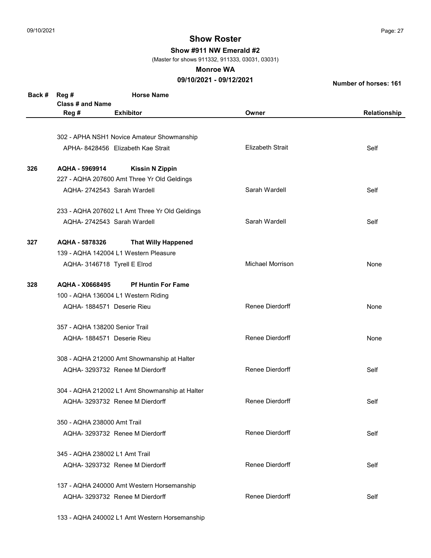Show #911 NW Emerald #2

(Master for shows 911332, 911333, 03031, 03031)

#### Monroe WA

## 09/10/2021 - 09/12/2021

Number of horses: 161

| Back # | Reg #<br>Class # and Name                      | <b>Horse Name</b>                              |                         |              |  |
|--------|------------------------------------------------|------------------------------------------------|-------------------------|--------------|--|
|        | Reg #                                          | <b>Exhibitor</b>                               | Owner                   | Relationship |  |
|        |                                                |                                                |                         |              |  |
|        |                                                | 302 - APHA NSH1 Novice Amateur Showmanship     |                         |              |  |
|        |                                                | APHA- 8428456 Elizabeth Kae Strait             | <b>Elizabeth Strait</b> | Self         |  |
| 326    | AQHA - 5969914                                 | <b>Kissin N Zippin</b>                         |                         |              |  |
|        |                                                | 227 - AQHA 207600 Amt Three Yr Old Geldings    |                         |              |  |
|        |                                                | AQHA-2742543 Sarah Wardell                     | Sarah Wardell           | Self         |  |
|        |                                                | 233 - AQHA 207602 L1 Amt Three Yr Old Geldings |                         |              |  |
|        |                                                | AQHA-2742543 Sarah Wardell                     | Sarah Wardell           | Self         |  |
| 327    | AQHA - 5878326                                 | <b>That Willy Happened</b>                     |                         |              |  |
|        |                                                | 139 - AQHA 142004 L1 Western Pleasure          |                         |              |  |
|        | AQHA- 3146718 Tyrell E Elrod                   |                                                | <b>Michael Morrison</b> | None         |  |
| 328    | <b>AQHA - X0668495</b>                         | <b>Pf Huntin For Fame</b>                      |                         |              |  |
|        |                                                | 100 - AQHA 136004 L1 Western Riding            |                         |              |  |
|        | AQHA- 1884571 Deserie Rieu                     |                                                | Renee Dierdorff         | None         |  |
|        | 357 - AQHA 138200 Senior Trail                 |                                                |                         |              |  |
|        | AQHA- 1884571 Deserie Rieu                     |                                                | <b>Renee Dierdorff</b>  | None         |  |
|        |                                                | 308 - AQHA 212000 Amt Showmanship at Halter    |                         |              |  |
|        |                                                | AQHA- 3293732 Renee M Dierdorff                | Renee Dierdorff         | Self         |  |
|        | 304 - AQHA 212002 L1 Amt Showmanship at Halter |                                                |                         |              |  |
|        |                                                | AQHA- 3293732 Renee M Dierdorff                | <b>Renee Dierdorff</b>  | Self         |  |
|        | 350 - AQHA 238000 Amt Trail                    |                                                |                         |              |  |
|        | AQHA- 3293732 Renee M Dierdorff                |                                                | Renee Dierdorff         | Self         |  |
|        | 345 - AQHA 238002 L1 Amt Trail                 |                                                |                         |              |  |
|        |                                                | AQHA- 3293732 Renee M Dierdorff                | <b>Renee Dierdorff</b>  | Self         |  |
|        |                                                | 137 - AQHA 240000 Amt Western Horsemanship     |                         |              |  |
|        |                                                | AQHA- 3293732 Renee M Dierdorff                | Renee Dierdorff         | Self         |  |

133 - AQHA 240002 L1 Amt Western Horsemanship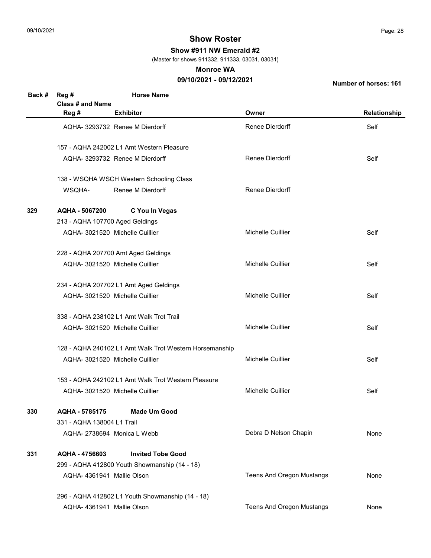Show #911 NW Emerald #2

(Master for shows 911332, 911333, 03031, 03031)

#### Monroe WA

## 09/10/2021 - 09/12/2021

| Back # | Reg #                           | <b>Horse Name</b>                                       |                                  |              |
|--------|---------------------------------|---------------------------------------------------------|----------------------------------|--------------|
|        | Class # and Name                |                                                         |                                  |              |
|        | Reg #                           | <b>Exhibitor</b>                                        | Owner                            | Relationship |
|        |                                 | AQHA- 3293732 Renee M Dierdorff                         | Renee Dierdorff                  | Self         |
|        |                                 | 157 - AQHA 242002 L1 Amt Western Pleasure               |                                  |              |
|        |                                 | AQHA- 3293732 Renee M Dierdorff                         | Renee Dierdorff                  | Self         |
|        |                                 | 138 - WSQHA WSCH Western Schooling Class                |                                  |              |
|        | WSQHA-                          | Renee M Dierdorff                                       | <b>Renee Dierdorff</b>           |              |
| 329    | AQHA - 5067200                  | C You In Vegas                                          |                                  |              |
|        | 213 - AQHA 107700 Aged Geldings |                                                         |                                  |              |
|        |                                 | AQHA- 3021520 Michelle Cuillier                         | Michelle Cuillier                | Self         |
|        |                                 | 228 - AQHA 207700 Amt Aged Geldings                     |                                  |              |
|        |                                 | AQHA- 3021520 Michelle Cuillier                         | Michelle Cuillier                | Self         |
|        |                                 | 234 - AQHA 207702 L1 Amt Aged Geldings                  |                                  |              |
|        |                                 | AQHA- 3021520 Michelle Cuillier                         | Michelle Cuillier                | Self         |
|        |                                 | 338 - AQHA 238102 L1 Amt Walk Trot Trail                |                                  |              |
|        |                                 | AQHA- 3021520 Michelle Cuillier                         | <b>Michelle Cuillier</b>         | Self         |
|        |                                 | 128 - AQHA 240102 L1 Amt Walk Trot Western Horsemanship |                                  |              |
|        |                                 | AQHA- 3021520 Michelle Cuillier                         | <b>Michelle Cuillier</b>         | Self         |
|        |                                 | 153 - AQHA 242102 L1 Amt Walk Trot Western Pleasure     |                                  |              |
|        |                                 | AQHA- 3021520 Michelle Cuillier                         | Michelle Cuillier                | Self         |
| 330    | AQHA - 5785175                  | <b>Made Um Good</b>                                     |                                  |              |
|        | 331 - AQHA 138004 L1 Trail      |                                                         |                                  |              |
|        |                                 | AQHA-2738694 Monica L Webb                              | Debra D Nelson Chapin            | None         |
| 331    | AQHA - 4756603                  | <b>Invited Tobe Good</b>                                |                                  |              |
|        |                                 | 299 - AQHA 412800 Youth Showmanship (14 - 18)           |                                  |              |
|        | AQHA-4361941 Mallie Olson       |                                                         | <b>Teens And Oregon Mustangs</b> | None         |
|        |                                 | 296 - AQHA 412802 L1 Youth Showmanship (14 - 18)        |                                  |              |
|        | AQHA- 4361941 Mallie Olson      |                                                         | <b>Teens And Oregon Mustangs</b> | None         |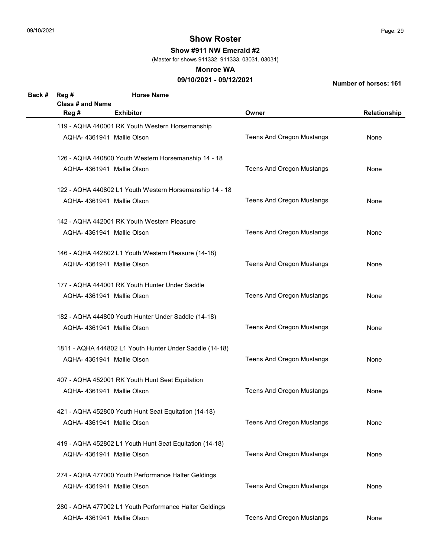Show #911 NW Emerald #2

(Master for shows 911332, 911333, 03031, 03031)

#### Monroe WA

## 09/10/2021 - 09/12/2021

| Back # | Reg #                      | <b>Horse Name</b>                                       |                                  |              |
|--------|----------------------------|---------------------------------------------------------|----------------------------------|--------------|
|        | <b>Class # and Name</b>    |                                                         |                                  |              |
|        | Reg #                      | <b>Exhibitor</b>                                        | Owner                            | Relationship |
|        |                            | 119 - AQHA 440001 RK Youth Western Horsemanship         |                                  |              |
|        | AQHA-4361941 Mallie Olson  |                                                         | <b>Teens And Oregon Mustangs</b> | None         |
|        |                            |                                                         |                                  |              |
|        |                            | 126 - AQHA 440800 Youth Western Horsemanship 14 - 18    |                                  |              |
|        | AQHA-4361941 Mallie Olson  |                                                         | <b>Teens And Oregon Mustangs</b> | None         |
|        |                            |                                                         |                                  |              |
|        |                            | 122 - AQHA 440802 L1 Youth Western Horsemanship 14 - 18 |                                  |              |
|        | AQHA-4361941 Mallie Olson  |                                                         | <b>Teens And Oregon Mustangs</b> | None         |
|        |                            |                                                         |                                  |              |
|        |                            | 142 - AQHA 442001 RK Youth Western Pleasure             |                                  |              |
|        | AQHA-4361941 Mallie Olson  |                                                         | <b>Teens And Oregon Mustangs</b> | None         |
|        |                            |                                                         |                                  |              |
|        |                            | 146 - AQHA 442802 L1 Youth Western Pleasure (14-18)     |                                  |              |
|        | AQHA-4361941 Mallie Olson  |                                                         | <b>Teens And Oregon Mustangs</b> | None         |
|        |                            |                                                         |                                  |              |
|        |                            | 177 - AQHA 444001 RK Youth Hunter Under Saddle          |                                  |              |
|        | AQHA-4361941 Mallie Olson  |                                                         | <b>Teens And Oregon Mustangs</b> | None         |
|        |                            |                                                         |                                  |              |
|        |                            | 182 - AQHA 444800 Youth Hunter Under Saddle (14-18)     |                                  |              |
|        | AQHA-4361941 Mallie Olson  |                                                         | <b>Teens And Oregon Mustangs</b> | None         |
|        |                            |                                                         |                                  |              |
|        |                            | 1811 - AQHA 444802 L1 Youth Hunter Under Saddle (14-18) |                                  |              |
|        | AQHA-4361941 Mallie Olson  |                                                         | <b>Teens And Oregon Mustangs</b> | None         |
|        |                            | 407 - AQHA 452001 RK Youth Hunt Seat Equitation         |                                  |              |
|        | AQHA-4361941 Mallie Olson  |                                                         | Teens And Oregon Mustangs        | None         |
|        |                            |                                                         |                                  |              |
|        |                            | 421 - AQHA 452800 Youth Hunt Seat Equitation (14-18)    |                                  |              |
|        | AQHA- 4361941 Mallie Olson |                                                         | Teens And Oregon Mustangs        | None         |
|        |                            |                                                         |                                  |              |
|        |                            | 419 - AQHA 452802 L1 Youth Hunt Seat Equitation (14-18) |                                  |              |
|        | AQHA- 4361941 Mallie Olson |                                                         | Teens And Oregon Mustangs        | None         |
|        |                            |                                                         |                                  |              |
|        |                            | 274 - AQHA 477000 Youth Performance Halter Geldings     |                                  |              |
|        | AQHA- 4361941 Mallie Olson |                                                         | Teens And Oregon Mustangs        | None         |
|        |                            |                                                         |                                  |              |
|        |                            | 280 - AQHA 477002 L1 Youth Performance Halter Geldings  |                                  |              |
|        | AQHA-4361941 Mallie Olson  |                                                         | <b>Teens And Oregon Mustangs</b> | None         |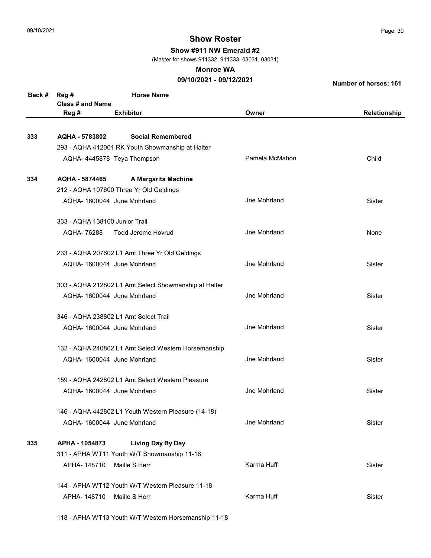Show #911 NW Emerald #2

(Master for shows 911332, 911333, 03031, 03031)

#### Monroe WA

## 09/10/2021 - 09/12/2021

Number of horses: 161

| Back # | Reg #                          | <b>Horse Name</b>                                     |                     |              |
|--------|--------------------------------|-------------------------------------------------------|---------------------|--------------|
|        | <b>Class # and Name</b>        |                                                       |                     |              |
|        | Reg #                          | <b>Exhibitor</b>                                      | Owner               | Relationship |
|        |                                |                                                       |                     |              |
| 333    | AQHA - 5783802                 | <b>Social Remembered</b>                              |                     |              |
|        |                                | 293 - AQHA 412001 RK Youth Showmanship at Halter      |                     |              |
|        |                                | AQHA-4445878 Teya Thompson                            | Pamela McMahon      | Child        |
| 334    | AQHA - 5874465                 | A Margarita Machine                                   |                     |              |
|        |                                | 212 - AQHA 107600 Three Yr Old Geldings               |                     |              |
|        |                                | AQHA-1600044 June Mohrland                            | Jne Mohrland        | Sister       |
|        | 333 - AQHA 138100 Junior Trail |                                                       |                     |              |
|        | AQHA-76288                     | <b>Todd Jerome Hovrud</b>                             | <b>Jne Mohrland</b> | None         |
|        |                                | 233 - AQHA 207602 L1 Amt Three Yr Old Geldings        |                     |              |
|        |                                | AQHA-1600044 June Mohrland                            | Jne Mohrland        | Sister       |
|        |                                | 303 - AQHA 212802 L1 Amt Select Showmanship at Halter |                     |              |
|        |                                | AQHA-1600044 June Mohrland                            | Jne Mohrland        | Sister       |
|        |                                | 346 - AQHA 238802 L1 Amt Select Trail                 |                     |              |
|        |                                | AQHA-1600044 June Mohrland                            | Jne Mohrland        | Sister       |
|        |                                | 132 - AQHA 240802 L1 Amt Select Western Horsemanship  |                     |              |
|        |                                | AQHA-1600044 June Mohrland                            | Jne Mohrland        | Sister       |
|        |                                | 159 - AQHA 242802 L1 Amt Select Western Pleasure      |                     |              |
|        |                                | AQHA-1600044 June Mohrland                            | <b>Jne Mohrland</b> | Sister       |
|        |                                | 146 - AQHA 442802 L1 Youth Western Pleasure (14-18)   |                     |              |
|        |                                | AQHA- 1600044 June Mohrland                           | Jne Mohrland        | Sister       |
| 335    | APHA - 1054873                 | <b>Living Day By Day</b>                              |                     |              |
|        |                                | 311 - APHA WT11 Youth W/T Showmanship 11-18           |                     |              |
|        | APHA-148710                    | Maille S Herr                                         | Karma Huff          | Sister       |
|        |                                | 144 - APHA WT12 Youth W/T Western Pleasure 11-18      |                     |              |
|        | APHA-148710                    | Maille S Herr                                         | Karma Huff          | Sister       |
|        |                                |                                                       |                     |              |

118 - APHA WT13 Youth W/T Western Horsemanship 11-18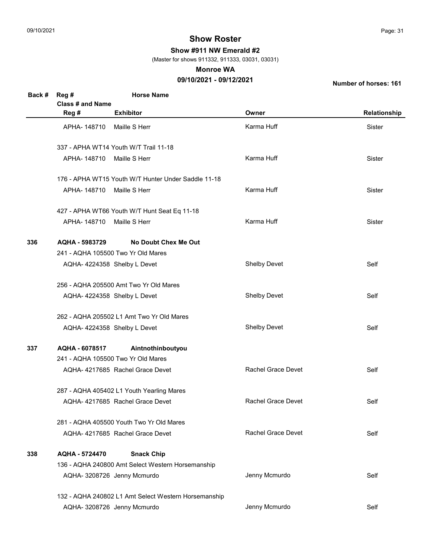Show #911 NW Emerald #2

(Master for shows 911332, 911333, 03031, 03031)

#### Monroe WA

## 09/10/2021 - 09/12/2021

| Back # | Reg #                      | <b>Horse Name</b>                                    |                           |              |
|--------|----------------------------|------------------------------------------------------|---------------------------|--------------|
|        | <b>Class # and Name</b>    |                                                      |                           |              |
|        | Reg #                      | <b>Exhibitor</b>                                     | Owner                     | Relationship |
|        | APHA-148710 Maille S Herr  |                                                      | Karma Huff                | Sister       |
|        |                            | 337 - APHA WT14 Youth W/T Trail 11-18                |                           |              |
|        | APHA-148710 Maille S Herr  |                                                      | Karma Huff                | Sister       |
|        |                            | 176 - APHA WT15 Youth W/T Hunter Under Saddle 11-18  |                           |              |
|        | APHA-148710 Maille S Herr  |                                                      | Karma Huff                | Sister       |
|        |                            | 427 - APHA WT66 Youth W/T Hunt Seat Eq 11-18         |                           |              |
|        | APHA- 148710 Maille S Herr |                                                      | Karma Huff                | Sister       |
| 336    | AQHA - 5983729             | <b>No Doubt Chex Me Out</b>                          |                           |              |
|        |                            | 241 - AQHA 105500 Two Yr Old Mares                   |                           |              |
|        |                            | AQHA-4224358 Shelby L Devet                          | <b>Shelby Devet</b>       | Self         |
|        |                            | 256 - AQHA 205500 Amt Two Yr Old Mares               |                           |              |
|        |                            | AQHA-4224358 Shelby L Devet                          | <b>Shelby Devet</b>       | Self         |
|        |                            | 262 - AQHA 205502 L1 Amt Two Yr Old Mares            |                           |              |
|        |                            | AQHA-4224358 Shelby L Devet                          | <b>Shelby Devet</b>       | Self         |
| 337    | AQHA - 6078517             | Aintnothinboutyou                                    |                           |              |
|        |                            | 241 - AQHA 105500 Two Yr Old Mares                   |                           |              |
|        |                            | AQHA- 4217685 Rachel Grace Devet                     | <b>Rachel Grace Devet</b> | Self         |
|        |                            | 287 - AQHA 405402 L1 Youth Yearling Mares            |                           |              |
|        |                            | AQHA- 4217685 Rachel Grace Devet                     | <b>Rachel Grace Devet</b> | Self         |
|        |                            | 281 - AQHA 405500 Youth Two Yr Old Mares             |                           |              |
|        |                            | AQHA-4217685 Rachel Grace Devet                      | Rachel Grace Devet        | Self         |
| 338    | AQHA - 5724470             | <b>Snack Chip</b>                                    |                           |              |
|        |                            | 136 - AQHA 240800 Amt Select Western Horsemanship    |                           |              |
|        |                            | AQHA- 3208726 Jenny Mcmurdo                          | Jenny Mcmurdo             | Self         |
|        |                            | 132 - AQHA 240802 L1 Amt Select Western Horsemanship |                           |              |
|        |                            | AQHA- 3208726 Jenny Mcmurdo                          | Jenny Mcmurdo             | Self         |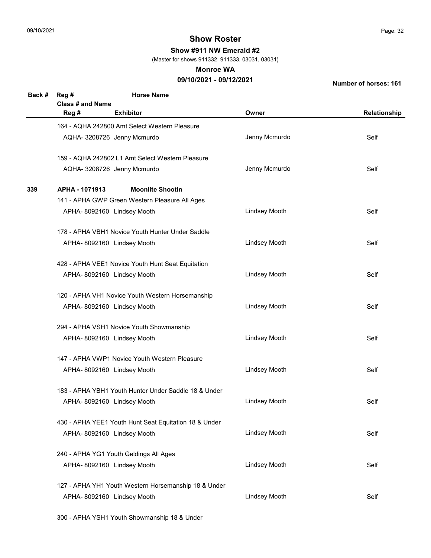Show #911 NW Emerald #2

(Master for shows 911332, 911333, 03031, 03031)

#### Monroe WA

## 09/10/2021 - 09/12/2021

Number of horses: 161

| Back # | Reg #<br>Class # and Name | <b>Horse Name</b>                                     |                      |              |
|--------|---------------------------|-------------------------------------------------------|----------------------|--------------|
|        | Reg #                     | <b>Exhibitor</b>                                      | Owner                | Relationship |
|        |                           | 164 - AQHA 242800 Amt Select Western Pleasure         |                      |              |
|        |                           | AQHA- 3208726 Jenny Mcmurdo                           | Jenny Mcmurdo        | Self         |
|        |                           | 159 - AQHA 242802 L1 Amt Select Western Pleasure      |                      |              |
|        |                           | AQHA- 3208726 Jenny Mcmurdo                           | Jenny Mcmurdo        | Self         |
| 339    | APHA - 1071913            | <b>Moonlite Shootin</b>                               |                      |              |
|        |                           | 141 - APHA GWP Green Western Pleasure All Ages        |                      |              |
|        |                           | APHA- 8092160 Lindsey Mooth                           | <b>Lindsey Mooth</b> | Self         |
|        |                           | 178 - APHA VBH1 Novice Youth Hunter Under Saddle      |                      |              |
|        |                           | APHA- 8092160 Lindsey Mooth                           | <b>Lindsey Mooth</b> | Self         |
|        |                           | 428 - APHA VEE1 Novice Youth Hunt Seat Equitation     |                      |              |
|        |                           | APHA-8092160 Lindsey Mooth                            | <b>Lindsey Mooth</b> | Self         |
|        |                           | 120 - APHA VH1 Novice Youth Western Horsemanship      |                      |              |
|        |                           | APHA- 8092160 Lindsey Mooth                           | <b>Lindsey Mooth</b> | Self         |
|        |                           | 294 - APHA VSH1 Novice Youth Showmanship              |                      |              |
|        |                           | APHA-8092160 Lindsey Mooth                            | <b>Lindsey Mooth</b> | Self         |
|        |                           | 147 - APHA VWP1 Novice Youth Western Pleasure         |                      |              |
|        |                           | APHA-8092160 Lindsey Mooth                            | <b>Lindsey Mooth</b> | Self         |
|        |                           | 183 - APHA YBH1 Youth Hunter Under Saddle 18 & Under  |                      |              |
|        |                           | APHA- 8092160 Lindsey Mooth                           | Lindsey Mooth        | Self         |
|        |                           | 430 - APHA YEE1 Youth Hunt Seat Equitation 18 & Under |                      |              |
|        |                           | APHA- 8092160 Lindsey Mooth                           | <b>Lindsey Mooth</b> | Self         |
|        |                           | 240 - APHA YG1 Youth Geldings All Ages                |                      |              |
|        |                           | APHA-8092160 Lindsey Mooth                            | <b>Lindsey Mooth</b> | Self         |
|        |                           | 127 - APHA YH1 Youth Western Horsemanship 18 & Under  |                      |              |
|        |                           | APHA- 8092160 Lindsey Mooth                           | <b>Lindsey Mooth</b> | Self         |

300 - APHA YSH1 Youth Showmanship 18 & Under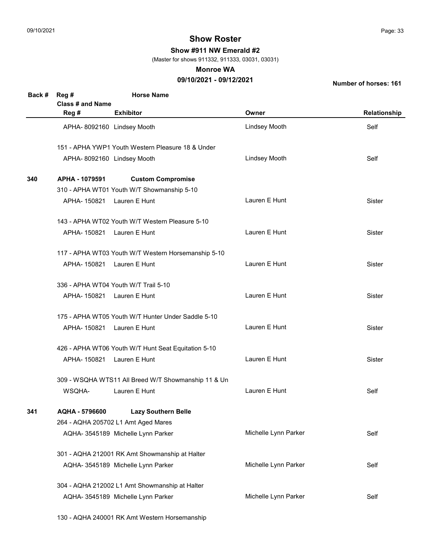Show #911 NW Emerald #2

(Master for shows 911332, 911333, 03031, 03031)

#### Monroe WA

## 09/10/2021 - 09/12/2021

Number of horses: 161

| Back # | Reg #                      | <b>Horse Name</b>                                   |                      |               |
|--------|----------------------------|-----------------------------------------------------|----------------------|---------------|
|        | Class # and Name           |                                                     |                      |               |
|        | Reg #                      | <b>Exhibitor</b>                                    | Owner                | Relationship  |
|        | APHA-8092160 Lindsey Mooth |                                                     | Lindsey Mooth        | Self          |
|        |                            | 151 - APHA YWP1 Youth Western Pleasure 18 & Under   |                      |               |
|        | APHA-8092160 Lindsey Mooth |                                                     | <b>Lindsey Mooth</b> | Self          |
| 340    | APHA - 1079591             | <b>Custom Compromise</b>                            |                      |               |
|        |                            | 310 - APHA WT01 Youth W/T Showmanship 5-10          |                      |               |
|        | APHA-150821 Lauren E Hunt  |                                                     | Lauren E Hunt        | Sister        |
|        |                            | 143 - APHA WT02 Youth W/T Western Pleasure 5-10     |                      |               |
|        | APHA-150821 Lauren E Hunt  |                                                     | Lauren E Hunt        | <b>Sister</b> |
|        |                            | 117 - APHA WT03 Youth W/T Western Horsemanship 5-10 |                      |               |
|        | APHA-150821 Lauren E Hunt  |                                                     | Lauren E Hunt        | <b>Sister</b> |
|        |                            | 336 - APHA WT04 Youth W/T Trail 5-10                |                      |               |
|        | APHA-150821 Lauren E Hunt  |                                                     | Lauren E Hunt        | <b>Sister</b> |
|        |                            | 175 - APHA WT05 Youth W/T Hunter Under Saddle 5-10  |                      |               |
|        | APHA-150821 Lauren E Hunt  |                                                     | Lauren E Hunt        | <b>Sister</b> |
|        |                            | 426 - APHA WT06 Youth W/T Hunt Seat Equitation 5-10 |                      |               |
|        | APHA-150821 Lauren E Hunt  |                                                     | Lauren E Hunt        | <b>Sister</b> |
|        |                            | 309 - WSQHA WTS11 All Breed W/T Showmanship 11 & Un |                      |               |
|        | WSQHA-                     | Lauren E Hunt                                       | Lauren E Hunt        | Self          |
| 341    | AQHA - 5796600             | <b>Lazy Southern Belle</b>                          |                      |               |
|        |                            | 264 - AQHA 205702 L1 Amt Aged Mares                 |                      |               |
|        |                            | AQHA- 3545189 Michelle Lynn Parker                  | Michelle Lynn Parker | Self          |
|        |                            | 301 - AQHA 212001 RK Amt Showmanship at Halter      |                      |               |
|        |                            | AQHA- 3545189 Michelle Lynn Parker                  | Michelle Lynn Parker | Self          |
|        |                            | 304 - AQHA 212002 L1 Amt Showmanship at Halter      |                      |               |
|        |                            | AQHA- 3545189 Michelle Lynn Parker                  | Michelle Lynn Parker | Self          |

130 - AQHA 240001 RK Amt Western Horsemanship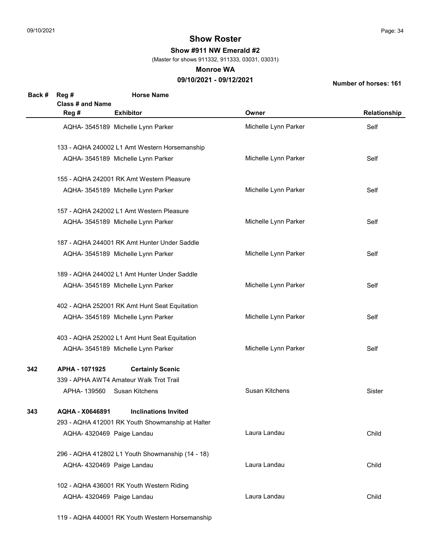Show #911 NW Emerald #2

(Master for shows 911332, 911333, 03031, 03031)

#### Monroe WA

## 09/10/2021 - 09/12/2021

Number of horses: 161

| Back # | Reg #                      | <b>Horse Name</b>                                |                      |               |
|--------|----------------------------|--------------------------------------------------|----------------------|---------------|
|        | <b>Class # and Name</b>    |                                                  |                      |               |
|        | Reg #                      | <b>Exhibitor</b>                                 | Owner                | Relationship  |
|        |                            | AQHA- 3545189 Michelle Lynn Parker               | Michelle Lynn Parker | Self          |
|        |                            | 133 - AQHA 240002 L1 Amt Western Horsemanship    |                      |               |
|        |                            | AQHA- 3545189 Michelle Lynn Parker               | Michelle Lynn Parker | Self          |
|        |                            | 155 - AQHA 242001 RK Amt Western Pleasure        |                      |               |
|        |                            | AQHA- 3545189 Michelle Lynn Parker               | Michelle Lynn Parker | Self          |
|        |                            | 157 - AQHA 242002 L1 Amt Western Pleasure        |                      |               |
|        |                            | AQHA- 3545189 Michelle Lynn Parker               | Michelle Lynn Parker | Self          |
|        |                            | 187 - AQHA 244001 RK Amt Hunter Under Saddle     |                      |               |
|        |                            | AQHA- 3545189 Michelle Lynn Parker               | Michelle Lynn Parker | Self          |
|        |                            | 189 - AQHA 244002 L1 Amt Hunter Under Saddle     |                      |               |
|        |                            | AQHA- 3545189 Michelle Lynn Parker               | Michelle Lynn Parker | Self          |
|        |                            | 402 - AQHA 252001 RK Amt Hunt Seat Equitation    |                      |               |
|        |                            | AQHA- 3545189 Michelle Lynn Parker               | Michelle Lynn Parker | Self          |
|        |                            | 403 - AQHA 252002 L1 Amt Hunt Seat Equitation    |                      |               |
|        |                            | AQHA- 3545189 Michelle Lynn Parker               | Michelle Lynn Parker | Self          |
| 342    | APHA - 1071925             | <b>Certainly Scenic</b>                          |                      |               |
|        |                            | 339 - APHA AWT4 Amateur Walk Trot Trail          |                      |               |
|        | APHA-139560 Susan Kitchens |                                                  | Susan Kitchens       | <b>Sister</b> |
| 343    | AQHA - X0646891            | <b>Inclinations Invited</b>                      |                      |               |
|        |                            | 293 - AQHA 412001 RK Youth Showmanship at Halter |                      |               |
|        | AQHA- 4320469 Paige Landau |                                                  | Laura Landau         | Child         |
|        |                            | 296 - AQHA 412802 L1 Youth Showmanship (14 - 18) |                      |               |
|        | AQHA- 4320469 Paige Landau |                                                  | Laura Landau         | Child         |
|        |                            | 102 - AQHA 436001 RK Youth Western Riding        |                      |               |
|        | AQHA- 4320469 Paige Landau |                                                  | Laura Landau         | Child         |

119 - AQHA 440001 RK Youth Western Horsemanship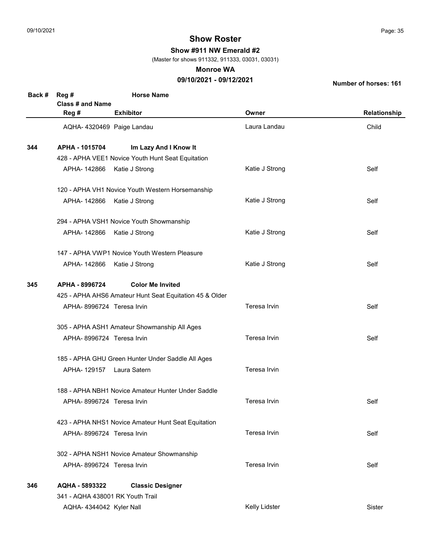Show #911 NW Emerald #2

(Master for shows 911332, 911333, 03031, 03031)

#### Monroe WA

## 09/10/2021 - 09/12/2021

| Back # | Reg #<br><b>Class # and Name</b>                  | <b>Horse Name</b>                                       |                |              |  |
|--------|---------------------------------------------------|---------------------------------------------------------|----------------|--------------|--|
|        | Reg #                                             | <b>Exhibitor</b>                                        | Owner          | Relationship |  |
|        | AQHA- 4320469 Paige Landau                        |                                                         | Laura Landau   | Child        |  |
| 344    | APHA - 1015704                                    | Im Lazy And I Know It                                   |                |              |  |
|        |                                                   | 428 - APHA VEE1 Novice Youth Hunt Seat Equitation       |                |              |  |
|        | APHA-142866                                       | Katie J Strong                                          | Katie J Strong | Self         |  |
|        |                                                   | 120 - APHA VH1 Novice Youth Western Horsemanship        |                |              |  |
|        | APHA- 142866 Katie J Strong                       |                                                         | Katie J Strong | Self         |  |
|        |                                                   | 294 - APHA VSH1 Novice Youth Showmanship                |                |              |  |
|        | APHA- 142866 Katie J Strong                       |                                                         | Katie J Strong | Self         |  |
|        |                                                   | 147 - APHA VWP1 Novice Youth Western Pleasure           |                |              |  |
|        | APHA- 142866 Katie J Strong                       |                                                         | Katie J Strong | Self         |  |
| 345    | APHA - 8996724                                    | <b>Color Me Invited</b>                                 |                |              |  |
|        |                                                   | 425 - APHA AHS6 Amateur Hunt Seat Equitation 45 & Older |                |              |  |
|        | APHA-8996724 Teresa Irvin                         |                                                         | Teresa Irvin   | Self         |  |
|        |                                                   | 305 - APHA ASH1 Amateur Showmanship All Ages            |                |              |  |
|        | APHA-8996724 Teresa Irvin                         |                                                         | Teresa Irvin   | Self         |  |
|        | 185 - APHA GHU Green Hunter Under Saddle All Ages |                                                         |                |              |  |
|        | APHA-129157 Laura Satern                          |                                                         | Teresa Irvin   |              |  |
|        |                                                   | 188 - APHA NBH1 Novice Amateur Hunter Under Saddle      |                |              |  |
|        | APHA-8996724 Teresa Irvin                         |                                                         | Teresa Irvin   | Self         |  |
|        |                                                   | 423 - APHA NHS1 Novice Amateur Hunt Seat Equitation     |                |              |  |
|        | APHA-8996724 Teresa Irvin                         |                                                         | Teresa Irvin   | Self         |  |
|        |                                                   | 302 - APHA NSH1 Novice Amateur Showmanship              |                |              |  |
|        | APHA-8996724 Teresa Irvin                         |                                                         | Teresa Irvin   | Self         |  |
| 346    | AQHA - 5893322                                    | <b>Classic Designer</b>                                 |                |              |  |
|        | 341 - AQHA 438001 RK Youth Trail                  |                                                         |                |              |  |
|        | AQHA-4344042 Kyler Nall                           |                                                         | Kelly Lidster  | Sister       |  |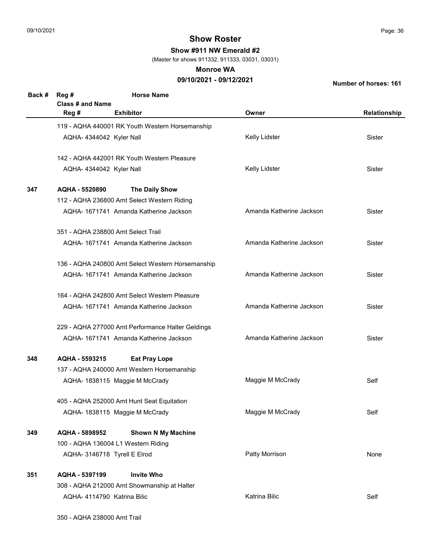Show #911 NW Emerald #2

(Master for shows 911332, 911333, 03031, 03031)

#### Monroe WA

## 09/10/2021 - 09/12/2021

Number of horses: 161

| Back # | Reg #<br>Class # and Name   | <b>Horse Name</b>                                 |                          |              |
|--------|-----------------------------|---------------------------------------------------|--------------------------|--------------|
|        | Reg #                       | <b>Exhibitor</b>                                  | Owner                    | Relationship |
|        |                             | 119 - AQHA 440001 RK Youth Western Horsemanship   |                          |              |
|        | AQHA-4344042 Kyler Nall     |                                                   | Kelly Lidster            | Sister       |
|        |                             | 142 - AQHA 442001 RK Youth Western Pleasure       |                          |              |
|        | AQHA-4344042 Kyler Nall     |                                                   | Kelly Lidster            | Sister       |
| 347    | AQHA - 5520890              | The Daily Show                                    |                          |              |
|        |                             | 112 - AQHA 236800 Amt Select Western Riding       |                          |              |
|        |                             | AQHA-1671741 Amanda Katherine Jackson             | Amanda Katherine Jackson | Sister       |
|        |                             | 351 - AQHA 238800 Amt Select Trail                |                          |              |
|        |                             | AQHA-1671741 Amanda Katherine Jackson             | Amanda Katherine Jackson | Sister       |
|        |                             | 136 - AQHA 240800 Amt Select Western Horsemanship |                          |              |
|        |                             | AQHA-1671741 Amanda Katherine Jackson             | Amanda Katherine Jackson | Sister       |
|        |                             | 164 - AQHA 242800 Amt Select Western Pleasure     |                          |              |
|        |                             | AQHA-1671741 Amanda Katherine Jackson             | Amanda Katherine Jackson | Sister       |
|        |                             | 229 - AQHA 277000 Amt Performance Halter Geldings |                          |              |
|        |                             | AQHA-1671741 Amanda Katherine Jackson             | Amanda Katherine Jackson | Sister       |
| 348    | AQHA - 5593215              | <b>Eat Pray Lope</b>                              |                          |              |
|        |                             | 137 - AQHA 240000 Amt Western Horsemanship        |                          |              |
|        |                             | AQHA- 1838115 Maggie M McCrady                    | Maggie M McCrady         | Self         |
|        |                             | 405 - AQHA 252000 Amt Hunt Seat Equitation        |                          |              |
|        |                             | AQHA- 1838115 Maggie M McCrady                    | Maggie M McCrady         | Self         |
| 349    | AQHA - 5898952              | <b>Shown N My Machine</b>                         |                          |              |
|        |                             | 100 - AQHA 136004 L1 Western Riding               |                          |              |
|        |                             | AQHA- 3146718 Tyrell E Elrod                      | Patty Morrison           | None         |
| 351    | AQHA - 5397199              | <b>Invite Who</b>                                 |                          |              |
|        |                             | 308 - AQHA 212000 Amt Showmanship at Halter       |                          |              |
|        | AQHA- 4114790 Katrina Bilic |                                                   | <b>Katrina Bilic</b>     | Self         |

350 - AQHA 238000 Amt Trail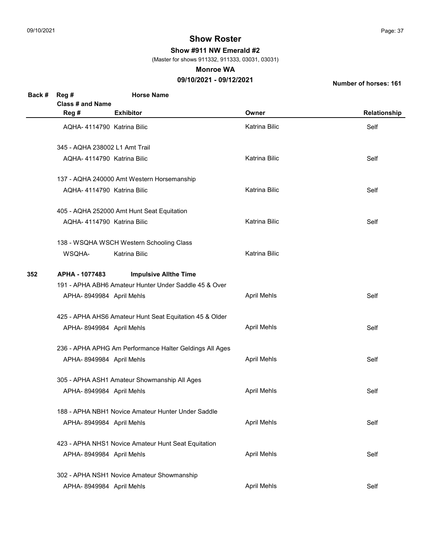Show #911 NW Emerald #2

(Master for shows 911332, 911333, 03031, 03031)

#### Monroe WA

## 09/10/2021 - 09/12/2021

| Back # | Reg #<br>Class # and Name      | <b>Horse Name</b>                                       |                      |              |
|--------|--------------------------------|---------------------------------------------------------|----------------------|--------------|
|        | Reg #                          | <b>Exhibitor</b>                                        | Owner                | Relationship |
|        | AQHA-4114790 Katrina Bilic     |                                                         | <b>Katrina Bilic</b> | Self         |
|        | 345 - AQHA 238002 L1 Amt Trail |                                                         |                      |              |
|        | AQHA- 4114790 Katrina Bilic    |                                                         | Katrina Bilic        | Self         |
|        |                                | 137 - AQHA 240000 Amt Western Horsemanship              |                      |              |
|        | AQHA-4114790 Katrina Bilic     |                                                         | Katrina Bilic        | Self         |
|        |                                | 405 - AQHA 252000 Amt Hunt Seat Equitation              |                      |              |
|        | AQHA- 4114790 Katrina Bilic    |                                                         | <b>Katrina Bilic</b> | Self         |
|        |                                | 138 - WSQHA WSCH Western Schooling Class                |                      |              |
|        | WSQHA-                         | <b>Katrina Bilic</b>                                    | <b>Katrina Bilic</b> |              |
| 352    | APHA - 1077483                 | <b>Impulsive Allthe Time</b>                            |                      |              |
|        |                                | 191 - APHA ABH6 Amateur Hunter Under Saddle 45 & Over   |                      |              |
|        | APHA-8949984 April Mehls       |                                                         | <b>April Mehls</b>   | Self         |
|        |                                | 425 - APHA AHS6 Amateur Hunt Seat Equitation 45 & Older |                      |              |
|        | APHA-8949984 April Mehls       |                                                         | <b>April Mehls</b>   | Self         |
|        |                                | 236 - APHA APHG Am Performance Halter Geldings All Ages |                      |              |
|        | APHA-8949984 April Mehls       |                                                         | <b>April Mehls</b>   | Self         |
|        |                                | 305 - APHA ASH1 Amateur Showmanship All Ages            |                      |              |
|        | APHA-8949984 April Mehls       |                                                         | <b>April Mehls</b>   | Self         |
|        |                                | 188 - APHA NBH1 Novice Amateur Hunter Under Saddle      |                      |              |
|        | APHA-8949984 April Mehls       |                                                         | <b>April Mehls</b>   | Self         |
|        |                                | 423 - APHA NHS1 Novice Amateur Hunt Seat Equitation     |                      |              |
|        | APHA-8949984 April Mehls       |                                                         | <b>April Mehls</b>   | Self         |
|        |                                | 302 - APHA NSH1 Novice Amateur Showmanship              |                      |              |
|        | APHA-8949984 April Mehls       |                                                         | <b>April Mehls</b>   | Self         |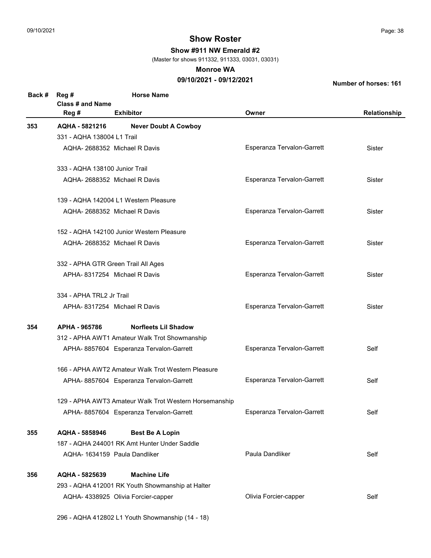Show #911 NW Emerald #2

(Master for shows 911332, 911333, 03031, 03031)

#### Monroe WA

## 09/10/2021 - 09/12/2021

| Back # | Reg #<br><b>Class # and Name</b> | <b>Horse Name</b>                                      |                            |              |
|--------|----------------------------------|--------------------------------------------------------|----------------------------|--------------|
|        | Reg #                            | <b>Exhibitor</b>                                       | Owner                      | Relationship |
| 353    | AQHA - 5821216                   | <b>Never Doubt A Cowboy</b>                            |                            |              |
|        | 331 - AQHA 138004 L1 Trail       |                                                        |                            |              |
|        |                                  | AQHA-2688352 Michael R Davis                           | Esperanza Tervalon-Garrett | Sister       |
|        | 333 - AQHA 138100 Junior Trail   |                                                        |                            |              |
|        |                                  | AQHA- 2688352 Michael R Davis                          | Esperanza Tervalon-Garrett | Sister       |
|        |                                  | 139 - AQHA 142004 L1 Western Pleasure                  |                            |              |
|        |                                  | AQHA- 2688352 Michael R Davis                          | Esperanza Tervalon-Garrett | Sister       |
|        |                                  | 152 - AQHA 142100 Junior Western Pleasure              |                            |              |
|        |                                  | AQHA-2688352 Michael R Davis                           | Esperanza Tervalon-Garrett | Sister       |
|        |                                  | 332 - APHA GTR Green Trail All Ages                    |                            |              |
|        |                                  | APHA-8317254 Michael R Davis                           | Esperanza Tervalon-Garrett | Sister       |
|        | 334 - APHA TRL2 Jr Trail         |                                                        |                            |              |
|        |                                  | APHA-8317254 Michael R Davis                           | Esperanza Tervalon-Garrett | Sister       |
| 354    | APHA - 965786                    | <b>Norfleets Lil Shadow</b>                            |                            |              |
|        |                                  | 312 - APHA AWT1 Amateur Walk Trot Showmanship          |                            |              |
|        |                                  | APHA- 8857604 Esperanza Tervalon-Garrett               | Esperanza Tervalon-Garrett | Self         |
|        |                                  | 166 - APHA AWT2 Amateur Walk Trot Western Pleasure     |                            |              |
|        |                                  | APHA-8857604 Esperanza Tervalon-Garrett                | Esperanza Tervalon-Garrett | Self         |
|        |                                  | 129 - APHA AWT3 Amateur Walk Trot Western Horsemanship |                            |              |
|        |                                  | APHA- 8857604 Esperanza Tervalon-Garrett               | Esperanza Tervalon-Garrett | Self         |
| 355    | AQHA - 5858946                   | <b>Best Be A Lopin</b>                                 |                            |              |
|        |                                  | 187 - AQHA 244001 RK Amt Hunter Under Saddle           |                            |              |
|        |                                  | AQHA-1634159 Paula Dandliker                           | Paula Dandliker            | Self         |
| 356    | AQHA - 5825639                   | <b>Machine Life</b>                                    |                            |              |
|        |                                  | 293 - AQHA 412001 RK Youth Showmanship at Halter       |                            |              |
|        |                                  | AQHA- 4338925 Olivia Forcier-capper                    | Olivia Forcier-capper      | Self         |
|        |                                  | 296 - AQHA 412802 L1 Youth Showmanship (14 - 18)       |                            |              |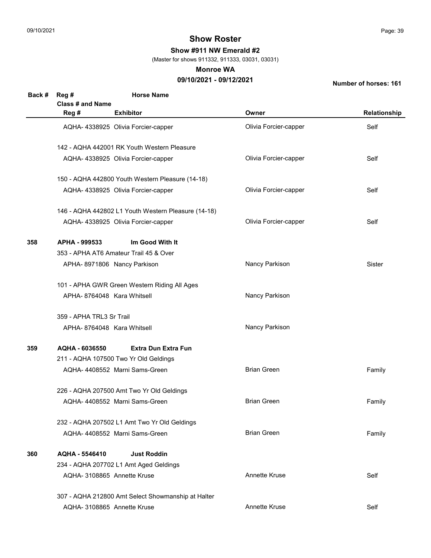Show #911 NW Emerald #2

(Master for shows 911332, 911333, 03031, 03031)

#### Monroe WA

## 09/10/2021 - 09/12/2021

| Back # | Reg #<br><b>Class # and Name</b> | <b>Horse Name</b>                                   |                       |               |
|--------|----------------------------------|-----------------------------------------------------|-----------------------|---------------|
|        | Reg #                            | <b>Exhibitor</b>                                    | Owner                 | Relationship  |
|        |                                  | AQHA- 4338925 Olivia Forcier-capper                 | Olivia Forcier-capper | Self          |
|        |                                  | 142 - AQHA 442001 RK Youth Western Pleasure         |                       |               |
|        |                                  | AQHA- 4338925 Olivia Forcier-capper                 | Olivia Forcier-capper | Self          |
|        |                                  | 150 - AQHA 442800 Youth Western Pleasure (14-18)    |                       |               |
|        |                                  | AQHA- 4338925 Olivia Forcier-capper                 | Olivia Forcier-capper | Self          |
|        |                                  | 146 - AQHA 442802 L1 Youth Western Pleasure (14-18) |                       |               |
|        |                                  | AQHA- 4338925 Olivia Forcier-capper                 | Olivia Forcier-capper | Self          |
| 358    | APHA - 999533                    | Im Good With It                                     |                       |               |
|        |                                  | 353 - APHA AT6 Amateur Trail 45 & Over              |                       |               |
|        |                                  | APHA- 8971806 Nancy Parkison                        | Nancy Parkison        | <b>Sister</b> |
|        |                                  | 101 - APHA GWR Green Western Riding All Ages        |                       |               |
|        | APHA-8764048 Kara Whitsell       |                                                     | Nancy Parkison        |               |
|        | 359 - APHA TRL3 Sr Trail         |                                                     |                       |               |
|        | APHA-8764048 Kara Whitsell       |                                                     | Nancy Parkison        |               |
| 359    | AQHA - 6036550                   | <b>Extra Dun Extra Fun</b>                          |                       |               |
|        |                                  | 211 - AQHA 107500 Two Yr Old Geldings               |                       |               |
|        |                                  | AQHA- 4408552 Marni Sams-Green                      | <b>Brian Green</b>    | Family        |
|        |                                  | 226 - AQHA 207500 Amt Two Yr Old Geldings           |                       |               |
|        |                                  | AQHA-4408552 Marni Sams-Green                       | <b>Brian Green</b>    | Family        |
|        |                                  | 232 - AQHA 207502 L1 Amt Two Yr Old Geldings        |                       |               |
|        |                                  | AQHA-4408552 Marni Sams-Green                       | <b>Brian Green</b>    | Family        |
| 360    | AQHA - 5546410                   | <b>Just Roddin</b>                                  |                       |               |
|        |                                  | 234 - AQHA 207702 L1 Amt Aged Geldings              |                       |               |
|        | AQHA- 3108865 Annette Kruse      |                                                     | Annette Kruse         | Self          |
|        |                                  | 307 - AQHA 212800 Amt Select Showmanship at Halter  |                       |               |
|        | AQHA- 3108865 Annette Kruse      |                                                     | Annette Kruse         | Self          |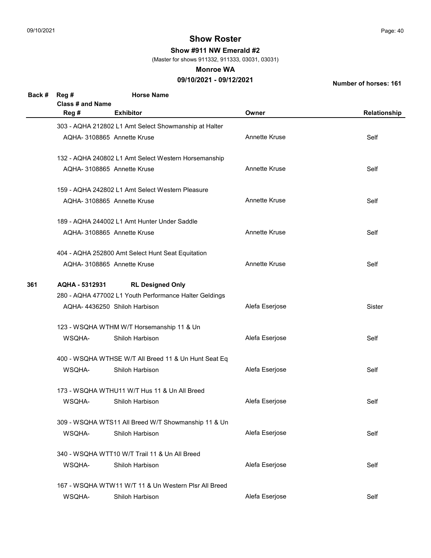Show #911 NW Emerald #2

(Master for shows 911332, 911333, 03031, 03031)

#### Monroe WA

## 09/10/2021 - 09/12/2021

| Back # | Reg #<br><b>Class # and Name</b>          | <b>Horse Name</b>                                      |                |              |  |
|--------|-------------------------------------------|--------------------------------------------------------|----------------|--------------|--|
|        | Reg #                                     | <b>Exhibitor</b>                                       | Owner          | Relationship |  |
|        |                                           | 303 - AQHA 212802 L1 Amt Select Showmanship at Halter  |                |              |  |
|        |                                           | AQHA- 3108865 Annette Kruse                            | Annette Kruse  | Self         |  |
|        |                                           | 132 - AQHA 240802 L1 Amt Select Western Horsemanship   |                |              |  |
|        |                                           | AQHA-3108865 Annette Kruse                             | Annette Kruse  | Self         |  |
|        |                                           | 159 - AQHA 242802 L1 Amt Select Western Pleasure       |                |              |  |
|        |                                           | AQHA- 3108865 Annette Kruse                            | Annette Kruse  | Self         |  |
|        |                                           | 189 - AQHA 244002 L1 Amt Hunter Under Saddle           |                |              |  |
|        |                                           | AQHA-3108865 Annette Kruse                             | Annette Kruse  | Self         |  |
|        |                                           | 404 - AQHA 252800 Amt Select Hunt Seat Equitation      |                |              |  |
|        |                                           | AQHA-3108865 Annette Kruse                             | Annette Kruse  | Self         |  |
| 361    | <b>RL Designed Only</b><br>AQHA - 5312931 |                                                        |                |              |  |
|        |                                           | 280 - AQHA 477002 L1 Youth Performance Halter Geldings |                |              |  |
|        |                                           | AQHA-4436250 Shiloh Harbison                           | Alefa Eserjose | Sister       |  |
|        |                                           | 123 - WSQHA WTHM W/T Horsemanship 11 & Un              |                |              |  |
|        | WSQHA-                                    | Shiloh Harbison                                        | Alefa Eserjose | Self         |  |
|        |                                           | 400 - WSQHA WTHSE W/T All Breed 11 & Un Hunt Seat Eq   |                |              |  |
|        | WSQHA-                                    | Shiloh Harbison                                        | Alefa Eserjose | Self         |  |
|        |                                           | 173 - WSQHA WTHU11 W/T Hus 11 & Un All Breed           |                |              |  |
|        | WSQHA-                                    | Shiloh Harbison                                        | Alefa Eserjose | Self         |  |
|        |                                           | 309 - WSQHA WTS11 All Breed W/T Showmanship 11 & Un    |                |              |  |
|        | WSQHA-                                    | Shiloh Harbison                                        | Alefa Eserjose | Self         |  |
|        |                                           | 340 - WSQHA WTT10 W/T Trail 11 & Un All Breed          |                |              |  |
|        | WSQHA-                                    | Shiloh Harbison                                        | Alefa Eserjose | Self         |  |
|        |                                           | 167 - WSQHA WTW11 W/T 11 & Un Western Plsr All Breed   |                |              |  |
|        | WSQHA-                                    | Shiloh Harbison                                        | Alefa Eserjose | Self         |  |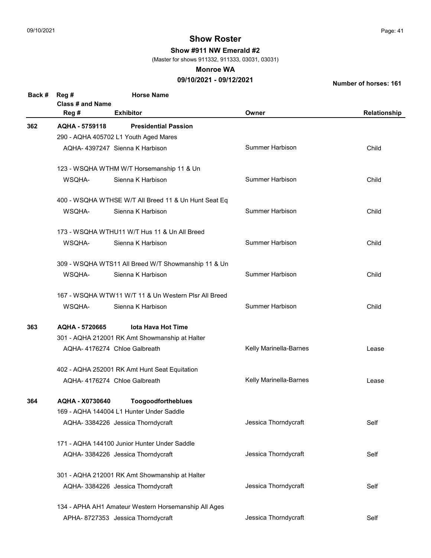Show #911 NW Emerald #2

(Master for shows 911332, 911333, 03031, 03031)

#### Monroe WA

## 09/10/2021 - 09/12/2021

| Back # | Reg #                                | <b>Horse Name</b>                                    |                        |              |  |  |
|--------|--------------------------------------|------------------------------------------------------|------------------------|--------------|--|--|
|        | <b>Class # and Name</b>              |                                                      |                        |              |  |  |
|        | Reg #                                | <b>Exhibitor</b>                                     | Owner                  | Relationship |  |  |
| 362    | AQHA - 5759118                       | <b>Presidential Passion</b>                          |                        |              |  |  |
|        |                                      | 290 - AQHA 405702 L1 Youth Aged Mares                |                        |              |  |  |
|        |                                      | AQHA- 4397247 Sienna K Harbison                      | Summer Harbison        | Child        |  |  |
|        |                                      | 123 - WSQHA WTHM W/T Horsemanship 11 & Un            |                        |              |  |  |
|        | WSQHA-                               | Sienna K Harbison                                    | Summer Harbison        | Child        |  |  |
|        |                                      | 400 - WSQHA WTHSE W/T All Breed 11 & Un Hunt Seat Eq |                        |              |  |  |
|        | WSQHA-                               | Sienna K Harbison                                    | <b>Summer Harbison</b> | Child        |  |  |
|        |                                      | 173 - WSQHA WTHU11 W/T Hus 11 & Un All Breed         |                        |              |  |  |
|        | WSQHA-                               | Sienna K Harbison                                    | <b>Summer Harbison</b> | Child        |  |  |
|        |                                      | 309 - WSQHA WTS11 All Breed W/T Showmanship 11 & Un  |                        |              |  |  |
|        | WSQHA-                               | Sienna K Harbison                                    | <b>Summer Harbison</b> | Child        |  |  |
|        |                                      | 167 - WSQHA WTW11 W/T 11 & Un Western Plsr All Breed |                        |              |  |  |
|        | WSQHA-                               | Sienna K Harbison                                    | <b>Summer Harbison</b> | Child        |  |  |
| 363    | AQHA - 5720665<br>lota Hava Hot Time |                                                      |                        |              |  |  |
|        |                                      | 301 - AQHA 212001 RK Amt Showmanship at Halter       |                        |              |  |  |
|        |                                      | AQHA-4176274 Chloe Galbreath                         | Kelly Marinella-Barnes | Lease        |  |  |
|        |                                      | 402 - AQHA 252001 RK Amt Hunt Seat Equitation        |                        |              |  |  |
|        |                                      | AQHA- 4176274 Chloe Galbreath                        | Kelly Marinella-Barnes | Lease        |  |  |
| 364    | AQHA - X0730640                      | Toogoodfortheblues                                   |                        |              |  |  |
|        |                                      | 169 - AQHA 144004 L1 Hunter Under Saddle             |                        |              |  |  |
|        |                                      | AQHA- 3384226 Jessica Thorndycraft                   | Jessica Thorndycraft   | Self         |  |  |
|        |                                      | 171 - AQHA 144100 Junior Hunter Under Saddle         |                        |              |  |  |
|        |                                      | AQHA- 3384226 Jessica Thorndycraft                   | Jessica Thorndycraft   | Self         |  |  |
|        |                                      | 301 - AQHA 212001 RK Amt Showmanship at Halter       |                        |              |  |  |
|        |                                      | AQHA- 3384226 Jessica Thorndycraft                   | Jessica Thorndycraft   | Self         |  |  |
|        |                                      | 134 - APHA AH1 Amateur Western Horsemanship All Ages |                        |              |  |  |
|        |                                      | APHA-8727353 Jessica Thorndycraft                    | Jessica Thorndycraft   | Self         |  |  |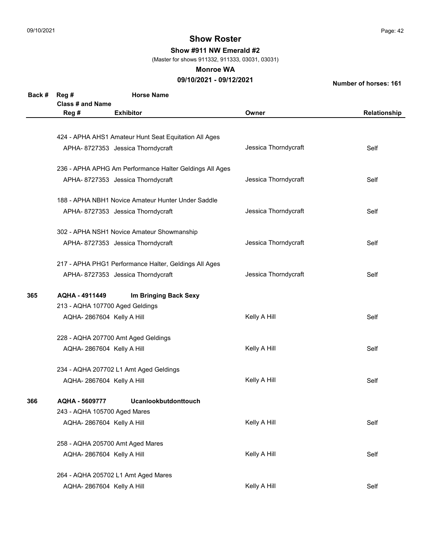Show #911 NW Emerald #2

(Master for shows 911332, 911333, 03031, 03031)

#### Monroe WA

## 09/10/2021 - 09/12/2021

| Back # | Reg #                            | <b>Horse Name</b>                                       |                      |              |
|--------|----------------------------------|---------------------------------------------------------|----------------------|--------------|
|        | Class # and Name                 |                                                         |                      |              |
|        | Reg #                            | <b>Exhibitor</b>                                        | Owner                | Relationship |
|        |                                  |                                                         |                      |              |
|        |                                  | 424 - APHA AHS1 Amateur Hunt Seat Equitation All Ages   |                      |              |
|        |                                  | APHA- 8727353 Jessica Thorndycraft                      | Jessica Thorndycraft | Self         |
|        |                                  | 236 - APHA APHG Am Performance Halter Geldings All Ages |                      |              |
|        |                                  | APHA-8727353 Jessica Thorndycraft                       | Jessica Thorndycraft | Self         |
|        |                                  | 188 - APHA NBH1 Novice Amateur Hunter Under Saddle      |                      |              |
|        |                                  | APHA-8727353 Jessica Thorndycraft                       | Jessica Thorndycraft | Self         |
|        |                                  | 302 - APHA NSH1 Novice Amateur Showmanship              |                      |              |
|        |                                  | APHA-8727353 Jessica Thorndycraft                       | Jessica Thorndycraft | Self         |
|        |                                  | 217 - APHA PHG1 Performance Halter, Geldings All Ages   |                      |              |
|        |                                  | APHA- 8727353 Jessica Thorndycraft                      | Jessica Thorndycraft | Self         |
| 365    | AQHA - 4911449                   | Im Bringing Back Sexy                                   |                      |              |
|        | 213 - AQHA 107700 Aged Geldings  |                                                         |                      |              |
|        | AQHA-2867604 Kelly A Hill        |                                                         | Kelly A Hill         | Self         |
|        |                                  | 228 - AQHA 207700 Amt Aged Geldings                     |                      |              |
|        | AQHA-2867604 Kelly A Hill        |                                                         | Kelly A Hill         | Self         |
|        |                                  | 234 - AQHA 207702 L1 Amt Aged Geldings                  |                      |              |
|        | AQHA-2867604 Kelly A Hill        |                                                         | Kelly A Hill         | Self         |
| 366    | AQHA - 5609777                   | Ucanlookbutdonttouch                                    |                      |              |
|        | 243 - AQHA 105700 Aged Mares     |                                                         |                      |              |
|        | AQHA-2867604 Kelly A Hill        |                                                         | Kelly A Hill         | Self         |
|        | 258 - AQHA 205700 Amt Aged Mares |                                                         |                      |              |
|        | AQHA-2867604 Kelly A Hill        |                                                         | Kelly A Hill         | Self         |
|        |                                  | 264 - AQHA 205702 L1 Amt Aged Mares                     |                      |              |
|        | AQHA-2867604 Kelly A Hill        |                                                         | Kelly A Hill         | Self         |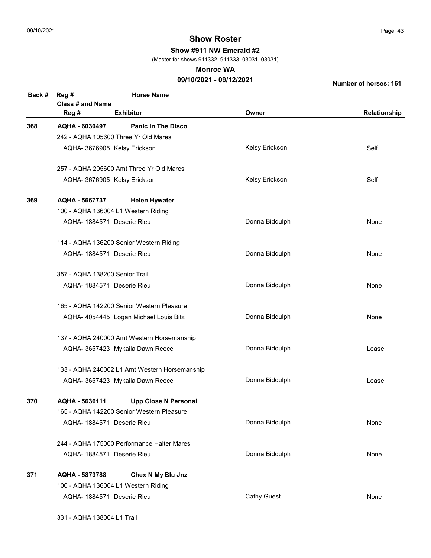331 - AQHA 138004 L1 Trail

# Show Roster

Show #911 NW Emerald #2

(Master for shows 911332, 911333, 03031, 03031)

#### Monroe WA

### 09/10/2021 - 09/12/2021

| Back # | Reg #                          | <b>Horse Name</b>                             |                    |              |
|--------|--------------------------------|-----------------------------------------------|--------------------|--------------|
|        | Class # and Name<br>Reg #      | <b>Exhibitor</b>                              | Owner              | Relationship |
| 368    | AQHA - 6030497                 | <b>Panic In The Disco</b>                     |                    |              |
|        |                                | 242 - AQHA 105600 Three Yr Old Mares          |                    |              |
|        | AQHA- 3676905 Kelsy Erickson   |                                               | Kelsy Erickson     | Self         |
|        |                                | 257 - AQHA 205600 Amt Three Yr Old Mares      |                    |              |
|        | AQHA- 3676905 Kelsy Erickson   |                                               | Kelsy Erickson     | Self         |
| 369    | AQHA - 5667737                 | <b>Helen Hywater</b>                          |                    |              |
|        |                                | 100 - AQHA 136004 L1 Western Riding           |                    |              |
|        | AQHA- 1884571 Deserie Rieu     |                                               | Donna Biddulph     | None         |
|        |                                | 114 - AQHA 136200 Senior Western Riding       |                    |              |
|        | AQHA- 1884571 Deserie Rieu     |                                               | Donna Biddulph     | None         |
|        | 357 - AQHA 138200 Senior Trail |                                               |                    |              |
|        | AQHA- 1884571 Deserie Rieu     |                                               | Donna Biddulph     | None         |
|        |                                | 165 - AQHA 142200 Senior Western Pleasure     |                    |              |
|        |                                | AQHA- 4054445 Logan Michael Louis Bitz        | Donna Biddulph     | None         |
|        |                                | 137 - AQHA 240000 Amt Western Horsemanship    |                    |              |
|        |                                | AQHA- 3657423 Mykaila Dawn Reece              | Donna Biddulph     | Lease        |
|        |                                | 133 - AQHA 240002 L1 Amt Western Horsemanship |                    |              |
|        |                                | AQHA- 3657423 Mykaila Dawn Reece              | Donna Biddulph     | Lease        |
| 370    | AQHA - 5636111                 | <b>Upp Close N Personal</b>                   |                    |              |
|        |                                | 165 - AQHA 142200 Senior Western Pleasure     |                    |              |
|        | AQHA- 1884571 Deserie Rieu     |                                               | Donna Biddulph     | None         |
|        |                                | 244 - AQHA 175000 Performance Halter Mares    |                    |              |
|        | AQHA- 1884571 Deserie Rieu     |                                               | Donna Biddulph     | None         |
| 371    | AQHA - 5873788                 | Chex N My Blu Jnz                             |                    |              |
|        |                                | 100 - AQHA 136004 L1 Western Riding           |                    |              |
|        | AQHA- 1884571 Deserie Rieu     |                                               | <b>Cathy Guest</b> | None         |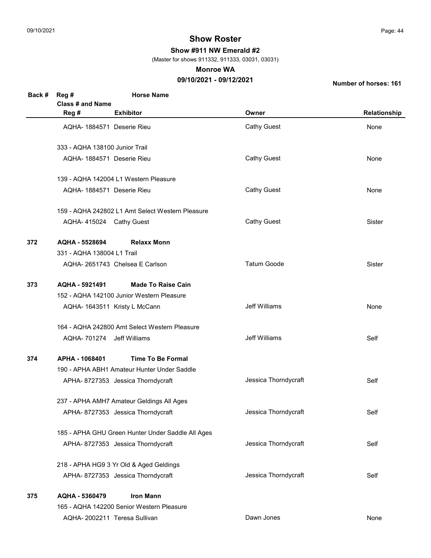Show #911 NW Emerald #2

(Master for shows 911332, 911333, 03031, 03031)

#### Monroe WA

## 09/10/2021 - 09/12/2021

| Back # | Reg #                          | <b>Horse Name</b>                                 |                      |               |
|--------|--------------------------------|---------------------------------------------------|----------------------|---------------|
|        | Class # and Name               |                                                   |                      |               |
|        | Reg #                          | <b>Exhibitor</b>                                  | Owner                | Relationship  |
|        | AQHA-1884571 Deserie Rieu      |                                                   | <b>Cathy Guest</b>   | None          |
|        | 333 - AQHA 138100 Junior Trail |                                                   |                      |               |
|        | AQHA- 1884571 Deserie Rieu     |                                                   | <b>Cathy Guest</b>   | None          |
|        |                                |                                                   |                      |               |
|        |                                | 139 - AQHA 142004 L1 Western Pleasure             |                      |               |
|        | AQHA- 1884571 Deserie Rieu     |                                                   | <b>Cathy Guest</b>   | None          |
|        |                                | 159 - AQHA 242802 L1 Amt Select Western Pleasure  |                      |               |
|        | AQHA-415024 Cathy Guest        |                                                   | <b>Cathy Guest</b>   | Sister        |
|        |                                |                                                   |                      |               |
| 372    | AQHA - 5528694                 | <b>Relaxx Monn</b>                                |                      |               |
|        | 331 - AQHA 138004 L1 Trail     |                                                   |                      |               |
|        |                                | AQHA-2651743 Chelsea E Carlson                    | <b>Tatum Goode</b>   | <b>Sister</b> |
| 373    | AQHA - 5921491                 | <b>Made To Raise Cain</b>                         |                      |               |
|        |                                | 152 - AQHA 142100 Junior Western Pleasure         |                      |               |
|        |                                | AQHA- 1643511 Kristy L McCann                     | Jeff Williams        | None          |
|        |                                | 164 - AQHA 242800 Amt Select Western Pleasure     |                      |               |
|        | AQHA- 701274 Jeff Williams     |                                                   | Jeff Williams        | Self          |
|        |                                |                                                   |                      |               |
| 374    | APHA - 1068401                 | <b>Time To Be Formal</b>                          |                      |               |
|        |                                | 190 - APHA ABH1 Amateur Hunter Under Saddle       |                      |               |
|        |                                | APHA-8727353 Jessica Thorndycraft                 | Jessica Thorndycraft | Self          |
|        |                                | 237 - APHA AMH7 Amateur Geldings All Ages         |                      |               |
|        |                                | APHA- 8727353 Jessica Thorndycraft                | Jessica Thorndycraft | Self          |
|        |                                | 185 - APHA GHU Green Hunter Under Saddle All Ages |                      |               |
|        |                                | APHA- 8727353 Jessica Thorndycraft                | Jessica Thorndycraft | Self          |
|        |                                |                                                   |                      |               |
|        |                                | 218 - APHA HG9 3 Yr Old & Aged Geldings           |                      |               |
|        |                                | APHA- 8727353 Jessica Thorndycraft                | Jessica Thorndycraft | Self          |
| 375    | AQHA - 5360479                 | <b>Iron Mann</b>                                  |                      |               |
|        |                                | 165 - AQHA 142200 Senior Western Pleasure         |                      |               |
|        |                                | AQHA- 2002211 Teresa Sullivan                     | Dawn Jones           | None          |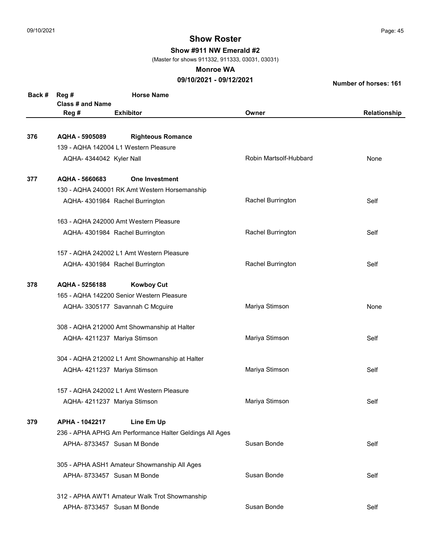Show #911 NW Emerald #2

(Master for shows 911332, 911333, 03031, 03031)

#### Monroe WA

## 09/10/2021 - 09/12/2021

| Relationship |
|--------------|
|              |
|              |
| None         |
|              |
|              |
|              |
| Self         |
|              |
| Self         |
|              |
| Self         |
|              |
|              |
| None         |
|              |
| Self         |
|              |
| Self         |
|              |
| Self         |
|              |
|              |
| Self         |
|              |
| Self         |
|              |
| Self         |
|              |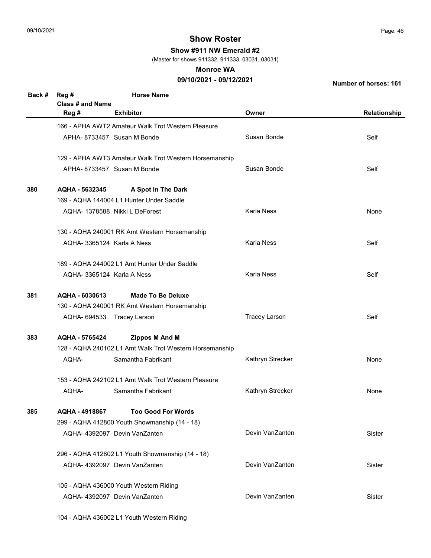Show #911 NW Emerald #2

(Master for shows 911332, 911333, 03031, 03031)

#### Monroe WA

## 09/10/2021 - 09/12/2021

Number of horses: 161

| Back # | Reg #<br>Class # and Name | <b>Horse Name</b>                                       |                      |              |
|--------|---------------------------|---------------------------------------------------------|----------------------|--------------|
|        | Reg #                     | <b>Exhibitor</b>                                        | Owner                | Relationship |
|        |                           | 166 - APHA AWT2 Amateur Walk Trot Western Pleasure      |                      |              |
|        |                           | APHA-8733457 Susan M Bonde                              | Susan Bonde          | Self         |
|        |                           | 129 - APHA AWT3 Amateur Walk Trot Western Horsemanship  |                      |              |
|        |                           | APHA-8733457 Susan M Bonde                              | Susan Bonde          | Self         |
| 380    | AQHA - 5632345            | A Spot In The Dark                                      |                      |              |
|        |                           | 169 - AQHA 144004 L1 Hunter Under Saddle                |                      |              |
|        |                           | AQHA- 1378588 Nikki L DeForest                          | Karla Ness           | None         |
|        |                           | 130 - AQHA 240001 RK Amt Western Horsemanship           |                      |              |
|        | AQHA-3365124 Karla A Ness |                                                         | Karla Ness           | Self         |
|        |                           | 189 - AQHA 244002 L1 Amt Hunter Under Saddle            |                      |              |
|        | AQHA-3365124 Karla A Ness |                                                         | Karla Ness           | Self         |
| 381    | AQHA - 6030613            | <b>Made To Be Deluxe</b>                                |                      |              |
|        |                           | 130 - AQHA 240001 RK Amt Western Horsemanship           |                      |              |
|        |                           | AQHA- 694533 Tracey Larson                              | <b>Tracey Larson</b> | Self         |
| 383    | AQHA - 5765424            | <b>Zippos M And M</b>                                   |                      |              |
|        |                           | 128 - AQHA 240102 L1 Amt Walk Trot Western Horsemanship |                      |              |
|        | AQHA-                     | Samantha Fabrikant                                      | Kathryn Strecker     | None         |
|        |                           | 153 - AQHA 242102 L1 Amt Walk Trot Western Pleasure     |                      |              |
|        | AQHA-                     | Samantha Fabrikant                                      | Kathryn Strecker     | None         |
| 385    | AQHA - 4918867            | <b>Too Good For Words</b>                               |                      |              |
|        |                           | 299 - AQHA 412800 Youth Showmanship (14 - 18)           |                      |              |
|        |                           | AQHA-4392097 Devin VanZanten                            | Devin VanZanten      | Sister       |
|        |                           | 296 - AQHA 412802 L1 Youth Showmanship (14 - 18)        |                      |              |
|        |                           | AQHA- 4392097 Devin VanZanten                           | Devin VanZanten      | Sister       |
|        |                           | 105 - AQHA 436000 Youth Western Riding                  |                      |              |
|        |                           | AQHA- 4392097 Devin VanZanten                           | Devin VanZanten      | Sister       |

104 - AQHA 436002 L1 Youth Western Riding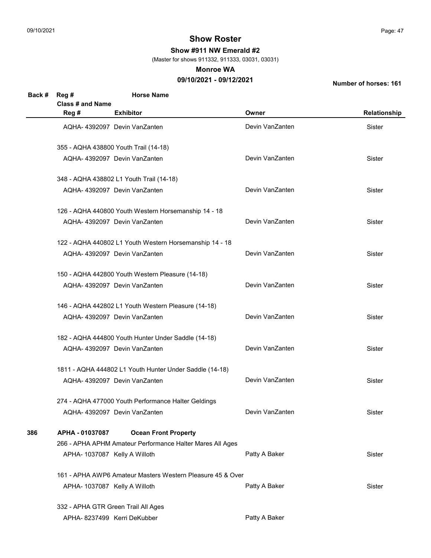Show #911 NW Emerald #2

(Master for shows 911332, 911333, 03031, 03031)

#### Monroe WA

## 09/10/2021 - 09/12/2021

| Back # | Reg #                         | <b>Horse Name</b>                                          |                 |              |  |
|--------|-------------------------------|------------------------------------------------------------|-----------------|--------------|--|
|        | Class # and Name              |                                                            |                 |              |  |
|        | Reg #                         | <b>Exhibitor</b>                                           | Owner           | Relationship |  |
|        |                               | AQHA-4392097 Devin VanZanten                               | Devin VanZanten | Sister       |  |
|        |                               | 355 - AQHA 438800 Youth Trail (14-18)                      |                 |              |  |
|        |                               | AQHA-4392097 Devin VanZanten                               | Devin VanZanten | Sister       |  |
|        |                               | 348 - AQHA 438802 L1 Youth Trail (14-18)                   |                 |              |  |
|        |                               | AQHA- 4392097 Devin VanZanten                              | Devin VanZanten | Sister       |  |
|        |                               | 126 - AQHA 440800 Youth Western Horsemanship 14 - 18       |                 |              |  |
|        |                               | AQHA- 4392097 Devin VanZanten                              | Devin VanZanten | Sister       |  |
|        |                               | 122 - AQHA 440802 L1 Youth Western Horsemanship 14 - 18    |                 |              |  |
|        |                               | AQHA- 4392097 Devin VanZanten                              | Devin VanZanten | Sister       |  |
|        |                               | 150 - AQHA 442800 Youth Western Pleasure (14-18)           |                 |              |  |
|        |                               | AQHA-4392097 Devin VanZanten                               | Devin VanZanten | Sister       |  |
|        |                               | 146 - AQHA 442802 L1 Youth Western Pleasure (14-18)        |                 |              |  |
|        |                               | AQHA- 4392097 Devin VanZanten                              | Devin VanZanten | Sister       |  |
|        |                               | 182 - AQHA 444800 Youth Hunter Under Saddle (14-18)        |                 |              |  |
|        |                               | AQHA-4392097 Devin VanZanten                               | Devin VanZanten | Sister       |  |
|        |                               | 1811 - AQHA 444802 L1 Youth Hunter Under Saddle (14-18)    |                 |              |  |
|        |                               | AQHA- 4392097 Devin VanZanten                              | Devin VanZanten | Sister       |  |
|        |                               | 274 - AQHA 477000 Youth Performance Halter Geldings        |                 |              |  |
|        |                               | AQHA- 4392097 Devin VanZanten                              | Devin VanZanten | Sister       |  |
| 386    | APHA - 01037087               | <b>Ocean Front Property</b>                                |                 |              |  |
|        |                               | 266 - APHA APHM Amateur Performance Halter Mares All Ages  |                 |              |  |
|        | APHA- 1037087 Kelly A Willoth |                                                            | Patty A Baker   | Sister       |  |
|        |                               | 161 - APHA AWP6 Amateur Masters Western Pleasure 45 & Over |                 |              |  |
|        | APHA- 1037087 Kelly A Willoth |                                                            | Patty A Baker   | Sister       |  |
|        |                               | 332 - APHA GTR Green Trail All Ages                        |                 |              |  |
|        |                               | APHA- 8237499 Kerri DeKubber                               | Patty A Baker   |              |  |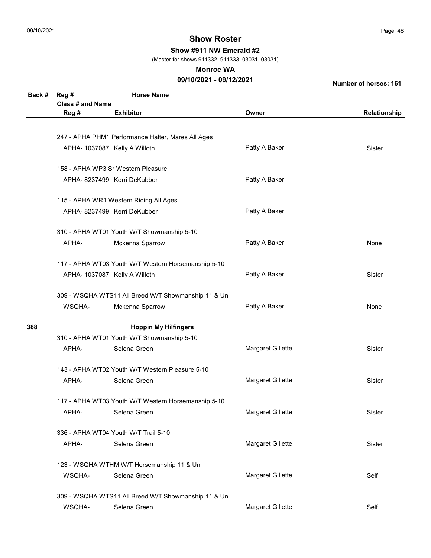Show #911 NW Emerald #2

(Master for shows 911332, 911333, 03031, 03031)

#### Monroe WA

## 09/10/2021 - 09/12/2021

| Back # | Reg #<br>Class # and Name | <b>Horse Name</b>                                   |                   |              |
|--------|---------------------------|-----------------------------------------------------|-------------------|--------------|
|        | Reg #                     | <b>Exhibitor</b>                                    | Owner             | Relationship |
|        |                           |                                                     |                   |              |
|        |                           | 247 - APHA PHM1 Performance Halter, Mares All Ages  |                   |              |
|        |                           | APHA- 1037087 Kelly A Willoth                       | Patty A Baker     | Sister       |
|        |                           | 158 - APHA WP3 Sr Western Pleasure                  |                   |              |
|        |                           | APHA-8237499 Kerri DeKubber                         | Patty A Baker     |              |
|        |                           | 115 - APHA WR1 Western Riding All Ages              |                   |              |
|        |                           | APHA- 8237499 Kerri DeKubber                        | Patty A Baker     |              |
|        |                           | 310 - APHA WT01 Youth W/T Showmanship 5-10          |                   |              |
|        | APHA-                     | Mckenna Sparrow                                     | Patty A Baker     | None         |
|        |                           | 117 - APHA WT03 Youth W/T Western Horsemanship 5-10 |                   |              |
|        |                           | APHA- 1037087 Kelly A Willoth                       | Patty A Baker     | Sister       |
|        |                           | 309 - WSQHA WTS11 All Breed W/T Showmanship 11 & Un |                   |              |
|        | WSQHA-                    | Mckenna Sparrow                                     | Patty A Baker     | None         |
| 388    |                           | <b>Hoppin My Hilfingers</b>                         |                   |              |
|        |                           | 310 - APHA WT01 Youth W/T Showmanship 5-10          |                   |              |
|        | APHA-                     | Selena Green                                        | Margaret Gillette | Sister       |
|        |                           | 143 - APHA WT02 Youth W/T Western Pleasure 5-10     |                   |              |
|        | APHA-                     | Selena Green                                        | Margaret Gillette | Sister       |
|        |                           | 117 - APHA WT03 Youth W/T Western Horsemanship 5-10 |                   |              |
|        | APHA-                     | Selena Green                                        | Margaret Gillette | Sister       |
|        |                           | 336 - APHA WT04 Youth W/T Trail 5-10                |                   |              |
|        | APHA-                     | Selena Green                                        | Margaret Gillette | Sister       |
|        |                           | 123 - WSQHA WTHM W/T Horsemanship 11 & Un           |                   |              |
|        | WSQHA-                    | Selena Green                                        | Margaret Gillette | Self         |
|        |                           | 309 - WSQHA WTS11 All Breed W/T Showmanship 11 & Un |                   |              |
|        | WSQHA-                    | Selena Green                                        | Margaret Gillette | Self         |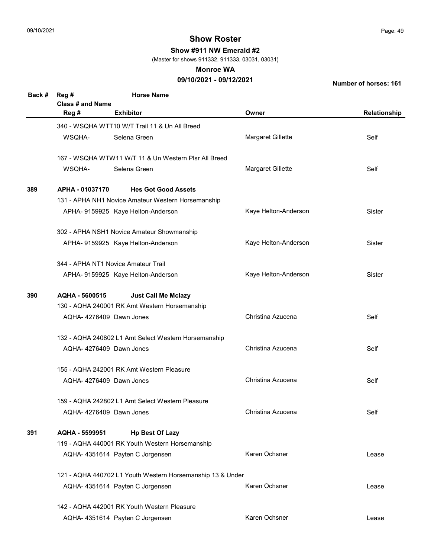Show #911 NW Emerald #2

(Master for shows 911332, 911333, 03031, 03031)

#### Monroe WA

## 09/10/2021 - 09/12/2021

| Back # | Reg #                   | <b>Horse Name</b>                                          |                      |               |
|--------|-------------------------|------------------------------------------------------------|----------------------|---------------|
|        | <b>Class # and Name</b> |                                                            |                      |               |
|        | Reg #                   | <b>Exhibitor</b>                                           | Owner                | Relationship  |
|        |                         | 340 - WSQHA WTT10 W/T Trail 11 & Un All Breed              |                      |               |
|        | WSQHA-                  | Selena Green                                               | Margaret Gillette    | Self          |
|        |                         | 167 - WSQHA WTW11 W/T 11 & Un Western Plsr All Breed       |                      |               |
|        | WSQHA-                  | Selena Green                                               | Margaret Gillette    | Self          |
| 389    | APHA - 01037170         | <b>Hes Got Good Assets</b>                                 |                      |               |
|        |                         | 131 - APHA NH1 Novice Amateur Western Horsemanship         |                      |               |
|        |                         | APHA- 9159925 Kaye Helton-Anderson                         | Kaye Helton-Anderson | Sister        |
|        |                         | 302 - APHA NSH1 Novice Amateur Showmanship                 |                      |               |
|        |                         | APHA- 9159925 Kaye Helton-Anderson                         | Kaye Helton-Anderson | <b>Sister</b> |
|        |                         | 344 - APHA NT1 Novice Amateur Trail                        |                      |               |
|        |                         | APHA- 9159925 Kaye Helton-Anderson                         | Kaye Helton-Anderson | Sister        |
| 390    | AQHA - 5600515          | <b>Just Call Me Mclazy</b>                                 |                      |               |
|        |                         | 130 - AQHA 240001 RK Amt Western Horsemanship              |                      |               |
|        |                         | AQHA-4276409 Dawn Jones                                    | Christina Azucena    | Self          |
|        |                         | 132 - AQHA 240802 L1 Amt Select Western Horsemanship       |                      |               |
|        |                         | AQHA-4276409 Dawn Jones                                    | Christina Azucena    | Self          |
|        |                         | 155 - AQHA 242001 RK Amt Western Pleasure                  |                      |               |
|        |                         | AQHA-4276409 Dawn Jones                                    | Christina Azucena    | Self          |
|        |                         | 159 - AQHA 242802 L1 Amt Select Western Pleasure           |                      |               |
|        |                         | AQHA-4276409 Dawn Jones                                    | Christina Azucena    | Self          |
| 391    | AQHA - 5599951          | <b>Hp Best Of Lazy</b>                                     |                      |               |
|        |                         | 119 - AQHA 440001 RK Youth Western Horsemanship            |                      |               |
|        |                         | AQHA- 4351614 Payten C Jorgensen                           | Karen Ochsner        | Lease         |
|        |                         | 121 - AQHA 440702 L1 Youth Western Horsemanship 13 & Under |                      |               |
|        |                         | AQHA- 4351614 Payten C Jorgensen                           | Karen Ochsner        | Lease         |
|        |                         | 142 - AQHA 442001 RK Youth Western Pleasure                |                      |               |
|        |                         | AQHA- 4351614 Payten C Jorgensen                           | Karen Ochsner        | Lease         |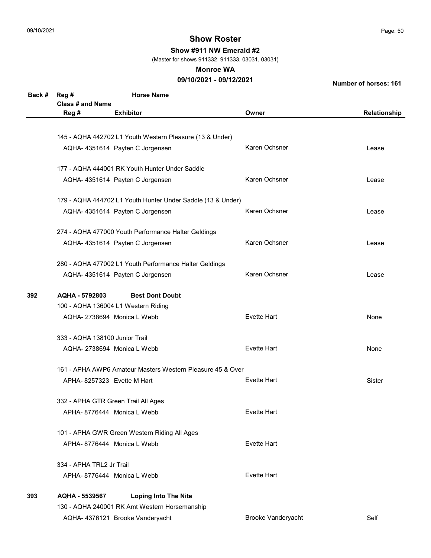Show #911 NW Emerald #2

(Master for shows 911332, 911333, 03031, 03031)

#### Monroe WA

## 09/10/2021 - 09/12/2021

| Back # | Reg#<br>Class # and Name                 | <b>Horse Name</b>                                           |                    |              |  |  |
|--------|------------------------------------------|-------------------------------------------------------------|--------------------|--------------|--|--|
|        | Reg #                                    | <b>Exhibitor</b>                                            | Owner              | Relationship |  |  |
|        |                                          |                                                             |                    |              |  |  |
|        |                                          | 145 - AQHA 442702 L1 Youth Western Pleasure (13 & Under)    |                    |              |  |  |
|        |                                          | AQHA- 4351614 Payten C Jorgensen                            | Karen Ochsner      | Lease        |  |  |
|        |                                          |                                                             |                    |              |  |  |
|        |                                          | 177 - AQHA 444001 RK Youth Hunter Under Saddle              |                    |              |  |  |
|        |                                          | AQHA- 4351614 Payten C Jorgensen                            | Karen Ochsner      | Lease        |  |  |
|        |                                          | 179 - AQHA 444702 L1 Youth Hunter Under Saddle (13 & Under) |                    |              |  |  |
|        |                                          | AQHA- 4351614 Payten C Jorgensen                            | Karen Ochsner      | Lease        |  |  |
|        |                                          | 274 - AQHA 477000 Youth Performance Halter Geldings         |                    |              |  |  |
|        |                                          | AQHA- 4351614 Payten C Jorgensen                            | Karen Ochsner      | Lease        |  |  |
|        |                                          | 280 - AQHA 477002 L1 Youth Performance Halter Geldings      |                    |              |  |  |
|        |                                          | AQHA- 4351614 Payten C Jorgensen                            | Karen Ochsner      | Lease        |  |  |
| 392    | AQHA - 5792803<br><b>Best Dont Doubt</b> |                                                             |                    |              |  |  |
|        |                                          | 100 - AQHA 136004 L1 Western Riding                         |                    |              |  |  |
|        | AQHA-2738694 Monica L Webb               |                                                             | <b>Evette Hart</b> | None         |  |  |
|        | 333 - AQHA 138100 Junior Trail           |                                                             |                    |              |  |  |
|        | AQHA-2738694 Monica L Webb               |                                                             | <b>Evette Hart</b> | None         |  |  |
|        |                                          | 161 - APHA AWP6 Amateur Masters Western Pleasure 45 & Over  |                    |              |  |  |
|        | APHA-8257323 Evette M Hart               |                                                             | <b>Evette Hart</b> | Sister       |  |  |
|        | 332 - APHA GTR Green Trail All Ages      |                                                             |                    |              |  |  |
|        | APHA-8776444 Monica L Webb               |                                                             | <b>Evette Hart</b> |              |  |  |
|        |                                          | 101 - APHA GWR Green Western Riding All Ages                |                    |              |  |  |
|        | APHA-8776444 Monica L Webb               |                                                             | <b>Evette Hart</b> |              |  |  |
|        | 334 - APHA TRL2 Jr Trail                 |                                                             |                    |              |  |  |
|        | APHA-8776444 Monica L Webb               |                                                             | <b>Evette Hart</b> |              |  |  |
| 393    | AQHA - 5539567                           | <b>Loping Into The Nite</b>                                 |                    |              |  |  |
|        |                                          | 130 - AQHA 240001 RK Amt Western Horsemanship               |                    |              |  |  |
|        |                                          | AQHA- 4376121 Brooke Vanderyacht                            | Brooke Vanderyacht | Self         |  |  |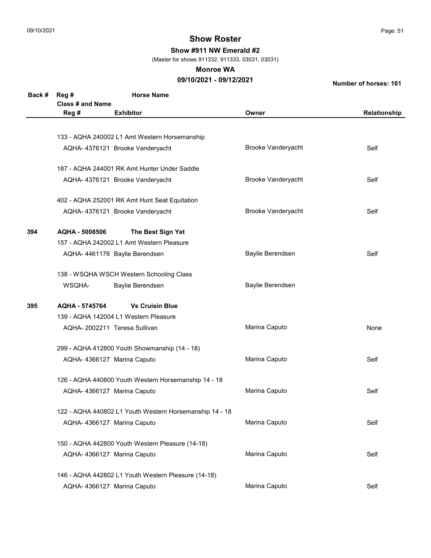Show #911 NW Emerald #2

(Master for shows 911332, 911333, 03031, 03031)

#### Monroe WA

## 09/10/2021 - 09/12/2021

| Back # | Reg #                   | <b>Horse Name</b>                                       |                           |              |  |  |
|--------|-------------------------|---------------------------------------------------------|---------------------------|--------------|--|--|
|        | <b>Class # and Name</b> |                                                         |                           |              |  |  |
|        | Reg #                   | <b>Exhibitor</b>                                        | Owner                     | Relationship |  |  |
|        |                         |                                                         |                           |              |  |  |
|        |                         | 133 - AQHA 240002 L1 Amt Western Horsemanship           |                           |              |  |  |
|        |                         | AQHA- 4376121 Brooke Vanderyacht                        | <b>Brooke Vanderyacht</b> | Self         |  |  |
|        |                         | 187 - AQHA 244001 RK Amt Hunter Under Saddle            |                           |              |  |  |
|        |                         | AQHA- 4376121 Brooke Vanderyacht                        | Brooke Vanderyacht        | Self         |  |  |
|        |                         | 402 - AQHA 252001 RK Amt Hunt Seat Equitation           |                           |              |  |  |
|        |                         | AQHA- 4376121 Brooke Vanderyacht                        | <b>Brooke Vanderyacht</b> | Self         |  |  |
| 394    | AQHA - 5008506          | The Best Sign Yet                                       |                           |              |  |  |
|        |                         | 157 - AQHA 242002 L1 Amt Western Pleasure               |                           |              |  |  |
|        |                         | AQHA- 4461176 Baylie Berendsen                          | Baylie Berendsen          | Self         |  |  |
|        |                         | 138 - WSQHA WSCH Western Schooling Class                |                           |              |  |  |
|        | WSQHA-                  | Baylie Berendsen                                        | Baylie Berendsen          |              |  |  |
| 395    | AQHA - 5745764          | <b>Vs Cruisin Blue</b>                                  |                           |              |  |  |
|        |                         | 139 - AQHA 142004 L1 Western Pleasure                   |                           |              |  |  |
|        |                         | AQHA-2002211 Teresa Sullivan                            | Marina Caputo             | None         |  |  |
|        |                         | 299 - AQHA 412800 Youth Showmanship (14 - 18)           |                           |              |  |  |
|        |                         | AQHA- 4366127 Marina Caputo                             | Marina Caputo             | Self         |  |  |
|        |                         | 126 - AQHA 440800 Youth Western Horsemanship 14 - 18    |                           |              |  |  |
|        |                         | AQHA- 4366127 Marina Caputo                             | Marina Caputo             | Self         |  |  |
|        |                         | 122 - AQHA 440802 L1 Youth Western Horsemanship 14 - 18 |                           |              |  |  |
|        |                         | AQHA- 4366127 Marina Caputo                             | Marina Caputo             | Self         |  |  |
|        |                         | 150 - AQHA 442800 Youth Western Pleasure (14-18)        |                           |              |  |  |
|        |                         | AQHA- 4366127 Marina Caputo                             | Marina Caputo             | Self         |  |  |
|        |                         | 146 - AQHA 442802 L1 Youth Western Pleasure (14-18)     |                           |              |  |  |
|        |                         | AQHA- 4366127 Marina Caputo                             | Marina Caputo             | Self         |  |  |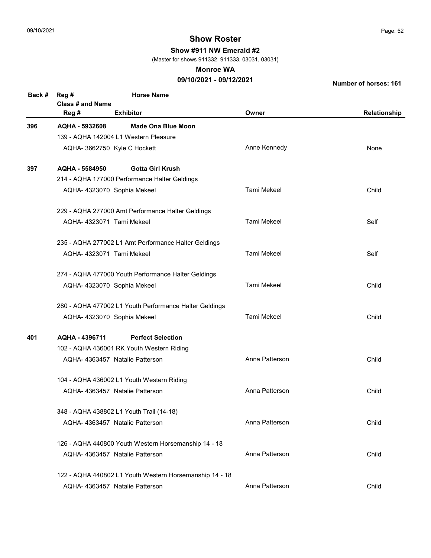Show #911 NW Emerald #2

(Master for shows 911332, 911333, 03031, 03031)

#### Monroe WA

## 09/10/2021 - 09/12/2021

| Back # | Reg#<br>Class # and Name                 | <b>Horse Name</b>                                       |                    |              |
|--------|------------------------------------------|---------------------------------------------------------|--------------------|--------------|
|        | Reg #                                    | <b>Exhibitor</b>                                        | Owner              | Relationship |
| 396    | AQHA - 5932608                           | Made Ona Blue Moon                                      |                    |              |
|        | 139 - AQHA 142004 L1 Western Pleasure    |                                                         |                    |              |
|        | AQHA- 3662750 Kyle C Hockett             |                                                         | Anne Kennedy       | None         |
| 397    | AQHA - 5584950                           | <b>Gotta Girl Krush</b>                                 |                    |              |
|        |                                          | 214 - AQHA 177000 Performance Halter Geldings           |                    |              |
|        | AQHA- 4323070 Sophia Mekeel              |                                                         | Tami Mekeel        | Child        |
|        |                                          | 229 - AQHA 277000 Amt Performance Halter Geldings       |                    |              |
|        | AQHA- 4323071 Tami Mekeel                |                                                         | Tami Mekeel        | Self         |
|        |                                          | 235 - AQHA 277002 L1 Amt Performance Halter Geldings    |                    |              |
|        | AQHA-4323071 Tami Mekeel                 |                                                         | Tami Mekeel        | Self         |
|        |                                          | 274 - AQHA 477000 Youth Performance Halter Geldings     |                    |              |
|        | AQHA- 4323070 Sophia Mekeel              |                                                         | Tami Mekeel        | Child        |
|        |                                          | 280 - AQHA 477002 L1 Youth Performance Halter Geldings  |                    |              |
|        | AQHA- 4323070 Sophia Mekeel              |                                                         | <b>Tami Mekeel</b> | Child        |
| 401    | AQHA - 4396711                           | <b>Perfect Selection</b>                                |                    |              |
|        |                                          | 102 - AQHA 436001 RK Youth Western Riding               |                    |              |
|        | AQHA-4363457 Natalie Patterson           |                                                         | Anna Patterson     | Child        |
|        |                                          | 104 - AQHA 436002 L1 Youth Western Riding               |                    |              |
|        | AQHA-4363457 Natalie Patterson           |                                                         | Anna Patterson     | Child        |
|        | 348 - AQHA 438802 L1 Youth Trail (14-18) |                                                         |                    |              |
|        | AQHA-4363457 Natalie Patterson           |                                                         | Anna Patterson     | Child        |
|        |                                          | 126 - AQHA 440800 Youth Western Horsemanship 14 - 18    |                    |              |
|        | AQHA-4363457 Natalie Patterson           |                                                         | Anna Patterson     | Child        |
|        |                                          | 122 - AQHA 440802 L1 Youth Western Horsemanship 14 - 18 |                    |              |
|        | AQHA- 4363457 Natalie Patterson          |                                                         | Anna Patterson     | Child        |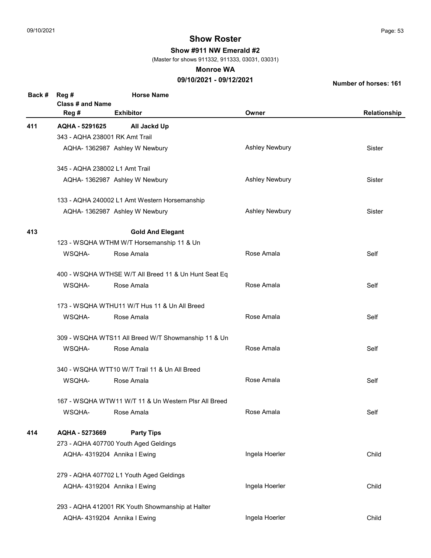Show #911 NW Emerald #2

(Master for shows 911332, 911333, 03031, 03031)

#### Monroe WA

## 09/10/2021 - 09/12/2021

| Back # | Reg #                   | <b>Horse Name</b>                                    |                       |              |
|--------|-------------------------|------------------------------------------------------|-----------------------|--------------|
|        | <b>Class # and Name</b> |                                                      |                       |              |
|        | Reg #                   | <b>Exhibitor</b>                                     | Owner                 | Relationship |
| 411    | AQHA - 5291625          | All Jackd Up                                         |                       |              |
|        |                         | 343 - AQHA 238001 RK Amt Trail                       |                       |              |
|        |                         | AQHA- 1362987 Ashley W Newbury                       | <b>Ashley Newbury</b> | Sister       |
|        |                         | 345 - AQHA 238002 L1 Amt Trail                       |                       |              |
|        |                         | AQHA- 1362987 Ashley W Newbury                       | <b>Ashley Newbury</b> | Sister       |
|        |                         | 133 - AQHA 240002 L1 Amt Western Horsemanship        |                       |              |
|        |                         | AQHA- 1362987 Ashley W Newbury                       | <b>Ashley Newbury</b> | Sister       |
| 413    |                         | <b>Gold And Elegant</b>                              |                       |              |
|        |                         | 123 - WSQHA WTHM W/T Horsemanship 11 & Un            |                       |              |
|        | WSQHA-                  | Rose Amala                                           | Rose Amala            | Self         |
|        |                         | 400 - WSQHA WTHSE W/T All Breed 11 & Un Hunt Seat Eq |                       |              |
|        | WSQHA-                  | Rose Amala                                           | Rose Amala            | Self         |
|        |                         | 173 - WSQHA WTHU11 W/T Hus 11 & Un All Breed         |                       |              |
|        | WSQHA-                  | Rose Amala                                           | Rose Amala            | Self         |
|        |                         | 309 - WSQHA WTS11 All Breed W/T Showmanship 11 & Un  |                       |              |
|        | WSQHA-                  | Rose Amala                                           | Rose Amala            | Self         |
|        |                         | 340 - WSQHA WTT10 W/T Trail 11 & Un All Breed        |                       |              |
|        | WSQHA-                  | Rose Amala                                           | Rose Amala            | Self         |
|        |                         | 167 - WSQHA WTW11 W/T 11 & Un Western Plsr All Breed |                       |              |
|        | WSQHA-                  | Rose Amala                                           | Rose Amala            | Self         |
| 414    | AQHA - 5273669          | <b>Party Tips</b>                                    |                       |              |
|        |                         | 273 - AQHA 407700 Youth Aged Geldings                |                       |              |
|        |                         | AQHA- 4319204 Annika I Ewing                         | Ingela Hoerler        | Child        |
|        |                         | 279 - AQHA 407702 L1 Youth Aged Geldings             |                       |              |
|        |                         | AQHA- 4319204 Annika I Ewing                         | Ingela Hoerler        | Child        |
|        |                         | 293 - AQHA 412001 RK Youth Showmanship at Halter     |                       |              |
|        |                         | AQHA- 4319204 Annika I Ewing                         | Ingela Hoerler        | Child        |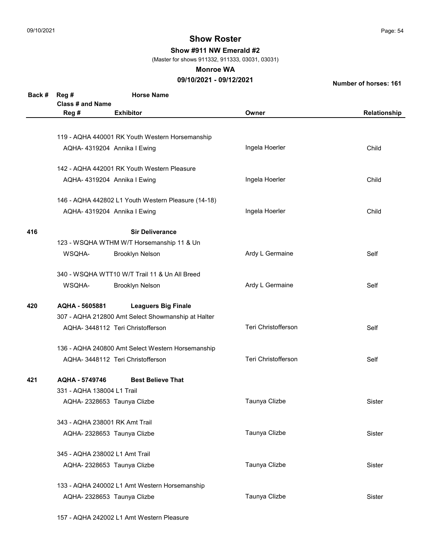Show #911 NW Emerald #2

(Master for shows 911332, 911333, 03031, 03031)

#### Monroe WA

## 09/10/2021 - 09/12/2021

Number of horses: 161

| Back # | Reg #<br>Class # and Name                          | <b>Horse Name</b>                                   |                            |              |
|--------|----------------------------------------------------|-----------------------------------------------------|----------------------------|--------------|
|        | Reg #                                              | <b>Exhibitor</b>                                    | Owner                      | Relationship |
|        |                                                    |                                                     |                            |              |
|        |                                                    | 119 - AQHA 440001 RK Youth Western Horsemanship     |                            |              |
|        |                                                    | AQHA- 4319204 Annika I Ewing                        | Ingela Hoerler             | Child        |
|        |                                                    | 142 - AQHA 442001 RK Youth Western Pleasure         |                            |              |
|        |                                                    | AQHA- 4319204 Annika I Ewing                        | Ingela Hoerler             | Child        |
|        |                                                    | 146 - AQHA 442802 L1 Youth Western Pleasure (14-18) |                            |              |
|        |                                                    | AQHA- 4319204 Annika I Ewing                        | Ingela Hoerler             | Child        |
| 416    |                                                    | <b>Sir Deliverance</b>                              |                            |              |
|        |                                                    | 123 - WSQHA WTHM W/T Horsemanship 11 & Un           |                            |              |
|        | WSQHA-                                             | <b>Brooklyn Nelson</b>                              | Ardy L Germaine            | Self         |
|        |                                                    | 340 - WSQHA WTT10 W/T Trail 11 & Un All Breed       |                            |              |
|        | WSQHA-                                             | <b>Brooklyn Nelson</b>                              | Ardy L Germaine            | Self         |
| 420    | AQHA - 5605881                                     | <b>Leaguers Big Finale</b>                          |                            |              |
|        | 307 - AQHA 212800 Amt Select Showmanship at Halter |                                                     |                            |              |
|        |                                                    | AQHA- 3448112 Teri Christofferson                   | Teri Christofferson        | Self         |
|        | 136 - AQHA 240800 Amt Select Western Horsemanship  |                                                     |                            |              |
|        |                                                    | AQHA- 3448112 Teri Christofferson                   | <b>Teri Christofferson</b> | Self         |
| 421    | AQHA - 5749746                                     | <b>Best Believe That</b>                            |                            |              |
|        | 331 - AQHA 138004 L1 Trail                         |                                                     |                            |              |
|        |                                                    | AQHA-2328653 Taunya Clizbe                          | Taunya Clizbe              | Sister       |
|        | 343 - AQHA 238001 RK Amt Trail                     |                                                     |                            |              |
|        | AQHA-2328653 Taunya Clizbe                         |                                                     | Taunya Clizbe              | Sister       |
|        | 345 - AQHA 238002 L1 Amt Trail                     |                                                     |                            |              |
|        |                                                    | AQHA-2328653 Taunya Clizbe                          | Taunya Clizbe              | Sister       |
|        |                                                    | 133 - AQHA 240002 L1 Amt Western Horsemanship       |                            |              |
|        |                                                    | AQHA-2328653 Taunya Clizbe                          | Taunya Clizbe              | Sister       |

157 - AQHA 242002 L1 Amt Western Pleasure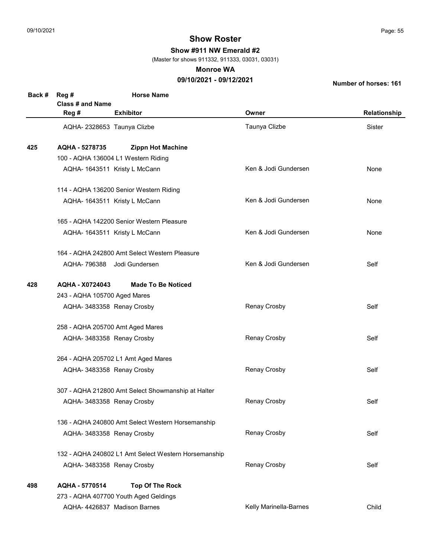Show #911 NW Emerald #2

(Master for shows 911332, 911333, 03031, 03031)

#### Monroe WA

## 09/10/2021 - 09/12/2021

| Back # | Reg #<br><b>Class # and Name</b>              | <b>Horse Name</b>                                    |                        |               |  |  |
|--------|-----------------------------------------------|------------------------------------------------------|------------------------|---------------|--|--|
|        | Reg #                                         | <b>Exhibitor</b>                                     | Owner                  | Relationship  |  |  |
|        | AQHA-2328653 Taunya Clizbe                    |                                                      | Taunya Clizbe          | <b>Sister</b> |  |  |
| 425    | AQHA - 5278735                                | <b>Zippn Hot Machine</b>                             |                        |               |  |  |
|        |                                               | 100 - AQHA 136004 L1 Western Riding                  |                        |               |  |  |
|        |                                               | AQHA- 1643511 Kristy L McCann                        | Ken & Jodi Gundersen   | None          |  |  |
|        |                                               | 114 - AQHA 136200 Senior Western Riding              |                        |               |  |  |
|        |                                               | AQHA- 1643511 Kristy L McCann                        | Ken & Jodi Gundersen   | None          |  |  |
|        |                                               | 165 - AQHA 142200 Senior Western Pleasure            |                        |               |  |  |
|        |                                               | AQHA- 1643511 Kristy L McCann                        | Ken & Jodi Gundersen   | None          |  |  |
|        | 164 - AQHA 242800 Amt Select Western Pleasure |                                                      |                        |               |  |  |
|        |                                               | AQHA- 796388 Jodi Gundersen                          | Ken & Jodi Gundersen   | Self          |  |  |
| 428    | AQHA - X0724043<br><b>Made To Be Noticed</b>  |                                                      |                        |               |  |  |
|        | 243 - AQHA 105700 Aged Mares                  |                                                      |                        |               |  |  |
|        | AQHA- 3483358 Renay Crosby                    |                                                      | Renay Crosby           | Self          |  |  |
|        | 258 - AQHA 205700 Amt Aged Mares              |                                                      |                        |               |  |  |
|        | AQHA- 3483358 Renay Crosby                    |                                                      | Renay Crosby           | Self          |  |  |
|        |                                               | 264 - AQHA 205702 L1 Amt Aged Mares                  |                        |               |  |  |
|        | AQHA- 3483358 Renay Crosby                    |                                                      | Renay Crosby           | Self          |  |  |
|        |                                               | 307 - AQHA 212800 Amt Select Showmanship at Halter   |                        |               |  |  |
|        | AQHA- 3483358 Renay Crosby                    |                                                      | Renay Crosby           | Self          |  |  |
|        |                                               | 136 - AQHA 240800 Amt Select Western Horsemanship    |                        |               |  |  |
|        | AQHA- 3483358 Renay Crosby                    |                                                      | Renay Crosby           | Self          |  |  |
|        |                                               | 132 - AQHA 240802 L1 Amt Select Western Horsemanship |                        |               |  |  |
|        | AQHA- 3483358 Renay Crosby                    |                                                      | Renay Crosby           | Self          |  |  |
| 498    | AQHA - 5770514                                | <b>Top Of The Rock</b>                               |                        |               |  |  |
|        |                                               | 273 - AQHA 407700 Youth Aged Geldings                |                        |               |  |  |
|        |                                               | AQHA-4426837 Madison Barnes                          | Kelly Marinella-Barnes | Child         |  |  |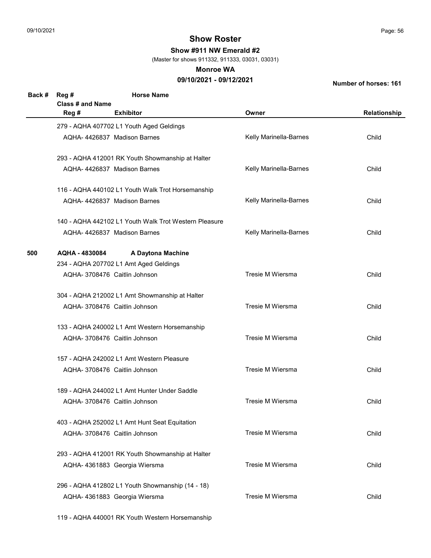Show #911 NW Emerald #2

(Master for shows 911332, 911333, 03031, 03031)

#### Monroe WA

## 09/10/2021 - 09/12/2021

| Back # | Reg #<br><b>Class # and Name</b> | <b>Horse Name</b>                                     |                        |              |
|--------|----------------------------------|-------------------------------------------------------|------------------------|--------------|
|        | Reg #                            | <b>Exhibitor</b>                                      | Owner                  | Relationship |
|        |                                  | 279 - AQHA 407702 L1 Youth Aged Geldings              |                        |              |
|        |                                  | AQHA- 4426837 Madison Barnes                          | Kelly Marinella-Barnes | Child        |
|        |                                  | 293 - AQHA 412001 RK Youth Showmanship at Halter      |                        |              |
|        |                                  | AQHA-4426837 Madison Barnes                           | Kelly Marinella-Barnes | Child        |
|        |                                  | 116 - AQHA 440102 L1 Youth Walk Trot Horsemanship     |                        |              |
|        |                                  | AQHA-4426837 Madison Barnes                           | Kelly Marinella-Barnes | Child        |
|        |                                  | 140 - AQHA 442102 L1 Youth Walk Trot Western Pleasure |                        |              |
|        |                                  | AQHA-4426837 Madison Barnes                           | Kelly Marinella-Barnes | Child        |
| 500    | AQHA - 4830084                   | A Daytona Machine                                     |                        |              |
|        |                                  | 234 - AQHA 207702 L1 Amt Aged Geldings                |                        |              |
|        |                                  | AQHA- 3708476 Caitlin Johnson                         | Tresie M Wiersma       | Child        |
|        |                                  | 304 - AQHA 212002 L1 Amt Showmanship at Halter        |                        |              |
|        |                                  | AQHA- 3708476 Caitlin Johnson                         | Tresie M Wiersma       | Child        |
|        |                                  | 133 - AQHA 240002 L1 Amt Western Horsemanship         |                        |              |
|        |                                  | AQHA- 3708476 Caitlin Johnson                         | Tresie M Wiersma       | Child        |
|        |                                  | 157 - AQHA 242002 L1 Amt Western Pleasure             |                        |              |
|        |                                  | AQHA- 3708476 Caitlin Johnson                         | Tresie M Wiersma       | Child        |
|        |                                  | 189 - AQHA 244002 L1 Amt Hunter Under Saddle          |                        |              |
|        |                                  | AQHA-3708476 Caitlin Johnson                          | Tresie M Wiersma       | Child        |
|        |                                  | 403 - AQHA 252002 L1 Amt Hunt Seat Equitation         |                        |              |
|        |                                  | AQHA-3708476 Caitlin Johnson                          | Tresie M Wiersma       | Child        |
|        |                                  | 293 - AQHA 412001 RK Youth Showmanship at Halter      |                        |              |
|        |                                  | AQHA- 4361883 Georgia Wiersma                         | Tresie M Wiersma       | Child        |
|        |                                  | 296 - AQHA 412802 L1 Youth Showmanship (14 - 18)      |                        |              |
|        |                                  | AQHA- 4361883 Georgia Wiersma                         | Tresie M Wiersma       | Child        |
|        |                                  | 119 - AQHA 440001 RK Youth Western Horsemanship       |                        |              |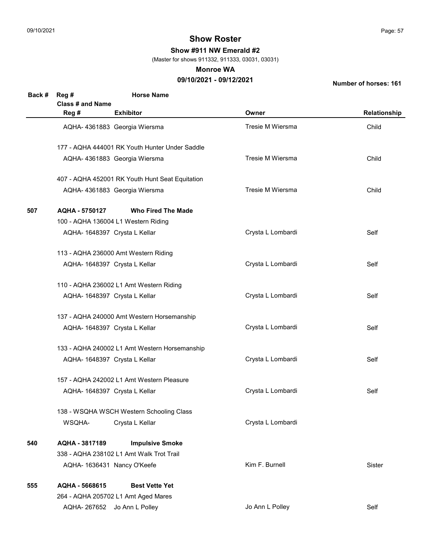Show #911 NW Emerald #2

(Master for shows 911332, 911333, 03031, 03031)

#### Monroe WA

## 09/10/2021 - 09/12/2021

| Back # | Reg #                         | <b>Horse Name</b>                               |                   |              |
|--------|-------------------------------|-------------------------------------------------|-------------------|--------------|
|        | Class # and Name              |                                                 |                   |              |
|        | Reg #                         | <b>Exhibitor</b>                                | Owner             | Relationship |
|        |                               | AQHA- 4361883 Georgia Wiersma                   | Tresie M Wiersma  | Child        |
|        |                               | 177 - AQHA 444001 RK Youth Hunter Under Saddle  |                   |              |
|        |                               | AQHA- 4361883 Georgia Wiersma                   | Tresie M Wiersma  | Child        |
|        |                               | 407 - AQHA 452001 RK Youth Hunt Seat Equitation |                   |              |
|        |                               | AQHA- 4361883 Georgia Wiersma                   | Tresie M Wiersma  | Child        |
| 507    | AQHA - 5750127                | <b>Who Fired The Made</b>                       |                   |              |
|        |                               | 100 - AQHA 136004 L1 Western Riding             |                   |              |
|        | AQHA- 1648397 Crysta L Kellar |                                                 | Crysta L Lombardi | Self         |
|        |                               | 113 - AQHA 236000 Amt Western Riding            |                   |              |
|        | AQHA- 1648397 Crysta L Kellar |                                                 | Crysta L Lombardi | Self         |
|        |                               | 110 - AQHA 236002 L1 Amt Western Riding         |                   |              |
|        | AQHA- 1648397 Crysta L Kellar |                                                 | Crysta L Lombardi | Self         |
|        |                               | 137 - AQHA 240000 Amt Western Horsemanship      |                   |              |
|        | AQHA- 1648397 Crysta L Kellar |                                                 | Crysta L Lombardi | Self         |
|        |                               | 133 - AQHA 240002 L1 Amt Western Horsemanship   |                   |              |
|        | AQHA- 1648397 Crysta L Kellar |                                                 | Crysta L Lombardi | Self         |
|        |                               | 157 - AQHA 242002 L1 Amt Western Pleasure       |                   |              |
|        | AQHA- 1648397 Crysta L Kellar |                                                 | Crysta L Lombardi | Self         |
|        |                               | 138 - WSQHA WSCH Western Schooling Class        |                   |              |
|        | WSQHA-                        | Crysta L Kellar                                 | Crysta L Lombardi |              |
| 540    | AQHA - 3817189                | <b>Impulsive Smoke</b>                          |                   |              |
|        |                               | 338 - AQHA 238102 L1 Amt Walk Trot Trail        |                   |              |
|        | AQHA- 1636431 Nancy O'Keefe   |                                                 | Kim F. Burnell    | Sister       |
| 555    | AQHA - 5668615                | <b>Best Vette Yet</b>                           |                   |              |
|        |                               | 264 - AQHA 205702 L1 Amt Aged Mares             |                   |              |
|        |                               | AQHA-267652 Jo Ann L Polley                     | Jo Ann L Polley   | Self         |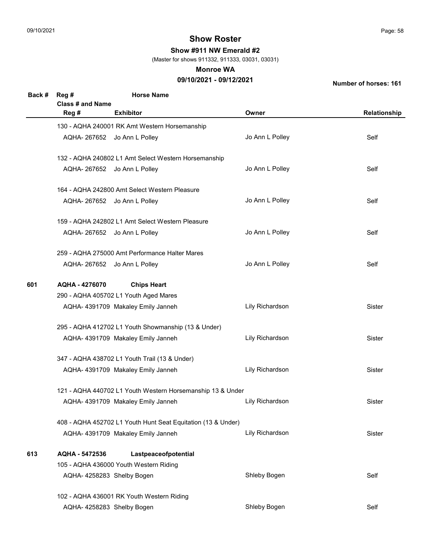Show #911 NW Emerald #2

(Master for shows 911332, 911333, 03031, 03031)

#### Monroe WA

## 09/10/2021 - 09/12/2021

| Back # | Reg #<br>Class # and Name                                  | <b>Horse Name</b>                                            |                 |              |  |
|--------|------------------------------------------------------------|--------------------------------------------------------------|-----------------|--------------|--|
|        | Reg #                                                      | <b>Exhibitor</b>                                             | Owner           | Relationship |  |
|        |                                                            | 130 - AQHA 240001 RK Amt Western Horsemanship                |                 |              |  |
|        |                                                            | AQHA-267652 Jo Ann L Polley                                  | Jo Ann L Polley | Self         |  |
|        |                                                            | 132 - AQHA 240802 L1 Amt Select Western Horsemanship         |                 |              |  |
|        |                                                            | AQHA-267652 Jo Ann L Polley                                  | Jo Ann L Polley | Self         |  |
|        |                                                            | 164 - AQHA 242800 Amt Select Western Pleasure                |                 |              |  |
|        |                                                            | AQHA-267652 Jo Ann L Polley                                  | Jo Ann L Polley | Self         |  |
|        |                                                            | 159 - AQHA 242802 L1 Amt Select Western Pleasure             |                 |              |  |
|        |                                                            | AQHA-267652 Jo Ann L Polley                                  | Jo Ann L Polley | Self         |  |
|        |                                                            | 259 - AQHA 275000 Amt Performance Halter Mares               |                 |              |  |
|        |                                                            | AQHA-267652 Jo Ann L Polley                                  | Jo Ann L Polley | Self         |  |
| 601    | AQHA - 4276070                                             | <b>Chips Heart</b>                                           |                 |              |  |
|        |                                                            | 290 - AQHA 405702 L1 Youth Aged Mares                        |                 |              |  |
|        |                                                            | AQHA- 4391709 Makaley Emily Janneh                           | Lily Richardson | Sister       |  |
|        |                                                            | 295 - AQHA 412702 L1 Youth Showmanship (13 & Under)          |                 |              |  |
|        |                                                            | AQHA- 4391709 Makaley Emily Janneh                           | Lily Richardson | Sister       |  |
|        | 347 - AQHA 438702 L1 Youth Trail (13 & Under)              |                                                              |                 |              |  |
|        |                                                            | AQHA-4391709 Makaley Emily Janneh                            | Lily Richardson | Sister       |  |
|        | 121 - AQHA 440702 L1 Youth Western Horsemanship 13 & Under |                                                              |                 |              |  |
|        |                                                            | AQHA- 4391709 Makaley Emily Janneh                           | Lily Richardson | Sister       |  |
|        |                                                            | 408 - AQHA 452702 L1 Youth Hunt Seat Equitation (13 & Under) |                 |              |  |
|        |                                                            | AQHA- 4391709 Makaley Emily Janneh                           | Lily Richardson | Sister       |  |
| 613    | AQHA - 5472536                                             | Lastpeaceofpotential                                         |                 |              |  |
|        |                                                            | 105 - AQHA 436000 Youth Western Riding                       |                 |              |  |
|        | AQHA-4258283 Shelby Bogen                                  |                                                              | Shleby Bogen    | Self         |  |
|        |                                                            | 102 - AQHA 436001 RK Youth Western Riding                    |                 |              |  |
|        | AQHA- 4258283 Shelby Bogen                                 |                                                              | Shleby Bogen    | Self         |  |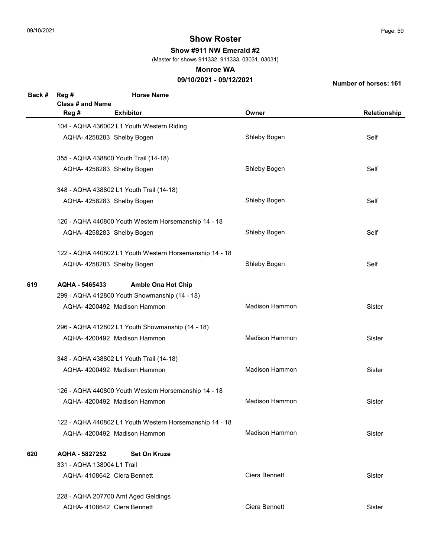Show #911 NW Emerald #2

(Master for shows 911332, 911333, 03031, 03031)

#### Monroe WA

## 09/10/2021 - 09/12/2021

| Back # | Reg #<br><b>Class # and Name</b> | <b>Horse Name</b>                                       |                       |              |
|--------|----------------------------------|---------------------------------------------------------|-----------------------|--------------|
|        | Reg #                            | <b>Exhibitor</b>                                        | Owner                 | Relationship |
|        |                                  | 104 - AQHA 436002 L1 Youth Western Riding               |                       |              |
|        | AQHA-4258283 Shelby Bogen        |                                                         | Shleby Bogen          | Self         |
|        |                                  | 355 - AQHA 438800 Youth Trail (14-18)                   |                       |              |
|        | AQHA-4258283 Shelby Bogen        |                                                         | Shleby Bogen          | Self         |
|        |                                  | 348 - AQHA 438802 L1 Youth Trail (14-18)                |                       |              |
|        | AQHA-4258283 Shelby Bogen        |                                                         | Shleby Bogen          | Self         |
|        |                                  | 126 - AQHA 440800 Youth Western Horsemanship 14 - 18    |                       |              |
|        | AQHA-4258283 Shelby Bogen        |                                                         | Shleby Bogen          | Self         |
|        |                                  | 122 - AQHA 440802 L1 Youth Western Horsemanship 14 - 18 |                       |              |
|        | AQHA-4258283 Shelby Bogen        |                                                         | Shleby Bogen          | Self         |
| 619    | AQHA - 5465433                   | <b>Amble Ona Hot Chip</b>                               |                       |              |
|        |                                  | 299 - AQHA 412800 Youth Showmanship (14 - 18)           |                       |              |
|        |                                  | AQHA-4200492 Madison Hammon                             | <b>Madison Hammon</b> | Sister       |
|        |                                  | 296 - AQHA 412802 L1 Youth Showmanship (14 - 18)        |                       |              |
|        |                                  | AQHA- 4200492 Madison Hammon                            | <b>Madison Hammon</b> | Sister       |
|        |                                  | 348 - AQHA 438802 L1 Youth Trail (14-18)                |                       |              |
|        |                                  | AQHA- 4200492 Madison Hammon                            | <b>Madison Hammon</b> | Sister       |
|        |                                  | 126 - AQHA 440800 Youth Western Horsemanship 14 - 18    |                       |              |
|        |                                  | AQHA-4200492 Madison Hammon                             | <b>Madison Hammon</b> | Sister       |
|        |                                  | 122 - AQHA 440802 L1 Youth Western Horsemanship 14 - 18 |                       |              |
|        |                                  | AQHA-4200492 Madison Hammon                             | <b>Madison Hammon</b> | Sister       |
| 620    | AQHA - 5827252                   | <b>Set On Kruze</b>                                     |                       |              |
|        | 331 - AQHA 138004 L1 Trail       |                                                         |                       |              |
|        | AQHA-4108642 Ciera Bennett       |                                                         | Ciera Bennett         | Sister       |
|        |                                  | 228 - AQHA 207700 Amt Aged Geldings                     |                       |              |
|        | AQHA-4108642 Ciera Bennett       |                                                         | Ciera Bennett         | Sister       |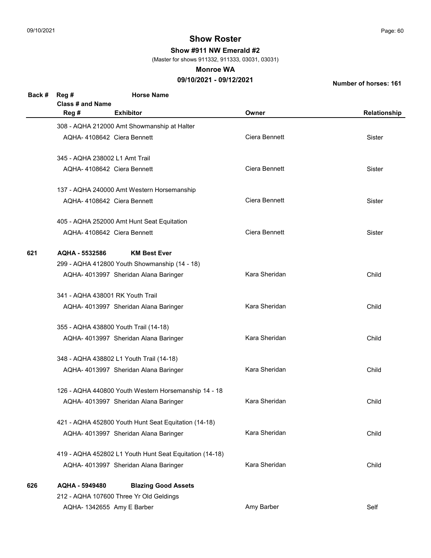Show #911 NW Emerald #2

(Master for shows 911332, 911333, 03031, 03031)

#### Monroe WA

## 09/10/2021 - 09/12/2021

| Back # | Reg #<br><b>Class # and Name</b> | <b>Horse Name</b>                                       |               |              |
|--------|----------------------------------|---------------------------------------------------------|---------------|--------------|
|        | Reg #                            | <b>Exhibitor</b>                                        | Owner         | Relationship |
|        |                                  | 308 - AQHA 212000 Amt Showmanship at Halter             |               |              |
|        | AQHA-4108642 Ciera Bennett       |                                                         | Ciera Bennett | Sister       |
|        | 345 - AQHA 238002 L1 Amt Trail   |                                                         |               |              |
|        | AQHA-4108642 Ciera Bennett       |                                                         | Ciera Bennett | Sister       |
|        |                                  | 137 - AQHA 240000 Amt Western Horsemanship              |               |              |
|        | AQHA-4108642 Ciera Bennett       |                                                         | Ciera Bennett | Sister       |
|        |                                  | 405 - AQHA 252000 Amt Hunt Seat Equitation              |               |              |
|        | AQHA-4108642 Ciera Bennett       |                                                         | Ciera Bennett | Sister       |
| 621    | AQHA - 5532586                   | <b>KM Best Ever</b>                                     |               |              |
|        |                                  | 299 - AQHA 412800 Youth Showmanship (14 - 18)           |               |              |
|        |                                  | AQHA- 4013997 Sheridan Alana Baringer                   | Kara Sheridan | Child        |
|        | 341 - AQHA 438001 RK Youth Trail |                                                         |               |              |
|        |                                  | AQHA- 4013997 Sheridan Alana Baringer                   | Kara Sheridan | Child        |
|        |                                  | 355 - AQHA 438800 Youth Trail (14-18)                   |               |              |
|        |                                  | AQHA- 4013997 Sheridan Alana Baringer                   | Kara Sheridan | Child        |
|        |                                  | 348 - AQHA 438802 L1 Youth Trail (14-18)                |               |              |
|        |                                  | AQHA- 4013997 Sheridan Alana Baringer                   | Kara Sheridan | Child        |
|        |                                  | 126 - AQHA 440800 Youth Western Horsemanship 14 - 18    |               |              |
|        |                                  | AQHA- 4013997 Sheridan Alana Baringer                   | Kara Sheridan | Child        |
|        |                                  | 421 - AQHA 452800 Youth Hunt Seat Equitation (14-18)    |               |              |
|        |                                  | AQHA- 4013997 Sheridan Alana Baringer                   | Kara Sheridan | Child        |
|        |                                  | 419 - AQHA 452802 L1 Youth Hunt Seat Equitation (14-18) |               |              |
|        |                                  | AQHA- 4013997 Sheridan Alana Baringer                   | Kara Sheridan | Child        |
| 626    | AQHA - 5949480                   | <b>Blazing Good Assets</b>                              |               |              |
|        |                                  | 212 - AQHA 107600 Three Yr Old Geldings                 |               |              |
|        | AQHA- 1342655 Amy E Barber       |                                                         | Amy Barber    | Self         |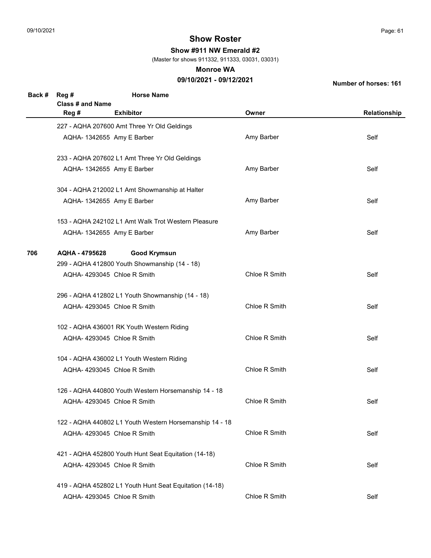Show #911 NW Emerald #2

(Master for shows 911332, 911333, 03031, 03031)

#### Monroe WA

## 09/10/2021 - 09/12/2021

| Back # | Reg #<br>Class # and Name             | <b>Horse Name</b>                                       |               |              |  |  |
|--------|---------------------------------------|---------------------------------------------------------|---------------|--------------|--|--|
|        | Reg #                                 | <b>Exhibitor</b>                                        | Owner         | Relationship |  |  |
|        |                                       | 227 - AQHA 207600 Amt Three Yr Old Geldings             |               |              |  |  |
|        | AQHA- 1342655 Amy E Barber            |                                                         | Amy Barber    | Self         |  |  |
|        |                                       | 233 - AQHA 207602 L1 Amt Three Yr Old Geldings          |               |              |  |  |
|        |                                       | AQHA- 1342655 Amy E Barber                              | Amy Barber    | Self         |  |  |
|        |                                       | 304 - AQHA 212002 L1 Amt Showmanship at Halter          |               |              |  |  |
|        |                                       | AQHA- 1342655 Amy E Barber                              | Amy Barber    | Self         |  |  |
|        |                                       | 153 - AQHA 242102 L1 Amt Walk Trot Western Pleasure     |               |              |  |  |
|        |                                       | AQHA- 1342655 Amy E Barber                              | Amy Barber    | Self         |  |  |
| 706    | <b>Good Krymsun</b><br>AQHA - 4795628 |                                                         |               |              |  |  |
|        |                                       | 299 - AQHA 412800 Youth Showmanship (14 - 18)           |               |              |  |  |
|        |                                       | AQHA-4293045 Chloe R Smith                              | Chloe R Smith | Self         |  |  |
|        |                                       | 296 - AQHA 412802 L1 Youth Showmanship (14 - 18)        |               |              |  |  |
|        |                                       | AQHA-4293045 Chloe R Smith                              | Chloe R Smith | Self         |  |  |
|        |                                       | 102 - AQHA 436001 RK Youth Western Riding               |               |              |  |  |
|        |                                       | AQHA-4293045 Chloe R Smith                              | Chloe R Smith | Self         |  |  |
|        |                                       | 104 - AQHA 436002 L1 Youth Western Riding               |               |              |  |  |
|        |                                       | AQHA-4293045 Chloe R Smith                              | Chloe R Smith | Self         |  |  |
|        |                                       | 126 - AQHA 440800 Youth Western Horsemanship 14 - 18    |               |              |  |  |
|        |                                       | AQHA-4293045 Chloe R Smith                              | Chloe R Smith | Self         |  |  |
|        |                                       | 122 - AQHA 440802 L1 Youth Western Horsemanship 14 - 18 |               |              |  |  |
|        |                                       | AQHA-4293045 Chloe R Smith                              | Chloe R Smith | Self         |  |  |
|        |                                       | 421 - AQHA 452800 Youth Hunt Seat Equitation (14-18)    |               |              |  |  |
|        |                                       | AQHA-4293045 Chloe R Smith                              | Chloe R Smith | Self         |  |  |
|        |                                       | 419 - AQHA 452802 L1 Youth Hunt Seat Equitation (14-18) |               |              |  |  |
|        |                                       | AQHA- 4293045 Chloe R Smith                             | Chloe R Smith | Self         |  |  |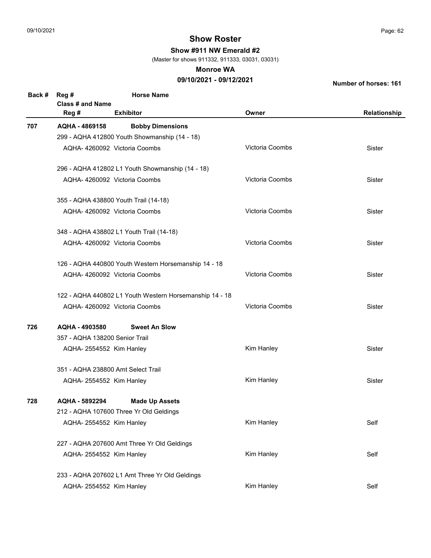Show #911 NW Emerald #2

(Master for shows 911332, 911333, 03031, 03031)

#### Monroe WA

## 09/10/2021 - 09/12/2021

| Back # | <b>Horse Name</b><br>Reg #<br>Class # and Name |                                                         |                 |              |  |  |
|--------|------------------------------------------------|---------------------------------------------------------|-----------------|--------------|--|--|
|        | Reg #                                          | <b>Exhibitor</b>                                        | Owner           | Relationship |  |  |
| 707    | AQHA - 4869158                                 | <b>Bobby Dimensions</b>                                 |                 |              |  |  |
|        | 299 - AQHA 412800 Youth Showmanship (14 - 18)  |                                                         |                 |              |  |  |
|        |                                                | AQHA- 4260092 Victoria Coombs                           | Victoria Coombs | Sister       |  |  |
|        |                                                | 296 - AQHA 412802 L1 Youth Showmanship (14 - 18)        |                 |              |  |  |
|        |                                                | AQHA-4260092 Victoria Coombs                            | Victoria Coombs | Sister       |  |  |
|        |                                                | 355 - AQHA 438800 Youth Trail (14-18)                   |                 |              |  |  |
|        |                                                | AQHA-4260092 Victoria Coombs                            | Victoria Coombs | Sister       |  |  |
|        |                                                | 348 - AQHA 438802 L1 Youth Trail (14-18)                |                 |              |  |  |
|        |                                                | AQHA-4260092 Victoria Coombs                            | Victoria Coombs | Sister       |  |  |
|        |                                                | 126 - AQHA 440800 Youth Western Horsemanship 14 - 18    |                 |              |  |  |
|        |                                                | AQHA-4260092 Victoria Coombs                            | Victoria Coombs | Sister       |  |  |
|        |                                                | 122 - AQHA 440802 L1 Youth Western Horsemanship 14 - 18 |                 |              |  |  |
|        |                                                | AQHA-4260092 Victoria Coombs                            | Victoria Coombs | Sister       |  |  |
| 726    | AQHA - 4903580                                 | <b>Sweet An Slow</b>                                    |                 |              |  |  |
|        | 357 - AQHA 138200 Senior Trail                 |                                                         |                 |              |  |  |
|        | AQHA-2554552 Kim Hanley                        |                                                         | Kim Hanley      | Sister       |  |  |
|        | 351 - AQHA 238800 Amt Select Trail             |                                                         |                 |              |  |  |
|        | AQHA-2554552 Kim Hanley                        |                                                         | Kim Hanley      | Sister       |  |  |
| 728    | AQHA - 5892294                                 | <b>Made Up Assets</b>                                   |                 |              |  |  |
|        | 212 - AQHA 107600 Three Yr Old Geldings        |                                                         |                 |              |  |  |
|        | AQHA-2554552 Kim Hanley                        |                                                         | Kim Hanley      | Self         |  |  |
|        | 227 - AQHA 207600 Amt Three Yr Old Geldings    |                                                         |                 |              |  |  |
|        | AQHA-2554552 Kim Hanley                        |                                                         | Kim Hanley      | Self         |  |  |
|        | 233 - AQHA 207602 L1 Amt Three Yr Old Geldings |                                                         |                 |              |  |  |
|        | AQHA- 2554552 Kim Hanley                       |                                                         | Kim Hanley      | Self         |  |  |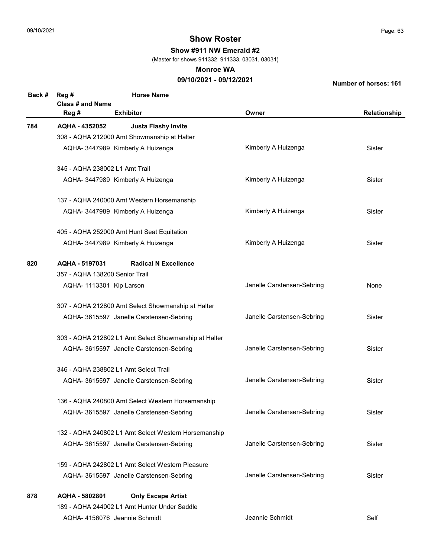Show #911 NW Emerald #2

(Master for shows 911332, 911333, 03031, 03031)

#### Monroe WA

## 09/10/2021 - 09/12/2021

| Back # | <b>Horse Name</b><br>Reg#<br><b>Class # and Name</b>  |                            |              |  |  |
|--------|-------------------------------------------------------|----------------------------|--------------|--|--|
|        | Reg #<br><b>Exhibitor</b>                             | Owner                      | Relationship |  |  |
| 784    | AQHA - 4352052<br><b>Justa Flashy Invite</b>          |                            |              |  |  |
|        | 308 - AQHA 212000 Amt Showmanship at Halter           |                            |              |  |  |
|        | AQHA- 3447989 Kimberly A Huizenga                     | Kimberly A Huizenga        | Sister       |  |  |
|        | 345 - AQHA 238002 L1 Amt Trail                        |                            |              |  |  |
|        | AQHA- 3447989 Kimberly A Huizenga                     | Kimberly A Huizenga        | Sister       |  |  |
|        | 137 - AQHA 240000 Amt Western Horsemanship            |                            |              |  |  |
|        | AQHA- 3447989 Kimberly A Huizenga                     | Kimberly A Huizenga        | Sister       |  |  |
|        | 405 - AQHA 252000 Amt Hunt Seat Equitation            |                            |              |  |  |
|        | AQHA- 3447989 Kimberly A Huizenga                     | Kimberly A Huizenga        | Sister       |  |  |
| 820    | <b>Radical N Excellence</b><br>AQHA - 5197031         |                            |              |  |  |
|        | 357 - AQHA 138200 Senior Trail                        |                            |              |  |  |
|        | AQHA- 1113301 Kip Larson                              | Janelle Carstensen-Sebring | None         |  |  |
|        | 307 - AQHA 212800 Amt Select Showmanship at Halter    |                            |              |  |  |
|        | AQHA- 3615597 Janelle Carstensen-Sebring              | Janelle Carstensen-Sebring | Sister       |  |  |
|        | 303 - AQHA 212802 L1 Amt Select Showmanship at Halter |                            |              |  |  |
|        | AQHA- 3615597 Janelle Carstensen-Sebring              | Janelle Carstensen-Sebring | Sister       |  |  |
|        | 346 - AQHA 238802 L1 Amt Select Trail                 |                            |              |  |  |
|        | AQHA- 3615597 Janelle Carstensen-Sebring              | Janelle Carstensen-Sebring | Sister       |  |  |
|        | 136 - AQHA 240800 Amt Select Western Horsemanship     |                            |              |  |  |
|        | AQHA- 3615597 Janelle Carstensen-Sebring              | Janelle Carstensen-Sebring | Sister       |  |  |
|        | 132 - AQHA 240802 L1 Amt Select Western Horsemanship  |                            |              |  |  |
|        | AQHA- 3615597 Janelle Carstensen-Sebring              | Janelle Carstensen-Sebring | Sister       |  |  |
|        | 159 - AQHA 242802 L1 Amt Select Western Pleasure      |                            |              |  |  |
|        | AQHA- 3615597 Janelle Carstensen-Sebring              | Janelle Carstensen-Sebring | Sister       |  |  |
| 878    | AQHA - 5802801<br><b>Only Escape Artist</b>           |                            |              |  |  |
|        | 189 - AQHA 244002 L1 Amt Hunter Under Saddle          |                            |              |  |  |
|        | AQHA-4156076 Jeannie Schmidt                          | Jeannie Schmidt            | Self         |  |  |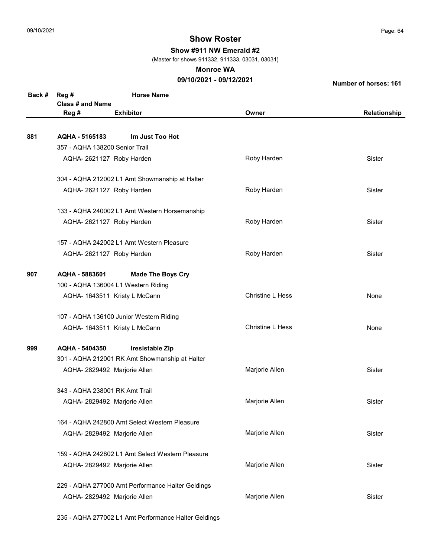Show #911 NW Emerald #2

(Master for shows 911332, 911333, 03031, 03031)

#### Monroe WA

## 09/10/2021 - 09/12/2021

Number of horses: 161

| Back # | Reg #<br>Class # and Name                      | <b>Horse Name</b>                                 |                         |              |  |  |
|--------|------------------------------------------------|---------------------------------------------------|-------------------------|--------------|--|--|
|        | Reg #                                          | <b>Exhibitor</b>                                  | Owner                   | Relationship |  |  |
|        |                                                |                                                   |                         |              |  |  |
| 881    | AQHA - 5165183                                 | Im Just Too Hot                                   |                         |              |  |  |
|        | 357 - AQHA 138200 Senior Trail                 |                                                   |                         |              |  |  |
|        | AQHA-2621127 Roby Harden                       |                                                   | Roby Harden             | Sister       |  |  |
|        | 304 - AQHA 212002 L1 Amt Showmanship at Halter |                                                   |                         |              |  |  |
|        | AQHA-2621127 Roby Harden                       |                                                   | Roby Harden             | Sister       |  |  |
|        |                                                | 133 - AQHA 240002 L1 Amt Western Horsemanship     |                         |              |  |  |
|        | AQHA-2621127 Roby Harden                       |                                                   | Roby Harden             | Sister       |  |  |
|        |                                                | 157 - AQHA 242002 L1 Amt Western Pleasure         |                         |              |  |  |
|        | AQHA-2621127 Roby Harden                       |                                                   | Roby Harden             | Sister       |  |  |
| 907    | AQHA - 5883601<br><b>Made The Boys Cry</b>     |                                                   |                         |              |  |  |
|        | 100 - AQHA 136004 L1 Western Riding            |                                                   |                         |              |  |  |
|        |                                                | AQHA- 1643511 Kristy L McCann                     | <b>Christine L Hess</b> | None         |  |  |
|        | 107 - AQHA 136100 Junior Western Riding        |                                                   |                         |              |  |  |
|        |                                                | AQHA- 1643511 Kristy L McCann                     | <b>Christine L Hess</b> | None         |  |  |
| 999    | AQHA - 5404350                                 | Iresistable Zip                                   |                         |              |  |  |
|        |                                                | 301 - AQHA 212001 RK Amt Showmanship at Halter    |                         |              |  |  |
|        | AQHA- 2829492 Marjorie Allen                   |                                                   | Marjorie Allen          | Sister       |  |  |
|        | 343 - AQHA 238001 RK Amt Trail                 |                                                   |                         |              |  |  |
|        | AQHA- 2829492 Marjorie Allen                   |                                                   | Marjorie Allen          | Sister       |  |  |
|        |                                                | 164 - AQHA 242800 Amt Select Western Pleasure     |                         |              |  |  |
|        | AQHA- 2829492 Marjorie Allen                   |                                                   | Marjorie Allen          | Sister       |  |  |
|        |                                                | 159 - AQHA 242802 L1 Amt Select Western Pleasure  |                         |              |  |  |
|        | AQHA- 2829492 Marjorie Allen                   |                                                   | Marjorie Allen          | Sister       |  |  |
|        |                                                | 229 - AQHA 277000 Amt Performance Halter Geldings |                         |              |  |  |
|        | AQHA- 2829492 Marjorie Allen                   |                                                   | Marjorie Allen          | Sister       |  |  |
|        |                                                |                                                   |                         |              |  |  |

235 - AQHA 277002 L1 Amt Performance Halter Geldings